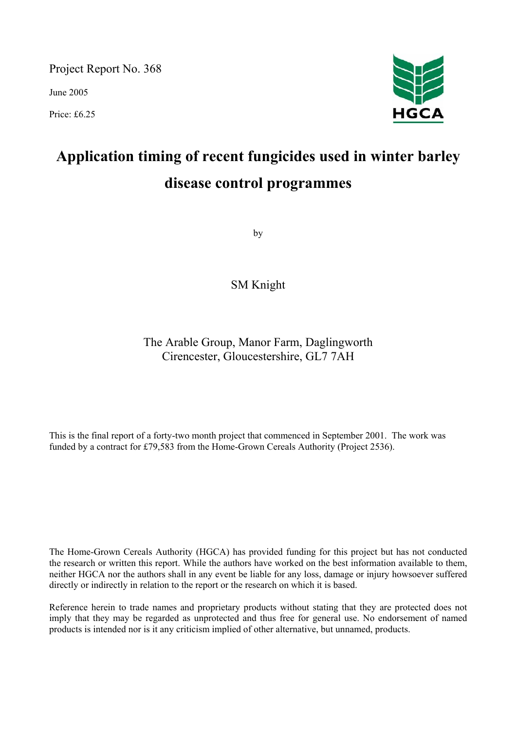Project Report No. 368

June 2005

Price: £6.25



# **Application timing of recent fungicides used in winter barley disease control programmes**

by

SM Knight

The Arable Group, Manor Farm, Daglingworth Cirencester, Gloucestershire, GL7 7AH

This is the final report of a forty-two month project that commenced in September 2001. The work was funded by a contract for £79,583 from the Home-Grown Cereals Authority (Project 2536).

The Home-Grown Cereals Authority (HGCA) has provided funding for this project but has not conducted the research or written this report. While the authors have worked on the best information available to them, neither HGCA nor the authors shall in any event be liable for any loss, damage or injury howsoever suffered directly or indirectly in relation to the report or the research on which it is based.

Reference herein to trade names and proprietary products without stating that they are protected does not imply that they may be regarded as unprotected and thus free for general use. No endorsement of named products is intended nor is it any criticism implied of other alternative, but unnamed, products.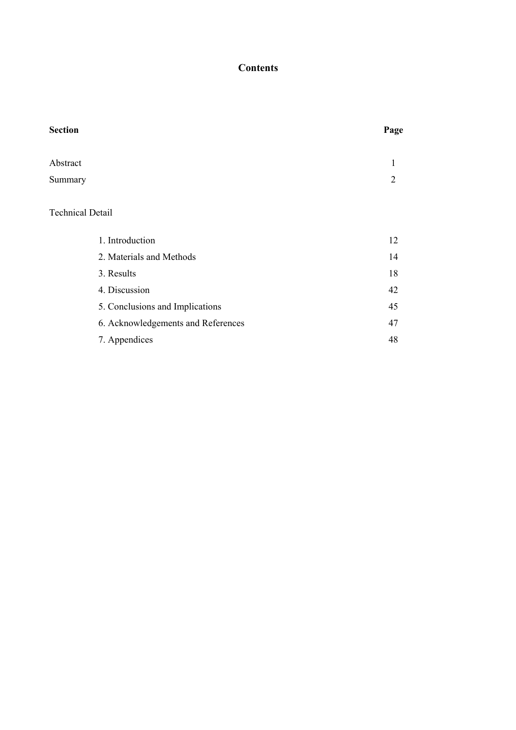# **Contents**

| <b>Section</b> | Page |
|----------------|------|
|                |      |
| Abstract       |      |
| Summary        | 2    |
|                |      |
|                |      |

# Technical Detail

| 1. Introduction                    | 12 |
|------------------------------------|----|
| 2. Materials and Methods           | 14 |
| 3. Results                         | 18 |
| 4. Discussion                      | 42 |
| 5. Conclusions and Implications    | 45 |
| 6. Acknowledgements and References | 47 |
| 7. Appendices                      | 48 |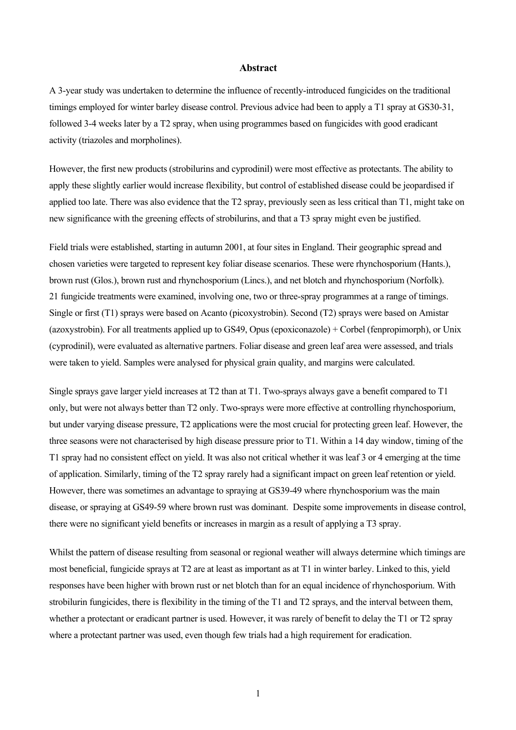#### **Abstract**

A 3-year study was undertaken to determine the influence of recently-introduced fungicides on the traditional timings employed for winter barley disease control. Previous advice had been to apply a T1 spray at GS30-31, followed 3-4 weeks later by a T2 spray, when using programmes based on fungicides with good eradicant activity (triazoles and morpholines).

However, the first new products (strobilurins and cyprodinil) were most effective as protectants. The ability to apply these slightly earlier would increase flexibility, but control of established disease could be jeopardised if applied too late. There was also evidence that the T2 spray, previously seen as less critical than T1, might take on new significance with the greening effects of strobilurins, and that a T3 spray might even be justified.

Field trials were established, starting in autumn 2001, at four sites in England. Their geographic spread and chosen varieties were targeted to represent key foliar disease scenarios. These were rhynchosporium (Hants.), brown rust (Glos.), brown rust and rhynchosporium (Lincs.), and net blotch and rhynchosporium (Norfolk). 21 fungicide treatments were examined, involving one, two or three-spray programmes at a range of timings. Single or first (T1) sprays were based on Acanto (picoxystrobin). Second (T2) sprays were based on Amistar (azoxystrobin). For all treatments applied up to GS49, Opus (epoxiconazole) + Corbel (fenpropimorph), or Unix (cyprodinil), were evaluated as alternative partners. Foliar disease and green leaf area were assessed, and trials were taken to yield. Samples were analysed for physical grain quality, and margins were calculated.

Single sprays gave larger yield increases at T2 than at T1. Two-sprays always gave a benefit compared to T1 only, but were not always better than T2 only. Two-sprays were more effective at controlling rhynchosporium, but under varying disease pressure, T2 applications were the most crucial for protecting green leaf. However, the three seasons were not characterised by high disease pressure prior to T1. Within a 14 day window, timing of the T1 spray had no consistent effect on yield. It was also not critical whether it was leaf 3 or 4 emerging at the time of application. Similarly, timing of the T2 spray rarely had a significant impact on green leaf retention or yield. However, there was sometimes an advantage to spraying at GS39-49 where rhynchosporium was the main disease, or spraying at GS49-59 where brown rust was dominant. Despite some improvements in disease control, there were no significant yield benefits or increases in margin as a result of applying a T3 spray.

Whilst the pattern of disease resulting from seasonal or regional weather will always determine which timings are most beneficial, fungicide sprays at T2 are at least as important as at T1 in winter barley. Linked to this, yield responses have been higher with brown rust or net blotch than for an equal incidence of rhynchosporium. With strobilurin fungicides, there is flexibility in the timing of the T1 and T2 sprays, and the interval between them, whether a protectant or eradicant partner is used. However, it was rarely of benefit to delay the T1 or T2 spray where a protectant partner was used, even though few trials had a high requirement for eradication.

1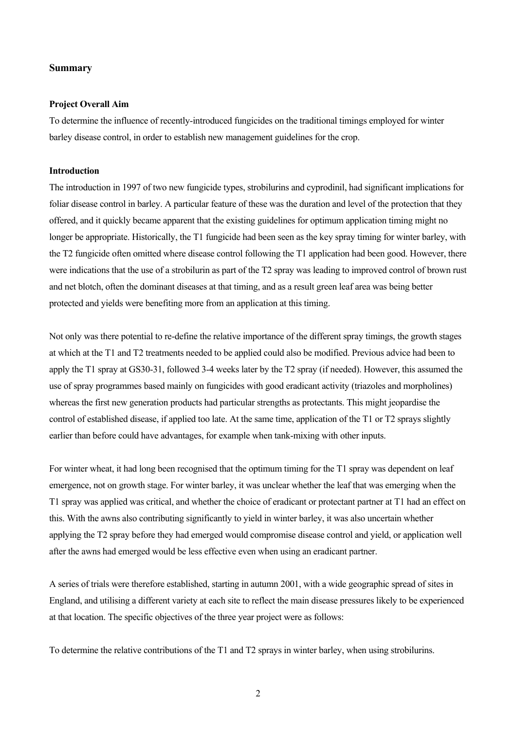#### **Summary**

#### **Project Overall Aim**

To determine the influence of recently-introduced fungicides on the traditional timings employed for winter barley disease control, in order to establish new management guidelines for the crop.

#### **Introduction**

The introduction in 1997 of two new fungicide types, strobilurins and cyprodinil, had significant implications for foliar disease control in barley. A particular feature of these was the duration and level of the protection that they offered, and it quickly became apparent that the existing guidelines for optimum application timing might no longer be appropriate. Historically, the T1 fungicide had been seen as the key spray timing for winter barley, with the T2 fungicide often omitted where disease control following the T1 application had been good. However, there were indications that the use of a strobilurin as part of the T2 spray was leading to improved control of brown rust and net blotch, often the dominant diseases at that timing, and as a result green leaf area was being better protected and yields were benefiting more from an application at this timing.

Not only was there potential to re-define the relative importance of the different spray timings, the growth stages at which at the T1 and T2 treatments needed to be applied could also be modified. Previous advice had been to apply the T1 spray at GS30-31, followed 3-4 weeks later by the T2 spray (if needed). However, this assumed the use of spray programmes based mainly on fungicides with good eradicant activity (triazoles and morpholines) whereas the first new generation products had particular strengths as protectants. This might jeopardise the control of established disease, if applied too late. At the same time, application of the T1 or T2 sprays slightly earlier than before could have advantages, for example when tank-mixing with other inputs.

For winter wheat, it had long been recognised that the optimum timing for the T1 spray was dependent on leaf emergence, not on growth stage. For winter barley, it was unclear whether the leaf that was emerging when the T1 spray was applied was critical, and whether the choice of eradicant or protectant partner at T1 had an effect on this. With the awns also contributing significantly to yield in winter barley, it was also uncertain whether applying the T2 spray before they had emerged would compromise disease control and yield, or application well after the awns had emerged would be less effective even when using an eradicant partner.

A series of trials were therefore established, starting in autumn 2001, with a wide geographic spread of sites in England, and utilising a different variety at each site to reflect the main disease pressures likely to be experienced at that location. The specific objectives of the three year project were as follows:

To determine the relative contributions of the T1 and T2 sprays in winter barley, when using strobilurins.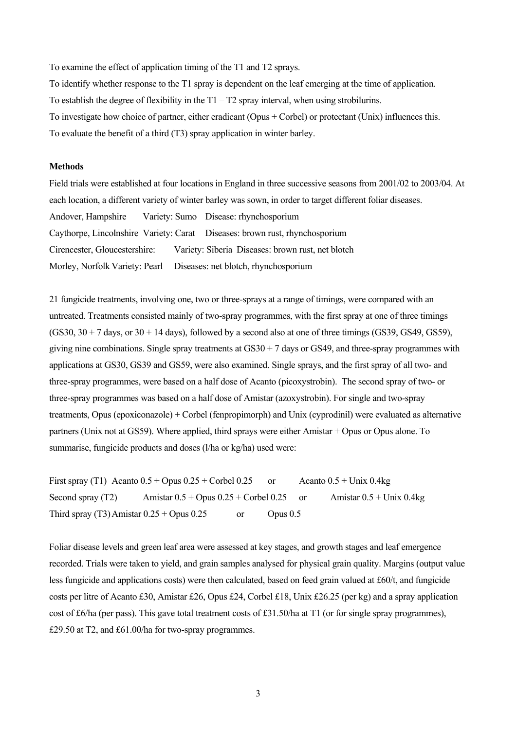To examine the effect of application timing of the T1 and T2 sprays.

To identify whether response to the T1 spray is dependent on the leaf emerging at the time of application. To establish the degree of flexibility in the  $T1 - T2$  spray interval, when using strobilurins. To investigate how choice of partner, either eradicant (Opus + Corbel) or protectant (Unix) influences this. To evaluate the benefit of a third (T3) spray application in winter barley.

# **Methods**

Field trials were established at four locations in England in three successive seasons from 2001/02 to 2003/04. At each location, a different variety of winter barley was sown, in order to target different foliar diseases. Andover, Hampshire Variety: Sumo Disease: rhynchosporium Caythorpe, Lincolnshire Variety: Carat Diseases: brown rust, rhynchosporium Cirencester, Gloucestershire: Variety: Siberia Diseases: brown rust, net blotch Morley, Norfolk Variety: Pearl Diseases: net blotch, rhynchosporium

21 fungicide treatments, involving one, two or three-sprays at a range of timings, were compared with an untreated. Treatments consisted mainly of two-spray programmes, with the first spray at one of three timings  $(GS30, 30 + 7$  days, or  $30 + 14$  days), followed by a second also at one of three timings  $(GS39, GS49, GS59)$ , giving nine combinations. Single spray treatments at  $GS30 + 7$  days or  $GS49$ , and three-spray programmes with applications at GS30, GS39 and GS59, were also examined. Single sprays, and the first spray of all two- and three-spray programmes, were based on a half dose of Acanto (picoxystrobin). The second spray of two- or three-spray programmes was based on a half dose of Amistar (azoxystrobin). For single and two-spray treatments, Opus (epoxiconazole) + Corbel (fenpropimorph) and Unix (cyprodinil) were evaluated as alternative partners (Unix not at GS59). Where applied, third sprays were either Amistar + Opus or Opus alone. To summarise, fungicide products and doses (l/ha or kg/ha) used were:

First spray (T1) Acanto  $0.5 +$  Opus  $0.25 +$  Corbel  $0.25$  or Acanto  $0.5 +$  Unix  $0.4$ kg Second spray (T2) Amistar  $0.5 +$  Opus  $0.25 +$  Corbel  $0.25$  or Amistar  $0.5 +$  Unix  $0.4$ kg Third spray (T3) Amistar  $0.25 +$  Opus  $0.25$  or Opus  $0.5$ 

Foliar disease levels and green leaf area were assessed at key stages, and growth stages and leaf emergence recorded. Trials were taken to yield, and grain samples analysed for physical grain quality. Margins (output value less fungicide and applications costs) were then calculated, based on feed grain valued at £60/t, and fungicide costs per litre of Acanto £30, Amistar £26, Opus £24, Corbel £18, Unix £26.25 (per kg) and a spray application cost of £6/ha (per pass). This gave total treatment costs of £31.50/ha at T1 (or for single spray programmes), £29.50 at T2, and £61.00/ha for two-spray programmes.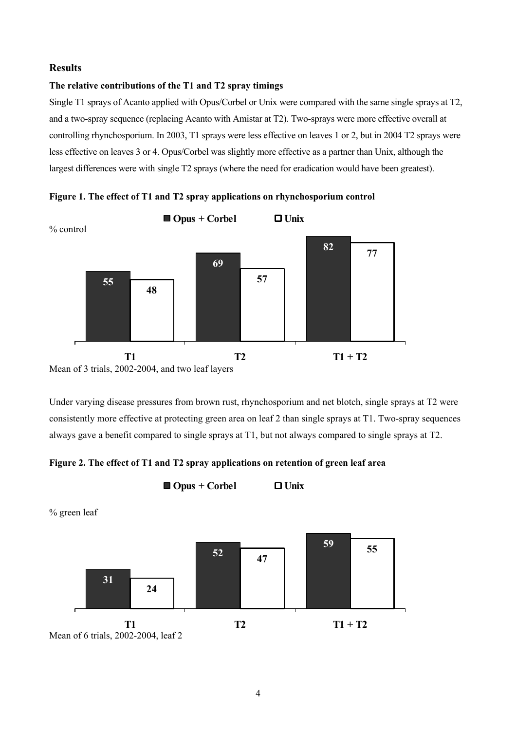### **Results**

# **The relative contributions of the T1 and T2 spray timings**

Single T1 sprays of Acanto applied with Opus/Corbel or Unix were compared with the same single sprays at T2, and a two-spray sequence (replacing Acanto with Amistar at T2). Two-sprays were more effective overall at controlling rhynchosporium. In 2003, T1 sprays were less effective on leaves 1 or 2, but in 2004 T2 sprays were less effective on leaves 3 or 4. Opus/Corbel was slightly more effective as a partner than Unix, although the largest differences were with single T2 sprays (where the need for eradication would have been greatest).



**Figure 1. The effect of T1 and T2 spray applications on rhynchosporium control** 

Mean of 3 trials, 2002-2004, and two leaf layers

Under varying disease pressures from brown rust, rhynchosporium and net blotch, single sprays at T2 were consistently more effective at protecting green area on leaf 2 than single sprays at T1. Two-spray sequences always gave a benefit compared to single sprays at T1, but not always compared to single sprays at T2.

**Figure 2. The effect of T1 and T2 spray applications on retention of green leaf area**

**Opus + Corbel Unix**

% green leaf **80**

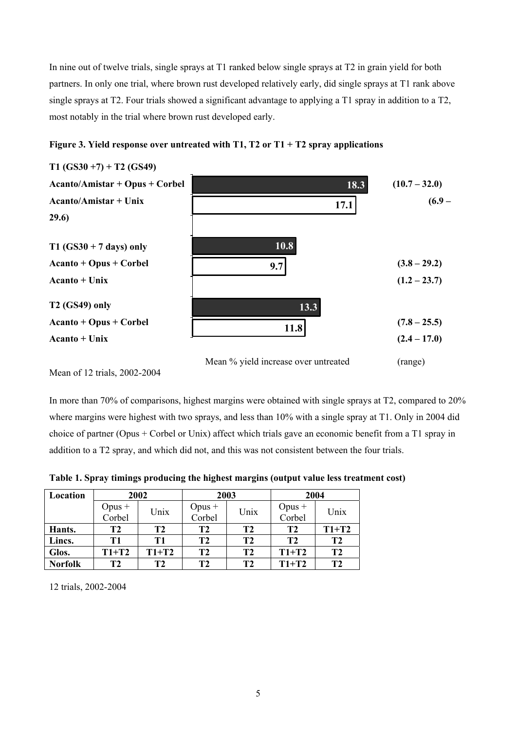In nine out of twelve trials, single sprays at T1 ranked below single sprays at T2 in grain yield for both partners. In only one trial, where brown rust developed relatively early, did single sprays at T1 rank above single sprays at T2. Four trials showed a significant advantage to applying a T1 spray in addition to a T2, most notably in the trial where brown rust developed early.



**Figure 3. Yield response over untreated with T1, T2 or T1 + T2 spray applications** 

Mean of 12 trials, 2002-2004

In more than 70% of comparisons, highest margins were obtained with single sprays at T2, compared to 20% where margins were highest with two sprays, and less than 10% with a single spray at T1. Only in 2004 did choice of partner (Opus + Corbel or Unix) affect which trials gave an economic benefit from a T1 spray in addition to a T2 spray, and which did not, and this was not consistent between the four trials.

**Table 1. Spray timings producing the highest margins (output value less treatment cost)** 

| Location       | 2002             |         | 2003             |                | 2004               |                |
|----------------|------------------|---------|------------------|----------------|--------------------|----------------|
|                | Opus +<br>Corbel | Unix    | Opus +<br>Corbel | Unix           | $Opus +$<br>Corbel | Unix           |
| Hants.         | Т2               | T2      | T2               | T <sub>2</sub> | T2                 | $T1+T2$        |
| Lincs.         | Т1               | T1      | T <sub>2</sub>   | T <sub>2</sub> | T <sub>2</sub>     | T <sub>2</sub> |
| Glos.          | $T1+T2$          | $T1+T2$ | T <sub>2</sub>   | T <sub>2</sub> | $T1+T2$            | T <sub>2</sub> |
| <b>Norfolk</b> | T <sub>2</sub>   | Т2      | T2               | T <sub>2</sub> | $T1+T2$            | T2             |

12 trials, 2002-2004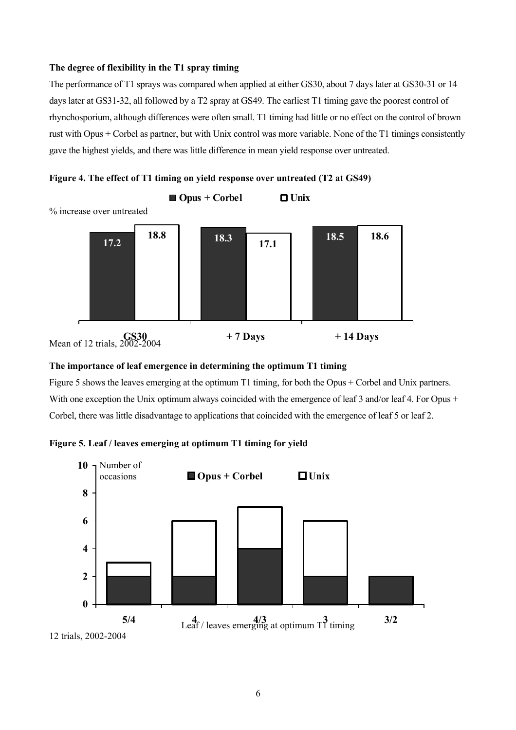# **The degree of flexibility in the T1 spray timing**

The performance of T1 sprays was compared when applied at either GS30, about 7 days later at GS30-31 or 14 days later at GS31-32, all followed by a T2 spray at GS49. The earliest T1 timing gave the poorest control of rhynchosporium, although differences were often small. T1 timing had little or no effect on the control of brown rust with Opus + Corbel as partner, but with Unix control was more variable. None of the T1 timings consistently gave the highest yields, and there was little difference in mean yield response over untreated.





### **The importance of leaf emergence in determining the optimum T1 timing**

Figure 5 shows the leaves emerging at the optimum T1 timing, for both the Opus + Corbel and Unix partners. With one exception the Unix optimum always coincided with the emergence of leaf 3 and/or leaf 4. For Opus + Corbel, there was little disadvantage to applications that coincided with the emergence of leaf 5 or leaf 2.



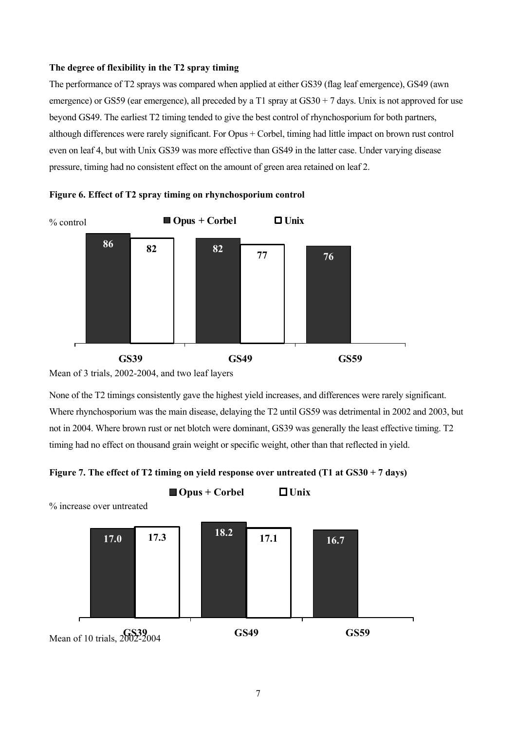# **The degree of flexibility in the T2 spray timing**

The performance of T2 sprays was compared when applied at either GS39 (flag leaf emergence), GS49 (awn emergence) or GS59 (ear emergence), all preceded by a T1 spray at  $GS30 + 7$  days. Unix is not approved for use beyond GS49. The earliest T2 timing tended to give the best control of rhynchosporium for both partners, although differences were rarely significant. For Opus + Corbel, timing had little impact on brown rust control even on leaf 4, but with Unix GS39 was more effective than GS49 in the latter case. Under varying disease pressure, timing had no consistent effect on the amount of green area retained on leaf 2.





Mean of 3 trials, 2002-2004, and two leaf layers

None of the T2 timings consistently gave the highest yield increases, and differences were rarely significant. Where rhynchosporium was the main disease, delaying the T2 until GS59 was detrimental in 2002 and 2003, but not in 2004. Where brown rust or net blotch were dominant, GS39 was generally the least effective timing. T2 timing had no effect on thousand grain weight or specific weight, other than that reflected in yield.



**Opus + Corbel Unix**



% increase over untreated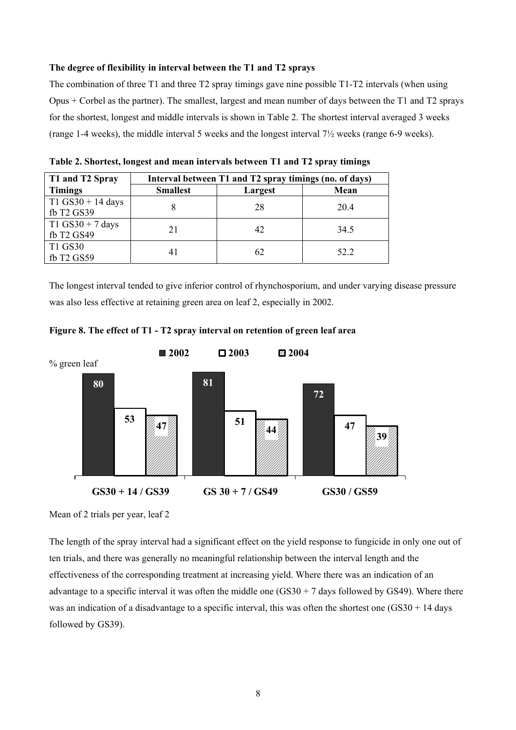#### **The degree of flexibility in interval between the T1 and T2 sprays**

The combination of three T1 and three T2 spray timings gave nine possible T1-T2 intervals (when using Opus + Corbel as the partner). The smallest, largest and mean number of days between the T1 and T2 sprays for the shortest, longest and middle intervals is shown in Table 2. The shortest interval averaged 3 weeks (range 1-4 weeks), the middle interval 5 weeks and the longest interval 7½ weeks (range 6-9 weeks).

| T1 and T2 Spray     | Interval between T1 and T2 spray timings (no. of days) |         |      |  |  |  |
|---------------------|--------------------------------------------------------|---------|------|--|--|--|
| <b>Timings</b>      | <b>Smallest</b>                                        | Largest | Mean |  |  |  |
| $T1$ GS30 + 14 days |                                                        | 28      | 20.4 |  |  |  |
| fb T2 GS39          |                                                        |         |      |  |  |  |
| T1 GS30 + 7 days    | 21                                                     | 42      | 34.5 |  |  |  |
| fb T2 GS49          |                                                        |         |      |  |  |  |
| T1 GS30             |                                                        | 62      |      |  |  |  |
| fb T2 GS59          | 41                                                     |         | 52.2 |  |  |  |

**Table 2. Shortest, longest and mean intervals between T1 and T2 spray timings** 

The longest interval tended to give inferior control of rhynchosporium, and under varying disease pressure was also less effective at retaining green area on leaf 2, especially in 2002.



**Figure 8. The effect of T1 - T2 spray interval on retention of green leaf area**

Mean of 2 trials per year, leaf 2

The length of the spray interval had a significant effect on the yield response to fungicide in only one out of ten trials, and there was generally no meaningful relationship between the interval length and the effectiveness of the corresponding treatment at increasing yield. Where there was an indication of an advantage to a specific interval it was often the middle one  $(GS30 + 7$  days followed by GS49). Where there was an indication of a disadvantage to a specific interval, this was often the shortest one (GS30 + 14 days) followed by GS39).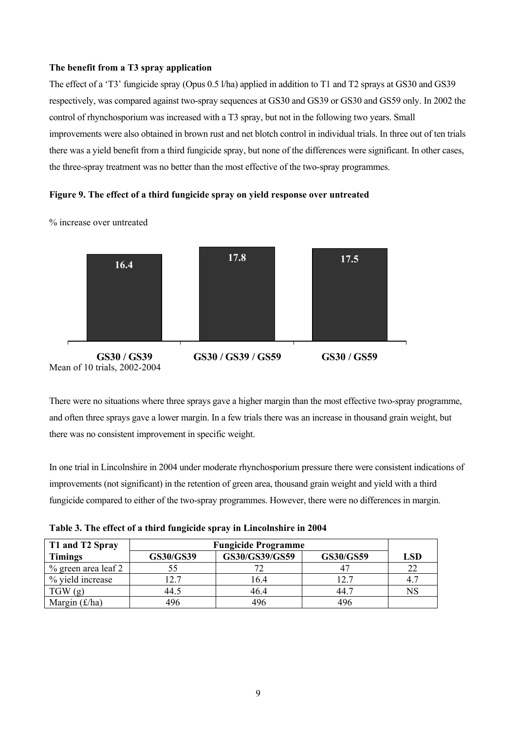#### **The benefit from a T3 spray application**

The effect of a 'T3' fungicide spray (Opus 0.5 l/ha) applied in addition to T1 and T2 sprays at GS30 and GS39 respectively, was compared against two-spray sequences at GS30 and GS39 or GS30 and GS59 only. In 2002 the control of rhynchosporium was increased with a T3 spray, but not in the following two years. Small improvements were also obtained in brown rust and net blotch control in individual trials. In three out of ten trials there was a yield benefit from a third fungicide spray, but none of the differences were significant. In other cases, the three-spray treatment was no better than the most effective of the two-spray programmes.

#### **Figure 9. The effect of a third fungicide spray on yield response over untreated**



% increase over untreated

There were no situations where three sprays gave a higher margin than the most effective two-spray programme, and often three sprays gave a lower margin. In a few trials there was an increase in thousand grain weight, but there was no consistent improvement in specific weight.

In one trial in Lincolnshire in 2004 under moderate rhynchosporium pressure there were consistent indications of improvements (not significant) in the retention of green area, thousand grain weight and yield with a third fungicide compared to either of the two-spray programmes. However, there were no differences in margin.

**Table 3. The effect of a third fungicide spray in Lincolnshire in 2004** 

| T1 and T2 Spray              | <b>Fungicide Programme</b> |                |                  |             |
|------------------------------|----------------------------|----------------|------------------|-------------|
| <b>Timings</b>               | GS30/GS39                  | GS30/GS39/GS59 | <b>GS30/GS59</b> | LSD         |
| $%$ green area leaf 2        |                            |                |                  | 22          |
| % yield increase             | 2.7                        | 16.4           | 12.7             | 4.7         |
| TGW(g)                       | 44.5                       | 46.4           | -44.7            | $_{\rm NS}$ |
| Margin $(\text{\pounds}/ha)$ | 496                        | 496            | 496              |             |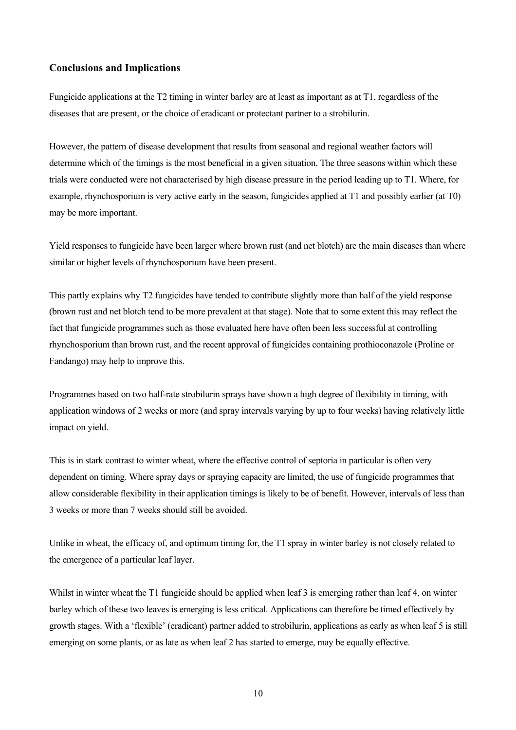### **Conclusions and Implications**

Fungicide applications at the T2 timing in winter barley are at least as important as at T1, regardless of the diseases that are present, or the choice of eradicant or protectant partner to a strobilurin.

However, the pattern of disease development that results from seasonal and regional weather factors will determine which of the timings is the most beneficial in a given situation. The three seasons within which these trials were conducted were not characterised by high disease pressure in the period leading up to T1. Where, for example, rhynchosporium is very active early in the season, fungicides applied at T1 and possibly earlier (at T0) may be more important.

Yield responses to fungicide have been larger where brown rust (and net blotch) are the main diseases than where similar or higher levels of rhynchosporium have been present.

This partly explains why T2 fungicides have tended to contribute slightly more than half of the yield response (brown rust and net blotch tend to be more prevalent at that stage). Note that to some extent this may reflect the fact that fungicide programmes such as those evaluated here have often been less successful at controlling rhynchosporium than brown rust, and the recent approval of fungicides containing prothioconazole (Proline or Fandango) may help to improve this.

Programmes based on two half-rate strobilurin sprays have shown a high degree of flexibility in timing, with application windows of 2 weeks or more (and spray intervals varying by up to four weeks) having relatively little impact on yield.

This is in stark contrast to winter wheat, where the effective control of septoria in particular is often very dependent on timing. Where spray days or spraying capacity are limited, the use of fungicide programmes that allow considerable flexibility in their application timings is likely to be of benefit. However, intervals of less than 3 weeks or more than 7 weeks should still be avoided.

Unlike in wheat, the efficacy of, and optimum timing for, the T1 spray in winter barley is not closely related to the emergence of a particular leaf layer.

Whilst in winter wheat the T1 fungicide should be applied when leaf 3 is emerging rather than leaf 4, on winter barley which of these two leaves is emerging is less critical. Applications can therefore be timed effectively by growth stages. With a 'flexible' (eradicant) partner added to strobilurin, applications as early as when leaf 5 is still emerging on some plants, or as late as when leaf 2 has started to emerge, may be equally effective.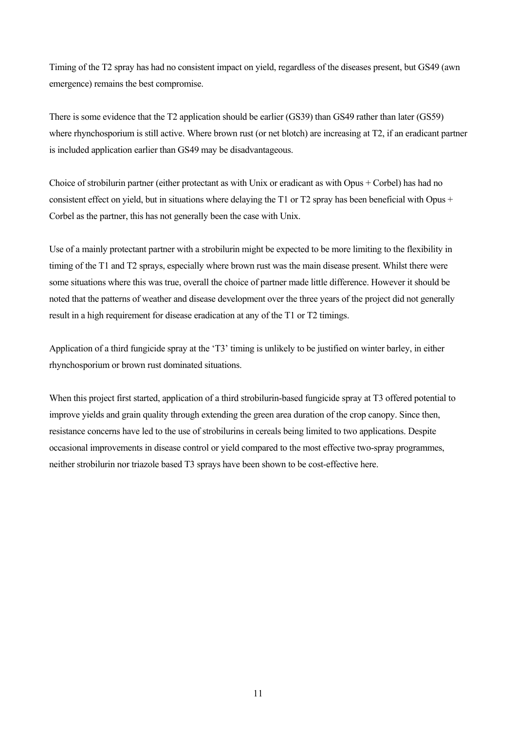Timing of the T2 spray has had no consistent impact on yield, regardless of the diseases present, but GS49 (awn emergence) remains the best compromise.

There is some evidence that the T2 application should be earlier (GS39) than GS49 rather than later (GS59) where rhynchosporium is still active. Where brown rust (or net blotch) are increasing at T2, if an eradicant partner is included application earlier than GS49 may be disadvantageous.

Choice of strobilurin partner (either protectant as with Unix or eradicant as with Opus + Corbel) has had no consistent effect on yield, but in situations where delaying the T1 or T2 spray has been beneficial with Opus  $+$ Corbel as the partner, this has not generally been the case with Unix.

Use of a mainly protectant partner with a strobilurin might be expected to be more limiting to the flexibility in timing of the T1 and T2 sprays, especially where brown rust was the main disease present. Whilst there were some situations where this was true, overall the choice of partner made little difference. However it should be noted that the patterns of weather and disease development over the three years of the project did not generally result in a high requirement for disease eradication at any of the T1 or T2 timings.

Application of a third fungicide spray at the 'T3' timing is unlikely to be justified on winter barley, in either rhynchosporium or brown rust dominated situations.

When this project first started, application of a third strobilurin-based fungicide spray at T3 offered potential to improve yields and grain quality through extending the green area duration of the crop canopy. Since then, resistance concerns have led to the use of strobilurins in cereals being limited to two applications. Despite occasional improvements in disease control or yield compared to the most effective two-spray programmes, neither strobilurin nor triazole based T3 sprays have been shown to be cost-effective here.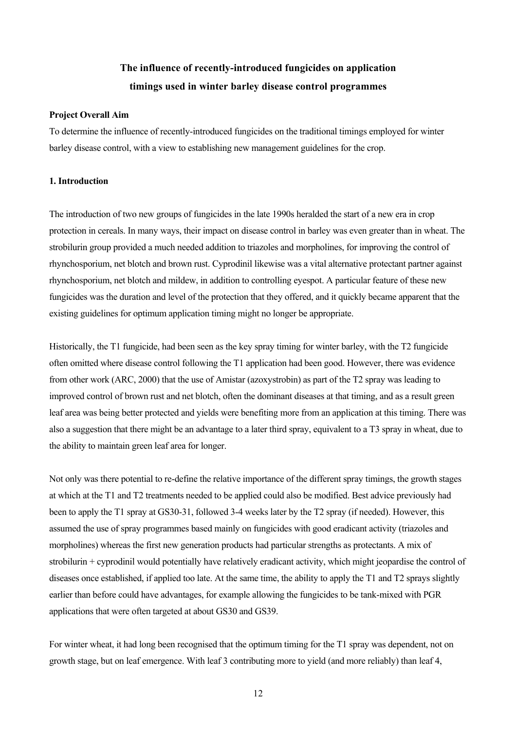# **The influence of recently-introduced fungicides on application timings used in winter barley disease control programmes**

#### **Project Overall Aim**

To determine the influence of recently-introduced fungicides on the traditional timings employed for winter barley disease control, with a view to establishing new management guidelines for the crop.

## **1. Introduction**

The introduction of two new groups of fungicides in the late 1990s heralded the start of a new era in crop protection in cereals. In many ways, their impact on disease control in barley was even greater than in wheat. The strobilurin group provided a much needed addition to triazoles and morpholines, for improving the control of rhynchosporium, net blotch and brown rust. Cyprodinil likewise was a vital alternative protectant partner against rhynchosporium, net blotch and mildew, in addition to controlling eyespot. A particular feature of these new fungicides was the duration and level of the protection that they offered, and it quickly became apparent that the existing guidelines for optimum application timing might no longer be appropriate.

Historically, the T1 fungicide, had been seen as the key spray timing for winter barley, with the T2 fungicide often omitted where disease control following the T1 application had been good. However, there was evidence from other work (ARC, 2000) that the use of Amistar (azoxystrobin) as part of the T2 spray was leading to improved control of brown rust and net blotch, often the dominant diseases at that timing, and as a result green leaf area was being better protected and yields were benefiting more from an application at this timing. There was also a suggestion that there might be an advantage to a later third spray, equivalent to a T3 spray in wheat, due to the ability to maintain green leaf area for longer.

Not only was there potential to re-define the relative importance of the different spray timings, the growth stages at which at the T1 and T2 treatments needed to be applied could also be modified. Best advice previously had been to apply the T1 spray at GS30-31, followed 3-4 weeks later by the T2 spray (if needed). However, this assumed the use of spray programmes based mainly on fungicides with good eradicant activity (triazoles and morpholines) whereas the first new generation products had particular strengths as protectants. A mix of strobilurin + cyprodinil would potentially have relatively eradicant activity, which might jeopardise the control of diseases once established, if applied too late. At the same time, the ability to apply the T1 and T2 sprays slightly earlier than before could have advantages, for example allowing the fungicides to be tank-mixed with PGR applications that were often targeted at about GS30 and GS39.

For winter wheat, it had long been recognised that the optimum timing for the T1 spray was dependent, not on growth stage, but on leaf emergence. With leaf 3 contributing more to yield (and more reliably) than leaf 4,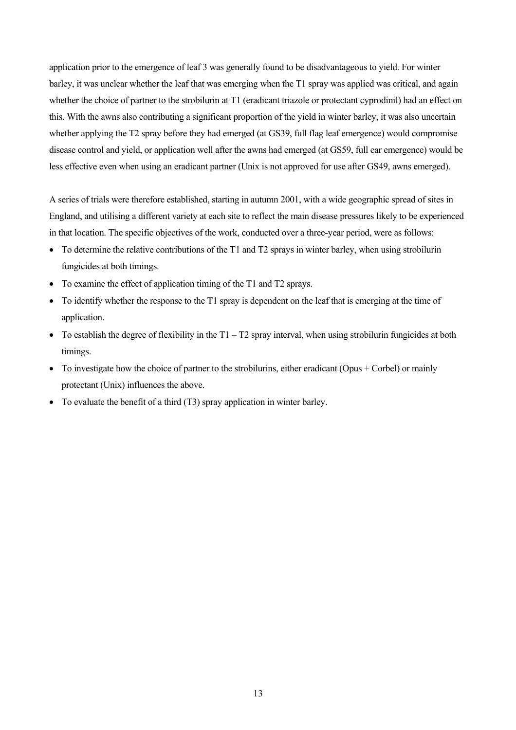application prior to the emergence of leaf 3 was generally found to be disadvantageous to yield. For winter barley, it was unclear whether the leaf that was emerging when the T1 spray was applied was critical, and again whether the choice of partner to the strobilurin at T1 (eradicant triazole or protectant cyprodinil) had an effect on this. With the awns also contributing a significant proportion of the yield in winter barley, it was also uncertain whether applying the T2 spray before they had emerged (at GS39, full flag leaf emergence) would compromise disease control and yield, or application well after the awns had emerged (at GS59, full ear emergence) would be less effective even when using an eradicant partner (Unix is not approved for use after GS49, awns emerged).

A series of trials were therefore established, starting in autumn 2001, with a wide geographic spread of sites in England, and utilising a different variety at each site to reflect the main disease pressures likely to be experienced in that location. The specific objectives of the work, conducted over a three-year period, were as follows:

- To determine the relative contributions of the T1 and T2 sprays in winter barley, when using strobilurin fungicides at both timings.
- To examine the effect of application timing of the T1 and T2 sprays.
- To identify whether the response to the T1 spray is dependent on the leaf that is emerging at the time of application.
- To establish the degree of flexibility in the  $T1 T2$  spray interval, when using strobilurin fungicides at both timings.
- To investigate how the choice of partner to the strobilurins, either eradicant (Opus + Corbel) or mainly protectant (Unix) influences the above.
- To evaluate the benefit of a third (T3) spray application in winter barley.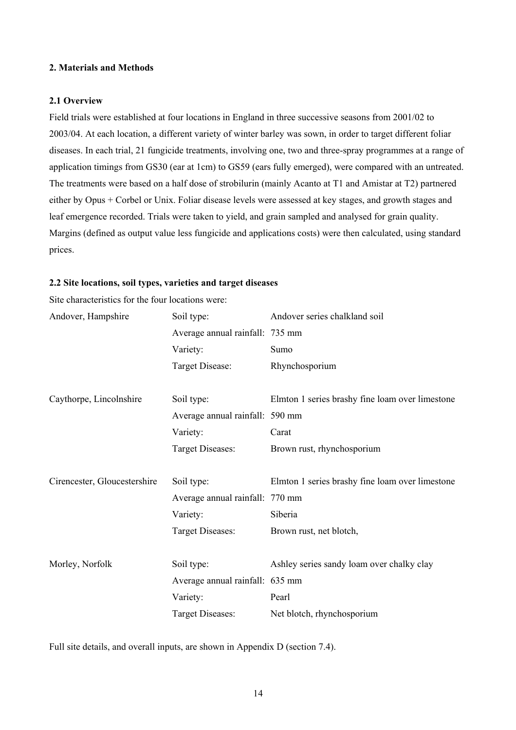### **2. Materials and Methods**

#### **2.1 Overview**

Field trials were established at four locations in England in three successive seasons from 2001/02 to 2003/04. At each location, a different variety of winter barley was sown, in order to target different foliar diseases. In each trial, 21 fungicide treatments, involving one, two and three-spray programmes at a range of application timings from GS30 (ear at 1cm) to GS59 (ears fully emerged), were compared with an untreated. The treatments were based on a half dose of strobilurin (mainly Acanto at T1 and Amistar at T2) partnered either by Opus + Corbel or Unix. Foliar disease levels were assessed at key stages, and growth stages and leaf emergence recorded. Trials were taken to yield, and grain sampled and analysed for grain quality. Margins (defined as output value less fungicide and applications costs) were then calculated, using standard prices.

#### **2.2 Site locations, soil types, varieties and target diseases**

| Site characteristics for the four locations were: |                                 |                                                 |
|---------------------------------------------------|---------------------------------|-------------------------------------------------|
| Andover, Hampshire                                | Soil type:                      | Andover series chalkland soil                   |
|                                                   | Average annual rainfall: 735 mm |                                                 |
|                                                   | Variety:                        | Sumo                                            |
|                                                   | Target Disease:                 | Rhynchosporium                                  |
|                                                   |                                 |                                                 |
| Caythorpe, Lincolnshire                           | Soil type:                      | Elmton 1 series brashy fine loam over limestone |
|                                                   | Average annual rainfall: 590 mm |                                                 |
|                                                   | Variety:                        | Carat                                           |
|                                                   | Target Diseases:                | Brown rust, rhynchosporium                      |
|                                                   |                                 |                                                 |
| Cirencester, Gloucestershire                      | Soil type:                      | Elmton 1 series brashy fine loam over limestone |
|                                                   | Average annual rainfall: 770 mm |                                                 |
|                                                   | Variety:                        | Siberia                                         |
|                                                   | Target Diseases:                | Brown rust, net blotch,                         |
|                                                   |                                 |                                                 |
| Morley, Norfolk                                   | Soil type:                      | Ashley series sandy loam over chalky clay       |
|                                                   | Average annual rainfall: 635 mm |                                                 |
|                                                   | Variety:                        | Pearl                                           |
|                                                   | Target Diseases:                | Net blotch, rhynchosporium                      |

 $S_{i,t}$  characteristics for the four  $l$ 

Full site details, and overall inputs, are shown in Appendix D (section 7.4).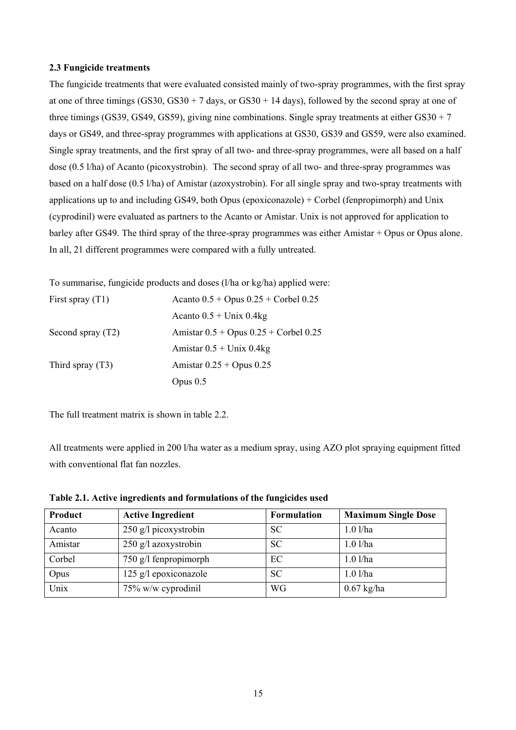#### **2.3 Fungicide treatments**

The fungicide treatments that were evaluated consisted mainly of two-spray programmes, with the first spray at one of three timings  $(GS30, GS30 + 7 \text{ days}, \text{ or } GS30 + 14 \text{ days})$ , followed by the second spray at one of three timings (GS39, GS49, GS59), giving nine combinations. Single spray treatments at either GS30 + 7 days or GS49, and three-spray programmes with applications at GS30, GS39 and GS59, were also examined. Single spray treatments, and the first spray of all two- and three-spray programmes, were all based on a half dose (0.5 l/ha) of Acanto (picoxystrobin). The second spray of all two- and three-spray programmes was based on a half dose (0.5 l/ha) of Amistar (azoxystrobin). For all single spray and two-spray treatments with applications up to and including GS49, both Opus (epoxiconazole) + Corbel (fenpropimorph) and Unix (cyprodinil) were evaluated as partners to the Acanto or Amistar. Unix is not approved for application to barley after GS49. The third spray of the three-spray programmes was either Amistar + Opus or Opus alone. In all, 21 different programmes were compared with a fully untreated.

To summarise, fungicide products and doses (l/ha or kg/ha) applied were:

| First spray $(T1)$  | Acanto $0.5 +$ Opus $0.25 +$ Corbel $0.25$  |
|---------------------|---------------------------------------------|
|                     | Acanto $0.5 +$ Unix 0.4kg                   |
| Second spray $(T2)$ | Amistar $0.5 +$ Opus $0.25 +$ Corbel $0.25$ |
|                     | Amistar $0.5 +$ Unix 0.4kg                  |
| Third spray $(T3)$  | Amistar $0.25 +$ Opus $0.25$                |
|                     | Opus $0.5$                                  |

The full treatment matrix is shown in table 2.2.

All treatments were applied in 200 l/ha water as a medium spray, using AZO plot spraying equipment fitted with conventional flat fan nozzles.

| Product | <b>Active Ingredient</b> | <b>Formulation</b> | <b>Maximum Single Dose</b> |
|---------|--------------------------|--------------------|----------------------------|
| Acanto  | 250 g/l picoxystrobin    | <b>SC</b>          | $1.0$ l/ha                 |
| Amistar | 250 g/l azoxystrobin     | <b>SC</b>          | $1.0$ l/ha                 |
| Corbel  | 750 g/l fenpropimorph    | EC                 | $1.0$ l/ha                 |
| Opus    | 125 g/l epoxiconazole    | <b>SC</b>          | $1.0$ l/ha                 |
| Unix    | 75% w/w cyprodinil       | <b>WG</b>          | $0.67$ kg/ha               |

**Table 2.1. Active ingredients and formulations of the fungicides used**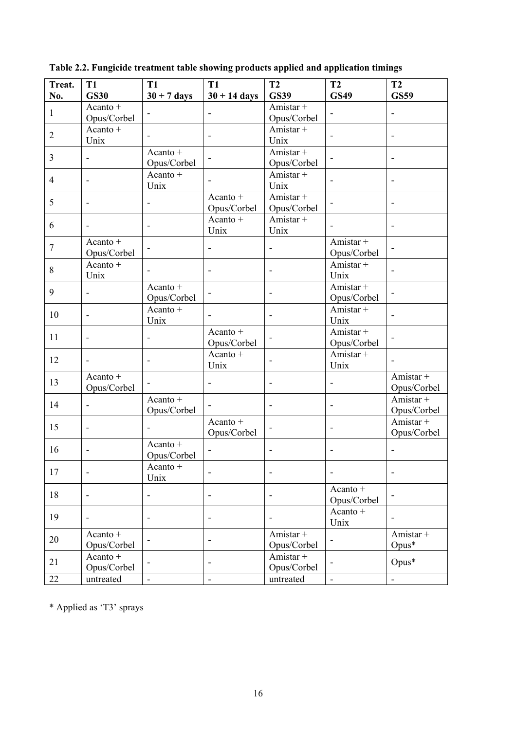| Treat.           | <b>T1</b>                    | <b>T1</b>                    | <b>T1</b>                | <b>T2</b>                | <b>T2</b>                | T2                       |
|------------------|------------------------------|------------------------------|--------------------------|--------------------------|--------------------------|--------------------------|
| No.              | <b>GS30</b>                  | $30 + 7$ days                | $30 + 14$ days           | <b>GS39</b>              | <b>GS49</b>              | <b>GS59</b>              |
| $\mathbf{1}$     | Acanto +                     |                              | -                        | Amistar +                |                          | $\overline{\phantom{a}}$ |
|                  | Opus/Corbel                  |                              |                          | Opus/Corbel              |                          |                          |
| $\overline{2}$   | Acanto $+$                   |                              |                          | Amistar +                | $\blacksquare$           | $\overline{\phantom{a}}$ |
|                  | Unix                         |                              |                          | Unix                     |                          |                          |
| 3                |                              | Acanto +                     |                          | Amistar +                |                          | $\overline{\phantom{a}}$ |
|                  |                              | Opus/Corbel                  |                          | Opus/Corbel              |                          |                          |
| 4                | $\blacksquare$               | Acanto +                     |                          | Amistar +                |                          | $\blacksquare$           |
|                  |                              | Unix                         |                          | Unix                     |                          |                          |
| 5                | $\overline{\phantom{a}}$     |                              | Acanto +                 | Amistar +                |                          | $\overline{\phantom{a}}$ |
|                  |                              |                              | Opus/Corbel              | Opus/Corbel              |                          |                          |
| 6                | $\overline{\phantom{a}}$     | $\overline{\phantom{a}}$     | Acanto +<br>Unix         | Amistar +<br>Unix        | $\blacksquare$           | $\overline{\phantom{a}}$ |
|                  | Acanto +                     |                              |                          |                          | Amistar +                |                          |
| $\boldsymbol{7}$ | Opus/Corbel                  |                              |                          |                          | Opus/Corbel              |                          |
|                  | Acanto $+$                   |                              |                          |                          | Amistar +                |                          |
| $8\,$            | Unix                         | ÷,                           | $\overline{\phantom{m}}$ | $\overline{\phantom{a}}$ | Unix                     | $\overline{\phantom{a}}$ |
|                  |                              | Acanto +                     |                          |                          | Amistar +                |                          |
| 9                | $\blacksquare$               | Opus/Corbel                  |                          | $\overline{\phantom{a}}$ | Opus/Corbel              |                          |
|                  |                              | Acanto +                     |                          |                          | Amistar +                |                          |
| 10               | $\overline{\phantom{a}}$     | Unix                         |                          | $\overline{\phantom{a}}$ | Unix                     | $\blacksquare$           |
|                  |                              |                              | Acanto +                 |                          | Amistar +                |                          |
| 11               | $\overline{\phantom{a}}$     |                              | Opus/Corbel              |                          | Opus/Corbel              |                          |
| 12               |                              |                              | Acanto $+$               |                          | Amistar +                |                          |
|                  | $\overline{\phantom{a}}$     | $\qquad \qquad \blacksquare$ | Unix                     | $\overline{\phantom{a}}$ | Unix                     | $\overline{\phantom{a}}$ |
| 13               | Acanto +                     |                              |                          |                          |                          | Amistar +                |
|                  | Opus/Corbel                  |                              |                          |                          |                          | Opus/Corbel              |
| 14               | $\qquad \qquad \blacksquare$ | Acanto +                     |                          | $\overline{\phantom{a}}$ | $\overline{\phantom{0}}$ | Amistar +                |
|                  |                              | Opus/Corbel                  |                          |                          |                          | Opus/Corbel              |
| 15               | $\overline{\phantom{a}}$     |                              | Acanto +                 |                          | $\overline{\phantom{a}}$ | Amistar +                |
|                  |                              |                              | Opus/Corbel              |                          |                          | Opus/Corbel              |
| 16               |                              | Acanto +                     |                          |                          |                          | $\overline{\phantom{a}}$ |
|                  |                              | Opus/Corbel                  |                          |                          |                          |                          |
| 17               |                              | Acanto +                     | $\overline{a}$           |                          |                          | $\overline{\phantom{a}}$ |
|                  |                              | Unix                         |                          |                          | Acanto +                 |                          |
| 18               |                              | -                            |                          |                          | Opus/Corbel              |                          |
|                  |                              |                              |                          |                          | Acanto +                 |                          |
| 19               | $\qquad \qquad \blacksquare$ |                              |                          |                          | Unix                     |                          |
|                  | Acanto +                     |                              |                          | Amistar +                |                          | Amistar +                |
| 20               | Opus/Corbel                  |                              | -                        | Opus/Corbel              |                          | $Opus*$                  |
|                  | Acanto $+$                   |                              |                          | Amistar +                |                          |                          |
| 21               | Opus/Corbel                  | $\overline{\phantom{m}}$     | $\overline{a}$           | Opus/Corbel              | $\overline{\phantom{a}}$ | Opus*                    |
| 22               | untreated                    | $\blacksquare$               | $\overline{a}$           | untreated                | $\blacksquare$           | $\Box$                   |

**Table 2.2. Fungicide treatment table showing products applied and application timings**

\* Applied as 'T3' sprays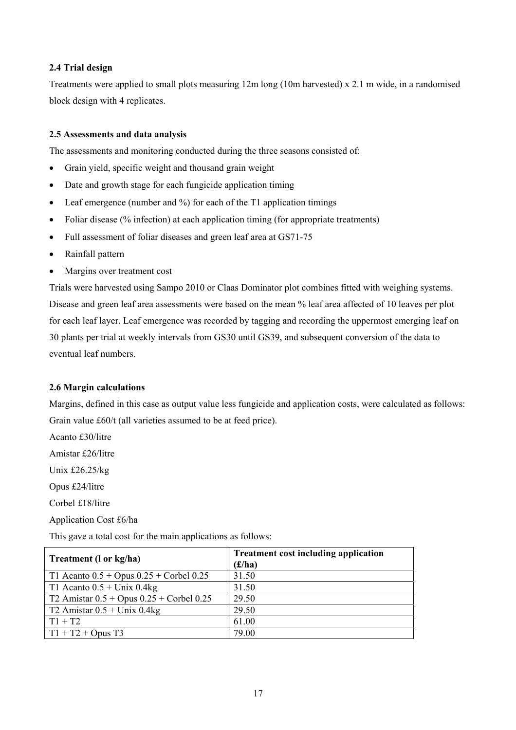# **2.4 Trial design**

Treatments were applied to small plots measuring 12m long (10m harvested) x 2.1 m wide, in a randomised block design with 4 replicates.

### **2.5 Assessments and data analysis**

The assessments and monitoring conducted during the three seasons consisted of:

- Grain yield, specific weight and thousand grain weight
- Date and growth stage for each fungicide application timing
- Leaf emergence (number and  $\%$ ) for each of the T1 application timings
- Foliar disease (% infection) at each application timing (for appropriate treatments)
- Full assessment of foliar diseases and green leaf area at GS71-75
- Rainfall pattern
- Margins over treatment cost

Trials were harvested using Sampo 2010 or Claas Dominator plot combines fitted with weighing systems. Disease and green leaf area assessments were based on the mean % leaf area affected of 10 leaves per plot for each leaf layer. Leaf emergence was recorded by tagging and recording the uppermost emerging leaf on 30 plants per trial at weekly intervals from GS30 until GS39, and subsequent conversion of the data to eventual leaf numbers.

#### **2.6 Margin calculations**

Margins, defined in this case as output value less fungicide and application costs, were calculated as follows: Grain value £60/t (all varieties assumed to be at feed price).

Acanto £30/litre

Amistar £26/litre

Unix £26.25/kg

Opus £24/litre

Corbel £18/litre

Application Cost £6/ha

This gave a total cost for the main applications as follows:

| Treatment (1 or kg/ha)                       | <b>Treatment cost including application</b> |
|----------------------------------------------|---------------------------------------------|
|                                              | (f/ha)                                      |
| T1 Acanto $0.5 +$ Opus $0.25 +$ Corbel 0.25  | 31.50                                       |
| T1 Acanto $0.5 +$ Unix 0.4kg                 | 31.50                                       |
| T2 Amistar $0.5 +$ Opus $0.25 +$ Corbel 0.25 | 29.50                                       |
| $\sqrt{72}$ Amistar 0.5 + Unix 0.4kg         | 29.50                                       |
| $\Gamma$ T1 + T2                             | 61.00                                       |
| $T1 + T2 + Opus T3$                          | 79.00                                       |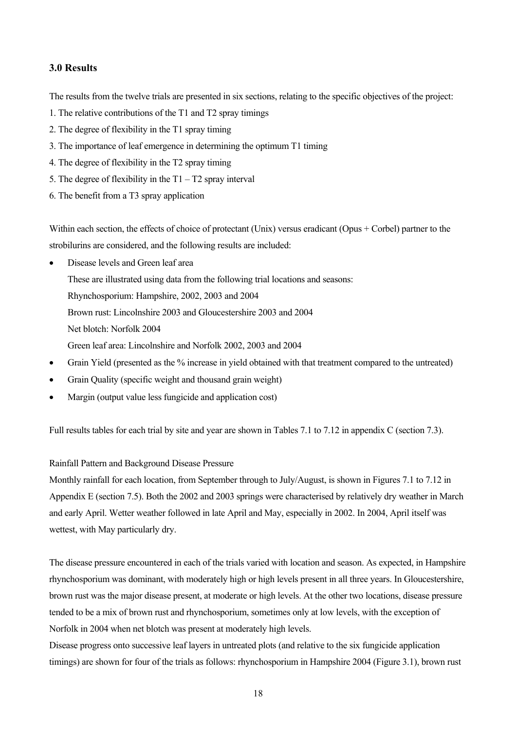# **3.0 Results**

The results from the twelve trials are presented in six sections, relating to the specific objectives of the project:

- 1. The relative contributions of the T1 and T2 spray timings
- 2. The degree of flexibility in the T1 spray timing
- 3. The importance of leaf emergence in determining the optimum T1 timing
- 4. The degree of flexibility in the T2 spray timing
- 5. The degree of flexibility in the  $T1 T2$  spray interval
- 6. The benefit from a T3 spray application

Within each section, the effects of choice of protectant (Unix) versus eradicant (Opus + Corbel) partner to the strobilurins are considered, and the following results are included:

- Disease levels and Green leaf area These are illustrated using data from the following trial locations and seasons: Rhynchosporium: Hampshire, 2002, 2003 and 2004 Brown rust: Lincolnshire 2003 and Gloucestershire 2003 and 2004 Net blotch: Norfolk 2004 Green leaf area: Lincolnshire and Norfolk 2002, 2003 and 2004
- Grain Yield (presented as the % increase in yield obtained with that treatment compared to the untreated)
- Grain Quality (specific weight and thousand grain weight)
- Margin (output value less fungicide and application cost)

Full results tables for each trial by site and year are shown in Tables 7.1 to 7.12 in appendix C (section 7.3).

# Rainfall Pattern and Background Disease Pressure

Monthly rainfall for each location, from September through to July/August, is shown in Figures 7.1 to 7.12 in Appendix E (section 7.5). Both the 2002 and 2003 springs were characterised by relatively dry weather in March and early April. Wetter weather followed in late April and May, especially in 2002. In 2004, April itself was wettest, with May particularly dry.

The disease pressure encountered in each of the trials varied with location and season. As expected, in Hampshire rhynchosporium was dominant, with moderately high or high levels present in all three years. In Gloucestershire, brown rust was the major disease present, at moderate or high levels. At the other two locations, disease pressure tended to be a mix of brown rust and rhynchosporium, sometimes only at low levels, with the exception of Norfolk in 2004 when net blotch was present at moderately high levels.

Disease progress onto successive leaf layers in untreated plots (and relative to the six fungicide application timings) are shown for four of the trials as follows: rhynchosporium in Hampshire 2004 (Figure 3.1), brown rust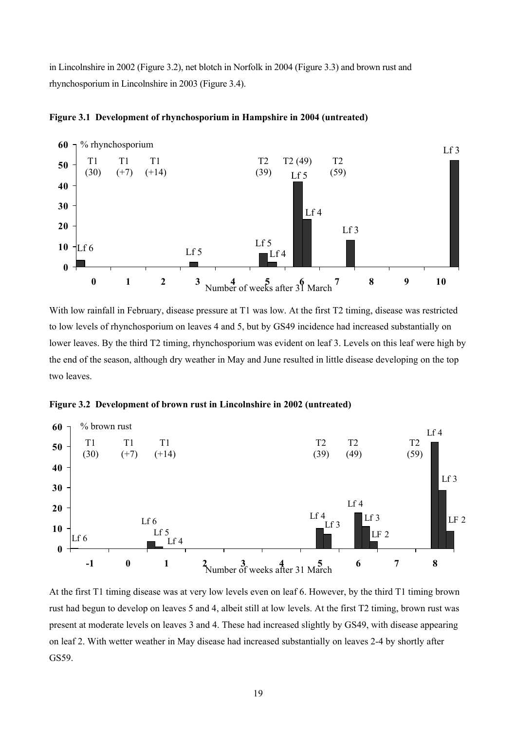in Lincolnshire in 2002 (Figure 3.2), net blotch in Norfolk in 2004 (Figure 3.3) and brown rust and rhynchosporium in Lincolnshire in 2003 (Figure 3.4).



**Figure 3.1 Development of rhynchosporium in Hampshire in 2004 (untreated)** 

With low rainfall in February, disease pressure at T1 was low. At the first T2 timing, disease was restricted to low levels of rhynchosporium on leaves 4 and 5, but by GS49 incidence had increased substantially on lower leaves. By the third T2 timing, rhynchosporium was evident on leaf 3. Levels on this leaf were high by the end of the season, although dry weather in May and June resulted in little disease developing on the top two leaves.





At the first T1 timing disease was at very low levels even on leaf 6. However, by the third T1 timing brown rust had begun to develop on leaves 5 and 4, albeit still at low levels. At the first T2 timing, brown rust was present at moderate levels on leaves 3 and 4. These had increased slightly by GS49, with disease appearing on leaf 2. With wetter weather in May disease had increased substantially on leaves 2-4 by shortly after GS59.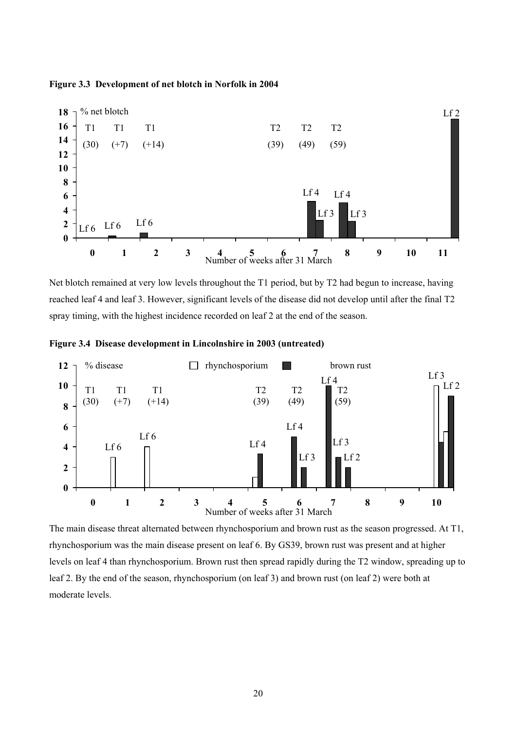



Net blotch remained at very low levels throughout the T1 period, but by T2 had begun to increase, having reached leaf 4 and leaf 3. However, significant levels of the disease did not develop until after the final T2 spray timing, with the highest incidence recorded on leaf 2 at the end of the season.

**Figure 3.4 Disease development in Lincolnshire in 2003 (untreated)**



The main disease threat alternated between rhynchosporium and brown rust as the season progressed. At T1, rhynchosporium was the main disease present on leaf 6. By GS39, brown rust was present and at higher levels on leaf 4 than rhynchosporium. Brown rust then spread rapidly during the T2 window, spreading up to leaf 2. By the end of the season, rhynchosporium (on leaf 3) and brown rust (on leaf 2) were both at moderate levels.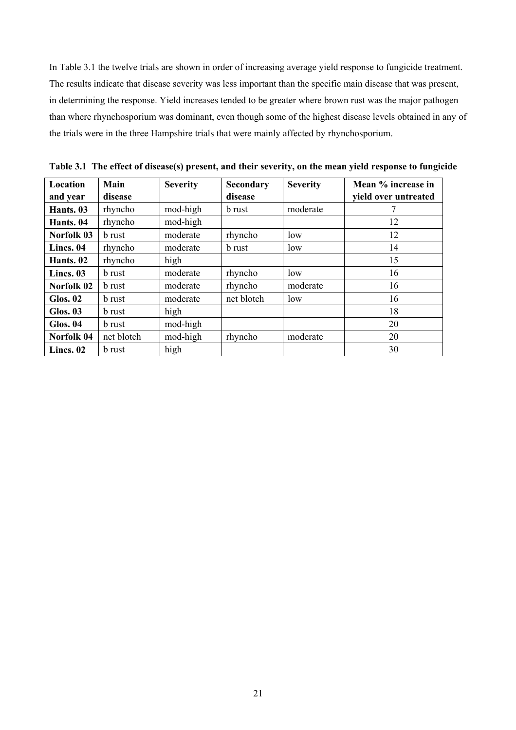In Table 3.1 the twelve trials are shown in order of increasing average yield response to fungicide treatment. The results indicate that disease severity was less important than the specific main disease that was present, in determining the response. Yield increases tended to be greater where brown rust was the major pathogen than where rhynchosporium was dominant, even though some of the highest disease levels obtained in any of the trials were in the three Hampshire trials that were mainly affected by rhynchosporium.

| Location        | Main          | <b>Severity</b> | <b>Secondary</b> | <b>Severity</b> | Mean % increase in   |
|-----------------|---------------|-----------------|------------------|-----------------|----------------------|
| and year        | disease       |                 | disease          |                 | yield over untreated |
| Hants. 03       | rhyncho       | mod-high        | <b>b</b> rust    | moderate        |                      |
| Hants. 04       | rhyncho       | mod-high        |                  |                 | 12                   |
| Norfolk 03      | <b>b</b> rust | moderate        | rhyncho          | low             | 12                   |
| Lincs. 04       | rhyncho       | moderate        | <b>b</b> rust    | low             | 14                   |
| Hants. 02       | rhyncho       | high            |                  |                 | 15                   |
| Lincs. 03       | <b>b</b> rust | moderate        | rhyncho          | low             | 16                   |
| Norfolk 02      | <b>b</b> rust | moderate        | rhyncho          | moderate        | 16                   |
| <b>Glos. 02</b> | <b>b</b> rust | moderate        | net blotch       | low             | 16                   |
| <b>Glos. 03</b> | <b>b</b> rust | high            |                  |                 | 18                   |
| <b>Glos. 04</b> | <b>b</b> rust | mod-high        |                  |                 | 20                   |
| Norfolk 04      | net blotch    | mod-high        | rhyncho          | moderate        | 20                   |
| Lincs. 02       | b rust        | high            |                  |                 | 30                   |

**Table 3.1 The effect of disease(s) present, and their severity, on the mean yield response to fungicide**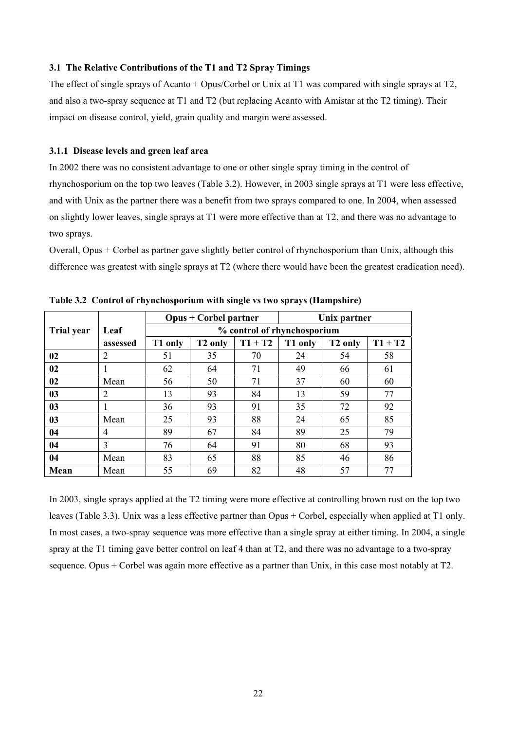#### **3.1 The Relative Contributions of the T1 and T2 Spray Timings**

The effect of single sprays of Acanto + Opus/Corbel or Unix at T1 was compared with single sprays at T2, and also a two-spray sequence at T1 and T2 (but replacing Acanto with Amistar at the T2 timing). Their impact on disease control, yield, grain quality and margin were assessed.

#### **3.1.1 Disease levels and green leaf area**

In 2002 there was no consistent advantage to one or other single spray timing in the control of rhynchosporium on the top two leaves (Table 3.2). However, in 2003 single sprays at T1 were less effective, and with Unix as the partner there was a benefit from two sprays compared to one. In 2004, when assessed on slightly lower leaves, single sprays at T1 were more effective than at T2, and there was no advantage to two sprays.

Overall, Opus + Corbel as partner gave slightly better control of rhynchosporium than Unix, although this difference was greatest with single sprays at T2 (where there would have been the greatest eradication need).

|                   |                | <b>Opus + Corbel partner</b><br>Unix partner |                     |                             |         |                     |           |
|-------------------|----------------|----------------------------------------------|---------------------|-----------------------------|---------|---------------------|-----------|
| <b>Trial year</b> | Leaf           |                                              |                     | % control of rhynchosporium |         |                     |           |
|                   | assessed       | T1 only                                      | T <sub>2</sub> only | $T1 + T2$                   | T1 only | T <sub>2</sub> only | $T1 + T2$ |
| 02                | 2              | 51                                           | 35                  | 70                          | 24      | 54                  | 58        |
| 02                | 1              | 62                                           | 64                  | 71                          | 49      | 66                  | 61        |
| 02                | Mean           | 56                                           | 50                  | 71                          | 37      | 60                  | 60        |
| 03                | 2              | 13                                           | 93                  | 84                          | 13      | 59                  | 77        |
| 03                | 1              | 36                                           | 93                  | 91                          | 35      | 72                  | 92        |
| 03                | Mean           | 25                                           | 93                  | 88                          | 24      | 65                  | 85        |
| 04                | 4              | 89                                           | 67                  | 84                          | 89      | 25                  | 79        |
| 04                | $\overline{3}$ | 76                                           | 64                  | 91                          | 80      | 68                  | 93        |
| 04                | Mean           | 83                                           | 65                  | 88                          | 85      | 46                  | 86        |
| Mean              | Mean           | 55                                           | 69                  | 82                          | 48      | 57                  | 77        |

**Table 3.2 Control of rhynchosporium with single vs two sprays (Hampshire)** 

In 2003, single sprays applied at the T2 timing were more effective at controlling brown rust on the top two leaves (Table 3.3). Unix was a less effective partner than Opus + Corbel, especially when applied at T1 only. In most cases, a two-spray sequence was more effective than a single spray at either timing. In 2004, a single spray at the T1 timing gave better control on leaf 4 than at T2, and there was no advantage to a two-spray sequence. Opus + Corbel was again more effective as a partner than Unix, in this case most notably at T2.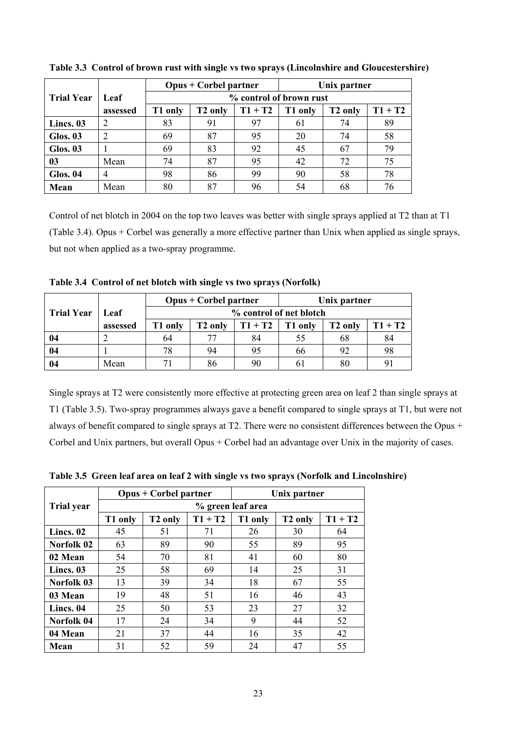|                   |                | $Opus + Corbel partner$<br>Unix partner                                                    |                            |    |    |    |    |  |  |  |
|-------------------|----------------|--------------------------------------------------------------------------------------------|----------------------------|----|----|----|----|--|--|--|
| <b>Trial Year</b> | Leaf           | % control of brown rust                                                                    |                            |    |    |    |    |  |  |  |
|                   | assessed       | $T1 + T2$<br>$T1 + T2$<br>T <sub>2</sub> only<br>T1 only<br>T <sub>2</sub> only<br>T1 only |                            |    |    |    |    |  |  |  |
| Lincs. 03         | 2              | 83                                                                                         | 91                         | 97 | 61 | 74 | 89 |  |  |  |
| Glos. 03          | $\overline{2}$ | 69                                                                                         | 87                         | 95 | 20 | 74 | 58 |  |  |  |
| Glos. 03          |                | 69                                                                                         | 83                         | 92 | 45 | 67 | 79 |  |  |  |
| 03                | Mean           | 74                                                                                         | 87                         | 95 | 42 | 72 | 75 |  |  |  |
| <b>Glos. 04</b>   | $\overline{4}$ | 98                                                                                         | 78<br>86<br>99<br>58<br>90 |    |    |    |    |  |  |  |
| Mean              | Mean           | 80                                                                                         | 87                         | 96 | 54 | 68 | 76 |  |  |  |

**Table 3.3 Control of brown rust with single vs two sprays (Lincolnshire and Gloucestershire)** 

Control of net blotch in 2004 on the top two leaves was better with single sprays applied at T2 than at T1 (Table 3.4). Opus + Corbel was generally a more effective partner than Unix when applied as single sprays, but not when applied as a two-spray programme.

**Table 3.4 Control of net blotch with single vs two sprays (Norfolk)** 

|                   |          |         | $Opus + Corbel partner$ |           | Unix partner |         |           |  |  |  |  |
|-------------------|----------|---------|-------------------------|-----------|--------------|---------|-----------|--|--|--|--|
| <b>Trial Year</b> | Leaf     |         | % control of net blotch |           |              |         |           |  |  |  |  |
|                   | assessed | T1 only | T2 only                 | $T1 + T2$ | T1 only      | T2 only | $T1 + T2$ |  |  |  |  |
| 04                |          | 64      | 77                      | 84        | 55           | 68      | 84        |  |  |  |  |
| 04                |          | 78      | 94                      | 95        | 66           | 92      | 98        |  |  |  |  |
| 04                | Mean     |         | 86                      | 90        | 61           | 80      | 91        |  |  |  |  |

Single sprays at T2 were consistently more effective at protecting green area on leaf 2 than single sprays at T1 (Table 3.5). Two-spray programmes always gave a benefit compared to single sprays at T1, but were not always of benefit compared to single sprays at T2. There were no consistent differences between the Opus + Corbel and Unix partners, but overall Opus + Corbel had an advantage over Unix in the majority of cases.

|                   |                   | <b>Opus + Corbel partner</b> |           |         | Unix partner        |           |  |  |  |  |  |
|-------------------|-------------------|------------------------------|-----------|---------|---------------------|-----------|--|--|--|--|--|
| <b>Trial year</b> | % green leaf area |                              |           |         |                     |           |  |  |  |  |  |
|                   | T1 only           | T <sub>2</sub> only          | $T1 + T2$ | T1 only | T <sub>2</sub> only | $T1 + T2$ |  |  |  |  |  |
| Lincs. 02         | 45                | 51                           | 71        | 26      | 30                  | 64        |  |  |  |  |  |
| Norfolk 02        | 63                | 89                           | 90        | 55      | 89                  | 95        |  |  |  |  |  |
| 02 Mean           | 54                | 70                           | 81        | 41      | 60                  | 80        |  |  |  |  |  |
| Lincs. 03         | 25                | 58                           | 69        | 14      | 25                  | 31        |  |  |  |  |  |
| Norfolk 03        | 13                | 39                           | 34        | 18      | 67                  | 55        |  |  |  |  |  |
| 03 Mean           | 19                | 48                           | 51        | 16      | 46                  | 43        |  |  |  |  |  |
| Lincs. 04         | 25                | 50                           | 53        | 23      | 27                  | 32        |  |  |  |  |  |
| Norfolk 04        | 17                | 24                           | 34        | 9       | 44                  | 52        |  |  |  |  |  |
| 04 Mean           | 21                | 37                           | 44        | 16      | 35                  | 42        |  |  |  |  |  |
| Mean              | 31                | 52                           | 59        | 24      | 47                  | 55        |  |  |  |  |  |

**Table 3.5 Green leaf area on leaf 2 with single vs two sprays (Norfolk and Lincolnshire)**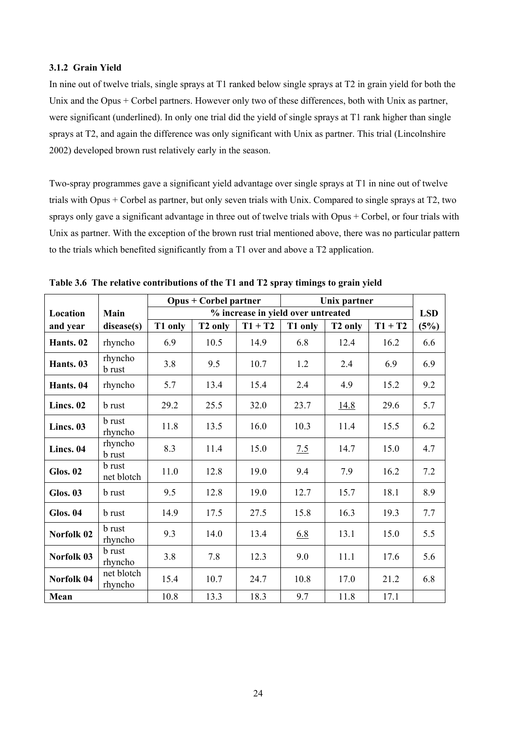#### **3.1.2 Grain Yield**

In nine out of twelve trials, single sprays at T1 ranked below single sprays at T2 in grain yield for both the Unix and the Opus + Corbel partners. However only two of these differences, both with Unix as partner, were significant (underlined). In only one trial did the yield of single sprays at T1 rank higher than single sprays at T2, and again the difference was only significant with Unix as partner. This trial (Lincolnshire 2002) developed brown rust relatively early in the season.

Two-spray programmes gave a significant yield advantage over single sprays at T1 in nine out of twelve trials with Opus + Corbel as partner, but only seven trials with Unix. Compared to single sprays at T2, two sprays only gave a significant advantage in three out of twelve trials with Opus + Corbel, or four trials with Unix as partner. With the exception of the brown rust trial mentioned above, there was no particular pattern to the trials which benefited significantly from a T1 over and above a T2 application.

|                 |                             | <b>Opus + Corbel partner</b> |                     |                                    |            | Unix partner        |           |            |
|-----------------|-----------------------------|------------------------------|---------------------|------------------------------------|------------|---------------------|-----------|------------|
| Location        | Main                        |                              |                     | % increase in yield over untreated |            |                     |           | <b>LSD</b> |
| and year        | disease(s)                  | T1 only                      | T <sub>2</sub> only | $T1 + T2$                          | T1 only    | T <sub>2</sub> only | $T1 + T2$ | (5%)       |
| Hants. 02       | rhyncho                     | 6.9                          | 10.5                | 14.9                               | 6.8        | 12.4                | 16.2      | 6.6        |
| Hants. 03       | rhyncho<br><b>b</b> rust    | 3.8                          | 9.5                 | 10.7                               | 1.2        | 2.4                 | 6.9       | 6.9        |
| Hants. 04       | rhyncho                     | 5.7                          | 13.4                | 15.4                               | 2.4        | 4.9                 | 15.2      | 9.2        |
| Lincs. 02       | <b>b</b> rust               | 29.2                         | 25.5                | 32.0                               | 23.7       | 14.8                | 29.6      | 5.7        |
| Lincs. 03       | <b>b</b> rust<br>rhyncho    | 11.8                         | 13.5                | 16.0                               | 10.3       | 11.4                | 15.5      | 6.2        |
| Lincs. 04       | rhyncho<br><b>b</b> rust    | 8.3                          | 11.4                | 15.0                               | 7.5        | 14.7                | 15.0      | 4.7        |
| <b>Glos. 02</b> | <b>b</b> rust<br>net blotch | 11.0                         | 12.8                | 19.0                               | 9.4        | 7.9                 | 16.2      | 7.2        |
| <b>Glos. 03</b> | <b>b</b> rust               | 9.5                          | 12.8                | 19.0                               | 12.7       | 15.7                | 18.1      | 8.9        |
| Glos. 04        | <b>b</b> rust               | 14.9                         | 17.5                | 27.5                               | 15.8       | 16.3                | 19.3      | 7.7        |
| Norfolk 02      | <b>b</b> rust<br>rhyncho    | 9.3                          | 14.0                | 13.4                               | <u>6.8</u> | 13.1                | 15.0      | 5.5        |
| Norfolk 03      | <b>b</b> rust<br>rhyncho    | 3.8                          | 7.8                 | 12.3                               | 9.0        | 11.1                | 17.6      | 5.6        |
| Norfolk 04      | net blotch<br>rhyncho       | 15.4                         | 10.7                | 24.7                               | 10.8       | 17.0                | 21.2      | 6.8        |
| Mean            |                             | 10.8                         | 13.3                | 18.3                               | 9.7        | 11.8                | 17.1      |            |

**Table 3.6 The relative contributions of the T1 and T2 spray timings to grain yield**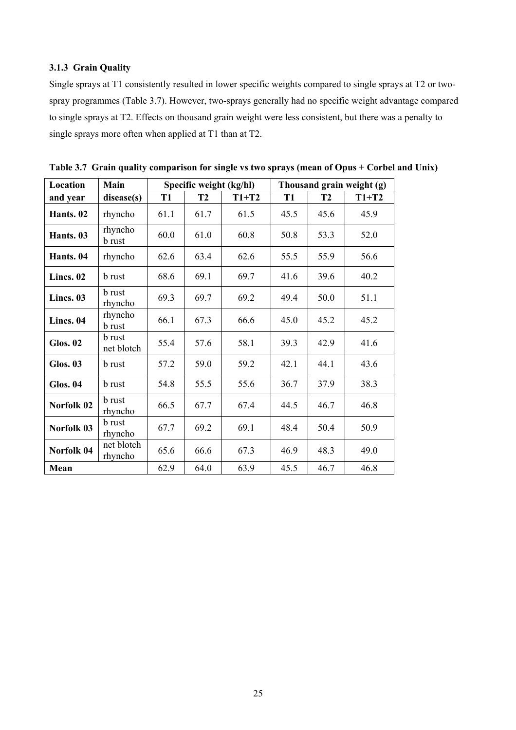# **3.1.3 Grain Quality**

Single sprays at T1 consistently resulted in lower specific weights compared to single sprays at T2 or twospray programmes (Table 3.7). However, two-sprays generally had no specific weight advantage compared to single sprays at T2. Effects on thousand grain weight were less consistent, but there was a penalty to single sprays more often when applied at T1 than at T2.

| Location        | Main                        |           | Specific weight (kg/hl) |         |      | Thousand grain weight (g) |         |  |  |
|-----------------|-----------------------------|-----------|-------------------------|---------|------|---------------------------|---------|--|--|
| and year        | disease(s)                  | <b>T1</b> | <b>T2</b>               | $T1+T2$ | T1   | <b>T2</b>                 | $T1+T2$ |  |  |
| Hants. 02       | rhyncho                     | 61.1      | 61.7                    | 61.5    | 45.5 | 45.6                      | 45.9    |  |  |
| Hants. 03       | rhyncho<br><b>b</b> rust    | 60.0      | 61.0                    | 60.8    | 50.8 | 53.3                      | 52.0    |  |  |
| Hants. 04       | rhyncho                     | 62.6      | 63.4                    | 62.6    | 55.5 | 55.9                      | 56.6    |  |  |
| Lincs. $02$     | <b>b</b> rust               | 68.6      | 69.1                    | 69.7    | 41.6 | 39.6                      | 40.2    |  |  |
| Lincs. 03       | <b>b</b> rust<br>rhyncho    | 69.3      | 69.7                    | 69.2    | 49.4 | 50.0                      | 51.1    |  |  |
| Lincs. 04       | rhyncho<br><b>b</b> rust    | 66.1      | 67.3                    | 66.6    | 45.0 | 45.2                      | 45.2    |  |  |
| <b>Glos. 02</b> | <b>b</b> rust<br>net blotch | 55.4      | 57.6                    | 58.1    | 39.3 | 42.9                      | 41.6    |  |  |
| <b>Glos. 03</b> | <b>b</b> rust               | 57.2      | 59.0                    | 59.2    | 42.1 | 44.1                      | 43.6    |  |  |
| Glos. 04        | <b>b</b> rust               | 54.8      | 55.5                    | 55.6    | 36.7 | 37.9                      | 38.3    |  |  |
| Norfolk 02      | <b>b</b> rust<br>rhyncho    | 66.5      | 67.7                    | 67.4    | 44.5 | 46.7                      | 46.8    |  |  |
| Norfolk 03      | <b>b</b> rust<br>rhyncho    | 67.7      | 69.2                    | 69.1    | 48.4 | 50.4                      | 50.9    |  |  |
| Norfolk 04      | net blotch<br>rhyncho       | 65.6      | 66.6                    | 67.3    | 46.9 | 48.3                      | 49.0    |  |  |
| Mean            |                             | 62.9      | 64.0                    | 63.9    | 45.5 | 46.7                      | 46.8    |  |  |

**Table 3.7 Grain quality comparison for single vs two sprays (mean of Opus + Corbel and Unix)**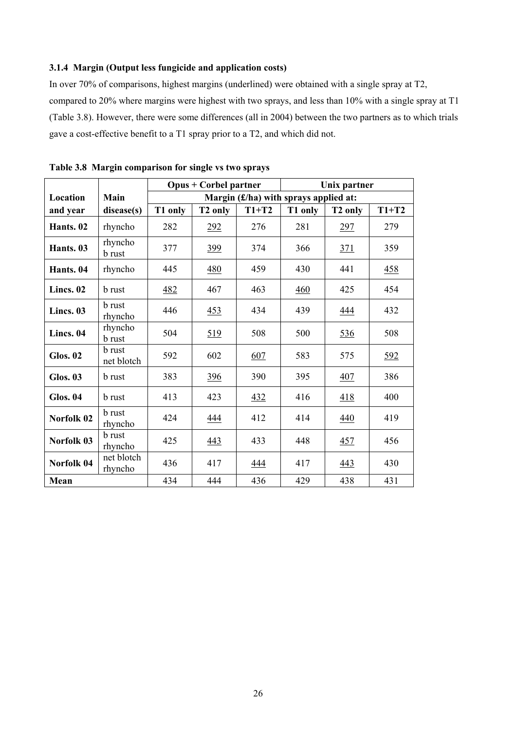# **3.1.4 Margin (Output less fungicide and application costs)**

In over 70% of comparisons, highest margins (underlined) were obtained with a single spray at T2, compared to 20% where margins were highest with two sprays, and less than 10% with a single spray at T1 (Table 3.8). However, there were some differences (all in 2004) between the two partners as to which trials gave a cost-effective benefit to a T1 spray prior to a T2, and which did not.

|                 |                             |         | <b>Opus + Corbel partner</b> |         |                                         | Unix partner        |            |
|-----------------|-----------------------------|---------|------------------------------|---------|-----------------------------------------|---------------------|------------|
| Location        | Main                        |         |                              |         | Margin $(f/ha)$ with sprays applied at: |                     |            |
| and year        | disease(s)                  | T1 only | T <sub>2</sub> only          | $T1+T2$ | T1 only                                 | T <sub>2</sub> only | $T1+T2$    |
| Hants. 02       | rhyncho                     | 282     | 292                          | 276     | 281                                     | <u>297</u>          | 279        |
| Hants. 03       | rhyncho<br><b>b</b> rust    | 377     | <u>399</u>                   | 374     | 366                                     | 371                 | 359        |
| Hants. 04       | rhyncho                     | 445     | <u>480</u>                   | 459     | 430                                     | 441                 | <u>458</u> |
| Lincs. 02       | <b>b</b> rust               | 482     | 467                          | 463     | 460                                     | 425                 | 454        |
| Lincs. 03       | <b>b</b> rust<br>rhyncho    | 446     | 453                          | 434     | 439                                     | <u>444</u>          | 432        |
| Lincs. 04       | rhyncho<br><b>b</b> rust    | 504     | 519                          | 508     | 500                                     | 536                 | 508        |
| <b>Glos. 02</b> | <b>b</b> rust<br>net blotch | 592     | 602                          | 607     | 583                                     | 575                 | 592        |
| <b>Glos. 03</b> | <b>b</b> rust               | 383     | <u>396</u>                   | 390     | 395                                     | 407                 | 386        |
| <b>Glos. 04</b> | <b>b</b> rust               | 413     | 423                          | 432     | 416                                     | 418                 | 400        |
| Norfolk 02      | <b>b</b> rust<br>rhyncho    | 424     | 444                          | 412     | 414                                     | 440                 | 419        |
| Norfolk 03      | <b>b</b> rust<br>rhyncho    | 425     | 443                          | 433     | 448                                     | 457                 | 456        |
| Norfolk 04      | net blotch<br>rhyncho       | 436     | 417                          | 444     | 417                                     | 443                 | 430        |
| Mean            |                             | 434     | 444                          | 436     | 429                                     | 438                 | 431        |

**Table 3.8 Margin comparison for single vs two sprays**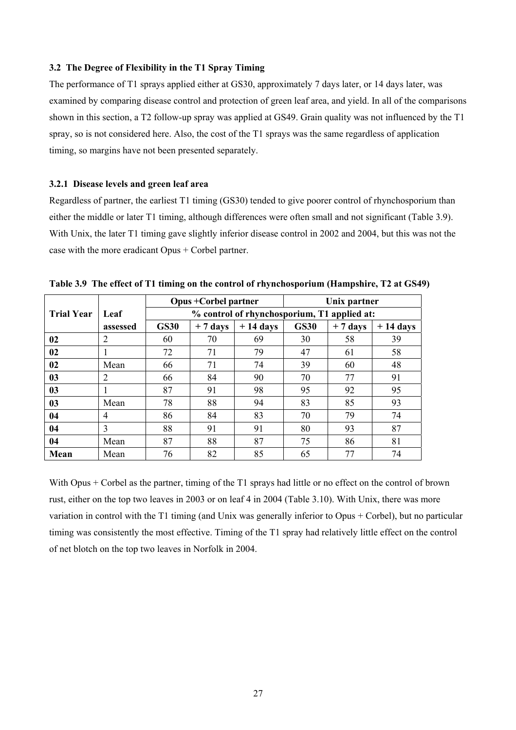### **3.2 The Degree of Flexibility in the T1 Spray Timing**

The performance of T1 sprays applied either at GS30, approximately 7 days later, or 14 days later, was examined by comparing disease control and protection of green leaf area, and yield. In all of the comparisons shown in this section, a T2 follow-up spray was applied at GS49. Grain quality was not influenced by the T1 spray, so is not considered here. Also, the cost of the T1 sprays was the same regardless of application timing, so margins have not been presented separately.

## **3.2.1 Disease levels and green leaf area**

Regardless of partner, the earliest T1 timing (GS30) tended to give poorer control of rhynchosporium than either the middle or later T1 timing, although differences were often small and not significant (Table 3.9). With Unix, the later T1 timing gave slightly inferior disease control in 2002 and 2004, but this was not the case with the more eradicant Opus + Corbel partner.

|                   |                |             | <b>Opus + Corbel partner</b> |                                             | Unix partner |           |            |  |
|-------------------|----------------|-------------|------------------------------|---------------------------------------------|--------------|-----------|------------|--|
| <b>Trial Year</b> | Leaf           |             |                              | % control of rhynchosporium, T1 applied at: |              |           |            |  |
|                   | assessed       | <b>GS30</b> | $+7$ days                    | $+14$ days                                  | <b>GS30</b>  | $+7$ days | $+14$ days |  |
| 02                | 2              | 60          | 70                           | 69                                          | 30           | 58        | 39         |  |
| 02                |                | 72          | 71                           | 79                                          | 47           | 61        | 58         |  |
| 02                | Mean           | 66          | 71                           | 74                                          | 39           | 60        | 48         |  |
| 0 <sub>3</sub>    | 2              | 66          | 84                           | 90                                          | 70           | 77        | 91         |  |
| 0 <sub>3</sub>    |                | 87          | 91                           | 98                                          | 95           | 92        | 95         |  |
| 0 <sub>3</sub>    | Mean           | 78          | 88                           | 94                                          | 83           | 85        | 93         |  |
| 04                | $\overline{4}$ | 86          | 84                           | 83                                          | 70           | 79        | 74         |  |
| 04                | $\overline{3}$ | 88          | 91                           | 91                                          | 80           | 93        | 87         |  |
| 04                | Mean           | 87          | 88                           | 87                                          | 75           | 86        | 81         |  |
| Mean              | Mean           | 76          | 82                           | 85                                          | 65           | 77        | 74         |  |

**Table 3.9 The effect of T1 timing on the control of rhynchosporium (Hampshire, T2 at GS49)** 

With Opus + Corbel as the partner, timing of the T1 sprays had little or no effect on the control of brown rust, either on the top two leaves in 2003 or on leaf 4 in 2004 (Table 3.10). With Unix, there was more variation in control with the T1 timing (and Unix was generally inferior to Opus + Corbel), but no particular timing was consistently the most effective. Timing of the T1 spray had relatively little effect on the control of net blotch on the top two leaves in Norfolk in 2004.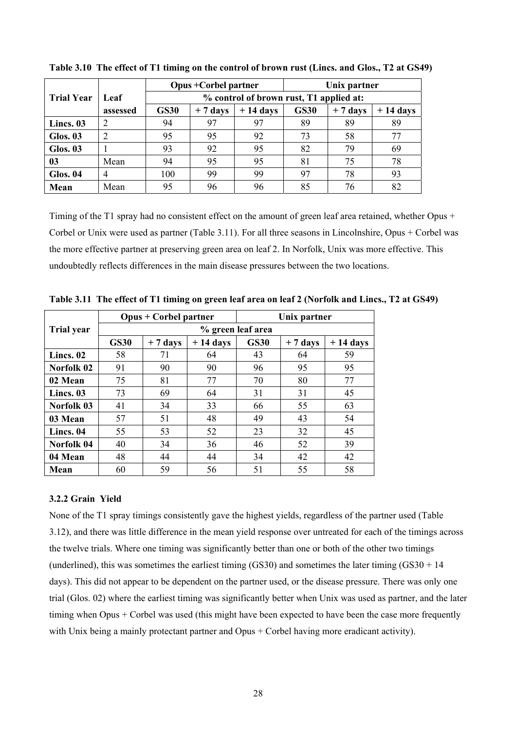|                   |          | <b>Opus + Corbel partner</b><br>Unix partner                                                                                |                            |    |    |    |    |  |  |  |  |
|-------------------|----------|-----------------------------------------------------------------------------------------------------------------------------|----------------------------|----|----|----|----|--|--|--|--|
| <b>Trial Year</b> | Leaf     | % control of brown rust, T1 applied at:<br><b>GS30</b><br><b>GS30</b><br>$+14$ days<br>$+14$ days<br>$+7$ days<br>$+7$ days |                            |    |    |    |    |  |  |  |  |
|                   | assessed |                                                                                                                             |                            |    |    |    |    |  |  |  |  |
| Lincs. 03         | 2        | 94                                                                                                                          | 97                         | 97 | 89 | 89 | 89 |  |  |  |  |
| Glos. 03          | 2        | 95                                                                                                                          | 95                         | 92 | 73 | 58 | 77 |  |  |  |  |
| Glos. 03          |          | 93                                                                                                                          | 92                         | 95 | 82 | 79 | 69 |  |  |  |  |
| 03                | Mean     | 94                                                                                                                          | 95                         | 95 | 81 | 75 | 78 |  |  |  |  |
| <b>Glos. 04</b>   | 4        | 100                                                                                                                         | 97<br>93<br>99<br>99<br>78 |    |    |    |    |  |  |  |  |
| Mean              | Mean     | 95                                                                                                                          | 96                         | 96 | 85 | 76 | 82 |  |  |  |  |

**Table 3.10 The effect of T1 timing on the control of brown rust (Lincs. and Glos., T2 at GS49)** 

Timing of the T1 spray had no consistent effect on the amount of green leaf area retained, whether Opus + Corbel or Unix were used as partner (Table 3.11). For all three seasons in Lincolnshire, Opus + Corbel was the more effective partner at preserving green area on leaf 2. In Norfolk, Unix was more effective. This undoubtedly reflects differences in the main disease pressures between the two locations.

|                   |             | $Opus + Corbel partner$ |            |                   | Unix partner |            |
|-------------------|-------------|-------------------------|------------|-------------------|--------------|------------|
| <b>Trial year</b> |             |                         |            | % green leaf area |              |            |
|                   | <b>GS30</b> | $+7$ days               | $+14$ days | <b>GS30</b>       | $+7$ days    | $+14$ days |
| Lincs. 02         | 58          | 71                      | 64         | 43                | 64           | 59         |
| Norfolk 02        | 91          | 90                      | 90         | 96                | 95           | 95         |
| 02 Mean           | 75          | 81                      | 77         | 70                | 80           | 77         |
| Lincs. 03         | 73          | 69                      | 64         | 31                | 31           | 45         |
| Norfolk 03        | 41          | 34                      | 33         | 66                | 55           | 63         |
| 03 Mean           | 57          | 51                      | 48         | 49                | 43           | 54         |
| Lincs. 04         | 55          | 53                      | 52         | 23                | 32           | 45         |
| Norfolk 04        | 40          | 34                      | 36         | 46                | 52           | 39         |
| 04 Mean           | 48          | 44                      | 44         | 34                | 42           | 42         |
| Mean              | 60          | 59                      | 56         | 51                | 55           | 58         |

**Table 3.11 The effect of T1 timing on green leaf area on leaf 2 (Norfolk and Lincs., T2 at GS49)** 

#### **3.2.2 Grain Yield**

None of the T1 spray timings consistently gave the highest yields, regardless of the partner used (Table 3.12), and there was little difference in the mean yield response over untreated for each of the timings across the twelve trials. Where one timing was significantly better than one or both of the other two timings (underlined), this was sometimes the earliest timing  $(GS30)$  and sometimes the later timing  $(GS30 + 14)$ days). This did not appear to be dependent on the partner used, or the disease pressure. There was only one trial (Glos. 02) where the earliest timing was significantly better when Unix was used as partner, and the later timing when Opus + Corbel was used (this might have been expected to have been the case more frequently with Unix being a mainly protectant partner and Opus + Corbel having more eradicant activity).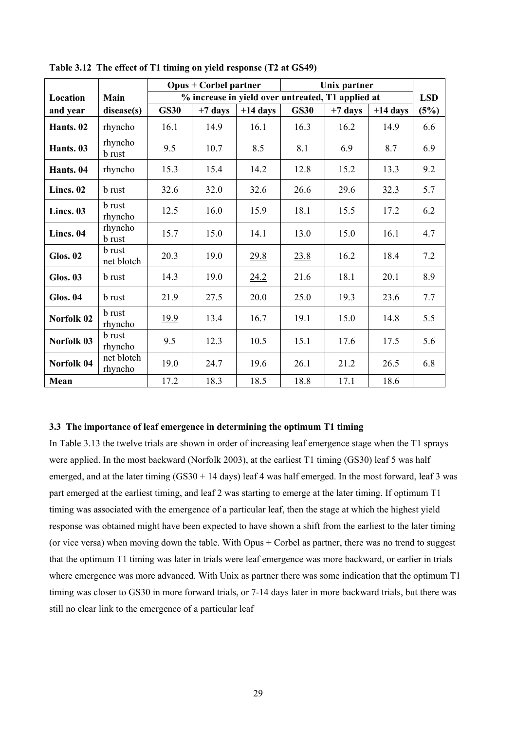|                 |                          |             | $Opus + Corbel partner$ |                                                   |             | Unix partner |            |            |
|-----------------|--------------------------|-------------|-------------------------|---------------------------------------------------|-------------|--------------|------------|------------|
| Location        | Main                     |             |                         | % increase in yield over untreated, T1 applied at |             |              |            | <b>LSD</b> |
| and year        | disease(s)               | <b>GS30</b> | $+7$ days               | $+14$ days                                        | <b>GS30</b> | $+7$ days    | $+14$ days | (5%)       |
| Hants. 02       | rhyncho                  | 16.1        | 14.9                    | 16.1                                              | 16.3        | 16.2         | 14.9       | 6.6        |
| Hants. 03       | rhyncho<br><b>b</b> rust | 9.5         | 10.7                    | 8.5                                               | 8.1         | 6.9          | 8.7        | 6.9        |
| Hants. 04       | rhyncho                  | 15.3        | 15.4                    | 14.2                                              | 12.8        | 15.2         | 13.3       | 9.2        |
| Lincs. 02       | <b>b</b> rust            | 32.6        | 32.0                    | 32.6                                              | 26.6        | 29.6         | 32.3       | 5.7        |
| Lincs. 03       | b rust<br>rhyncho        | 12.5        | 16.0                    | 15.9                                              | 18.1        | 15.5         | 17.2       | 6.2        |
| Lincs. 04       | rhyncho<br><b>b</b> rust | 15.7        | 15.0                    | 14.1                                              | 13.0        | 15.0         | 16.1       | 4.7        |
| <b>Glos. 02</b> | b rust<br>net blotch     | 20.3        | 19.0                    | <u>29.8</u>                                       | 23.8        | 16.2         | 18.4       | 7.2        |
| <b>Glos. 03</b> | <b>b</b> rust            | 14.3        | 19.0                    | 24.2                                              | 21.6        | 18.1         | 20.1       | 8.9        |
| <b>Glos. 04</b> | <b>b</b> rust            | 21.9        | 27.5                    | 20.0                                              | 25.0        | 19.3         | 23.6       | 7.7        |
| Norfolk 02      | <b>b</b> rust<br>rhyncho | 19.9        | 13.4                    | 16.7                                              | 19.1        | 15.0         | 14.8       | 5.5        |
| Norfolk 03      | <b>b</b> rust<br>rhyncho | 9.5         | 12.3                    | 10.5                                              | 15.1        | 17.6         | 17.5       | 5.6        |
| Norfolk 04      | net blotch<br>rhyncho    | 19.0        | 24.7                    | 19.6                                              | 26.1        | 21.2         | 26.5       | 6.8        |
| Mean            |                          | 17.2        | 18.3                    | 18.5                                              | 18.8        | 17.1         | 18.6       |            |

**Table 3.12 The effect of T1 timing on yield response (T2 at GS49)** 

#### **3.3 The importance of leaf emergence in determining the optimum T1 timing**

In Table 3.13 the twelve trials are shown in order of increasing leaf emergence stage when the T1 sprays were applied. In the most backward (Norfolk 2003), at the earliest T1 timing (GS30) leaf 5 was half emerged, and at the later timing  $(GS30 + 14 \text{ days})$  leaf 4 was half emerged. In the most forward, leaf 3 was part emerged at the earliest timing, and leaf 2 was starting to emerge at the later timing. If optimum T1 timing was associated with the emergence of a particular leaf, then the stage at which the highest yield response was obtained might have been expected to have shown a shift from the earliest to the later timing (or vice versa) when moving down the table. With Opus + Corbel as partner, there was no trend to suggest that the optimum T1 timing was later in trials were leaf emergence was more backward, or earlier in trials where emergence was more advanced. With Unix as partner there was some indication that the optimum T1 timing was closer to GS30 in more forward trials, or 7-14 days later in more backward trials, but there was still no clear link to the emergence of a particular leaf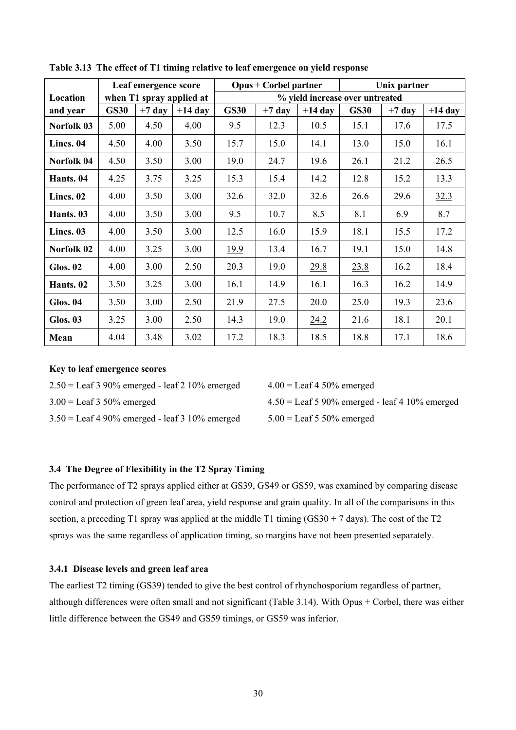|                 |             | Leaf emergence score |                          |             | <b>Opus + Corbel partner</b> |                                 | Unix partner |          |           |
|-----------------|-------------|----------------------|--------------------------|-------------|------------------------------|---------------------------------|--------------|----------|-----------|
| Location        |             |                      | when T1 spray applied at |             |                              | % yield increase over untreated |              |          |           |
| and year        | <b>GS30</b> | $+7$ day             | $+14$ day                | <b>GS30</b> | $+7$ day                     | $+14$ day                       | <b>GS30</b>  | $+7$ day | $+14$ day |
| Norfolk 03      | 5.00        | 4.50                 | 4.00                     | 9.5         | 12.3                         | 10.5                            | 15.1         | 17.6     | 17.5      |
| Lincs. 04       | 4.50        | 4.00                 | 3.50                     | 15.7        | 15.0                         | 14.1                            | 13.0         | 15.0     | 16.1      |
| Norfolk 04      | 4.50        | 3.50                 | 3.00                     | 19.0        | 24.7                         | 19.6                            | 26.1         | 21.2     | 26.5      |
| Hants. 04       | 4.25        | 3.75                 | 3.25                     | 15.3        | 15.4                         | 14.2                            | 12.8         | 15.2     | 13.3      |
| Lincs. 02       | 4.00        | 3.50                 | 3.00                     | 32.6        | 32.0                         | 32.6                            | 26.6         | 29.6     | 32.3      |
| Hants. 03       | 4.00        | 3.50                 | 3.00                     | 9.5         | 10.7                         | 8.5                             | 8.1          | 6.9      | 8.7       |
| Lincs. 03       | 4.00        | 3.50                 | 3.00                     | 12.5        | 16.0                         | 15.9                            | 18.1         | 15.5     | 17.2      |
| Norfolk 02      | 4.00        | 3.25                 | 3.00                     | 19.9        | 13.4                         | 16.7                            | 19.1         | 15.0     | 14.8      |
| <b>Glos. 02</b> | 4.00        | 3.00                 | 2.50                     | 20.3        | 19.0                         | 29.8                            | 23.8         | 16.2     | 18.4      |
| Hants. 02       | 3.50        | 3.25                 | 3.00                     | 16.1        | 14.9                         | 16.1                            | 16.3         | 16.2     | 14.9      |
| <b>Glos. 04</b> | 3.50        | 3.00                 | 2.50                     | 21.9        | 27.5                         | 20.0                            | 25.0         | 19.3     | 23.6      |
| <b>Glos. 03</b> | 3.25        | 3.00                 | 2.50                     | 14.3        | 19.0                         | 24.2                            | 21.6         | 18.1     | 20.1      |
| Mean            | 4.04        | 3.48                 | 3.02                     | 17.2        | 18.3                         | 18.5                            | 18.8         | 17.1     | 18.6      |

**Table 3.13 The effect of T1 timing relative to leaf emergence on yield response** 

#### **Key to leaf emergence scores**

 $2.50 =$  Leaf 3 90% emerged - leaf 2 10% emerged  $4.00 =$  Leaf 4 50% emerged

 $3.50 =$  Leaf 4 90% emerged - leaf 3 10% emerged  $5.00 =$  Leaf 5 50% emerged

3.00 = Leaf 3 50% emerged 4.50 = Leaf 5 90% emerged - leaf 4 10% emerged

## **3.4 The Degree of Flexibility in the T2 Spray Timing**

The performance of T2 sprays applied either at GS39, GS49 or GS59, was examined by comparing disease control and protection of green leaf area, yield response and grain quality. In all of the comparisons in this section, a preceding T1 spray was applied at the middle T1 timing  $(GS30 + 7 \text{ days})$ . The cost of the T2 sprays was the same regardless of application timing, so margins have not been presented separately.

## **3.4.1 Disease levels and green leaf area**

The earliest T2 timing (GS39) tended to give the best control of rhynchosporium regardless of partner, although differences were often small and not significant (Table 3.14). With Opus + Corbel, there was either little difference between the GS49 and GS59 timings, or GS59 was inferior.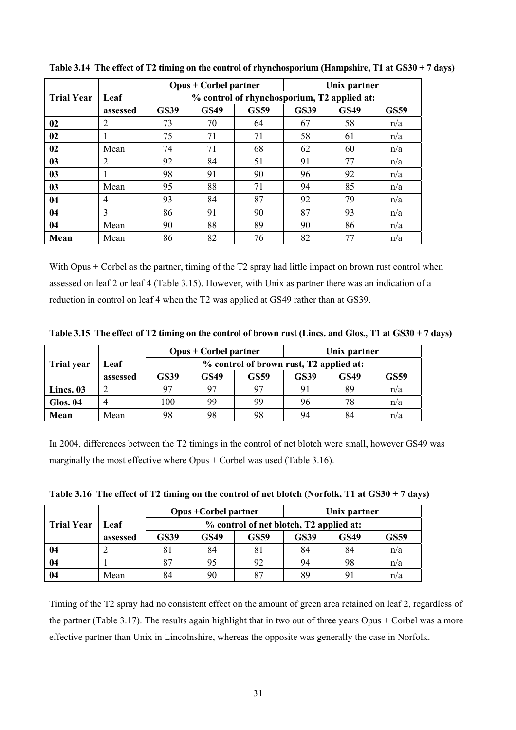|                   |                |             | <b>Opus + Corbel partner</b>                |             |             | Unix partner |             |  |  |  |  |
|-------------------|----------------|-------------|---------------------------------------------|-------------|-------------|--------------|-------------|--|--|--|--|
| <b>Trial Year</b> | Leaf           |             | % control of rhynchosporium, T2 applied at: |             |             |              |             |  |  |  |  |
|                   | assessed       | <b>GS39</b> | <b>GS49</b>                                 | <b>GS59</b> | <b>GS39</b> | <b>GS49</b>  | <b>GS59</b> |  |  |  |  |
| 02                | 2              | 73          | 70                                          | 64          | 67          | 58           | n/a         |  |  |  |  |
| 02                | 1              | 75          | 71                                          | 71          | 58          | 61           | n/a         |  |  |  |  |
| 02                | Mean           | 74          | 71                                          | 68          | 62          | 60           | n/a         |  |  |  |  |
| 0 <sub>3</sub>    | $\overline{2}$ | 92          | 84                                          | 51          | 91          | 77           | n/a         |  |  |  |  |
| 0 <sub>3</sub>    |                | 98          | 91                                          | 90          | 96          | 92           | n/a         |  |  |  |  |
| 0 <sub>3</sub>    | Mean           | 95          | 88                                          | 71          | 94          | 85           | n/a         |  |  |  |  |
| 04                | $\overline{4}$ | 93          | 84                                          | 87          | 92          | 79           | n/a         |  |  |  |  |
| 04                | 3              | 86          | 91                                          | 90          | 87          | 93           | n/a         |  |  |  |  |
| 04                | Mean           | 90          | 88                                          | 89          | 90          | 86           | n/a         |  |  |  |  |
| Mean              | Mean           | 86          | 82                                          | 76          | 82          | 77           | n/a         |  |  |  |  |

**Table 3.14 The effect of T2 timing on the control of rhynchosporium (Hampshire, T1 at GS30 + 7 days)** 

With Opus + Corbel as the partner, timing of the T2 spray had little impact on brown rust control when assessed on leaf 2 or leaf 4 (Table 3.15). However, with Unix as partner there was an indication of a reduction in control on leaf 4 when the T2 was applied at GS49 rather than at GS39.

**Table 3.15 The effect of T2 timing on the control of brown rust (Lincs. and Glos., T1 at GS30 + 7 days)** 

|                                        |      |                                         | $Opus + Corbel partner$ |             | Unix partner |             |             |  |
|----------------------------------------|------|-----------------------------------------|-------------------------|-------------|--------------|-------------|-------------|--|
| <b>Trial year</b>                      | Leaf | % control of brown rust, T2 applied at: |                         |             |              |             |             |  |
| <b>GS39</b><br><b>GS49</b><br>assessed |      |                                         |                         | <b>GS59</b> | <b>GS39</b>  | <b>GS49</b> | <b>GS59</b> |  |
| Lincs. 03                              |      | 97                                      | 97                      | 97          | 91           | 89          | n/a         |  |
| <b>Glos. 04</b>                        |      | 100                                     | 99                      | 99          | 96           | 78          | n/a         |  |
| Mean                                   | Mean | 98                                      | 98                      | 98          | 94           | 84          | n/a         |  |

In 2004, differences between the T2 timings in the control of net blotch were small, however GS49 was marginally the most effective where Opus + Corbel was used (Table 3.16).

| Table 3.16 The effect of T2 timing on the control of net blotch (Norfolk, T1 at GS30 + 7 days) |  |  |
|------------------------------------------------------------------------------------------------|--|--|
|                                                                                                |  |  |

|                   |          |                                         | <b>Opus + Corbel partner</b> |             | Unix partner |             |             |  |
|-------------------|----------|-----------------------------------------|------------------------------|-------------|--------------|-------------|-------------|--|
| <b>Trial Year</b> | Leaf     | % control of net blotch, T2 applied at: |                              |             |              |             |             |  |
|                   | assessed | <b>GS39</b>                             | GS49                         | <b>GS59</b> | <b>GS39</b>  | <b>GS49</b> | <b>GS59</b> |  |
| 04                |          | 81                                      | 84                           | 81          | 84           | 84          | n/a         |  |
| 04                |          | 87                                      |                              | 92          | 94           | 98          | n/a         |  |
| 04                | Mean     | 84                                      | 90                           | 87          | 89           | 9           | n/a         |  |

Timing of the T2 spray had no consistent effect on the amount of green area retained on leaf 2, regardless of the partner (Table 3.17). The results again highlight that in two out of three years Opus + Corbel was a more effective partner than Unix in Lincolnshire, whereas the opposite was generally the case in Norfolk.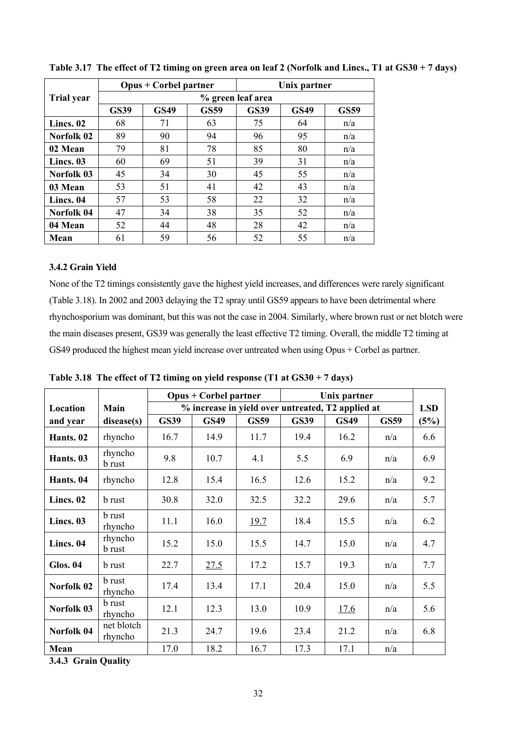|                   |                   | $Opus + Corbel partner$ |             | Unix partner |             |             |  |  |  |
|-------------------|-------------------|-------------------------|-------------|--------------|-------------|-------------|--|--|--|
| <b>Trial year</b> | % green leaf area |                         |             |              |             |             |  |  |  |
|                   | <b>GS39</b>       | <b>GS49</b>             | <b>GS59</b> | <b>GS39</b>  | <b>GS49</b> | <b>GS59</b> |  |  |  |
| Lincs. 02         | 68                | 71                      | 63          | 75           | 64          | n/a         |  |  |  |
| Norfolk 02        | 89                | 90                      | 94          | 96           | 95          | n/a         |  |  |  |
| 02 Mean           | 79                | 81                      | 78          | 85           | 80          | n/a         |  |  |  |
| Lincs. 03         | 60                | 69                      | 51          | 39           | 31          | n/a         |  |  |  |
| Norfolk 03        | 45                | 34                      | 30          | 45           | 55          | n/a         |  |  |  |
| 03 Mean           | 53                | 51                      | 41          | 42           | 43          | n/a         |  |  |  |
| Lincs. 04         | 57                | 53                      | 58          | 22           | 32          | n/a         |  |  |  |
| Norfolk 04        | 47                | 34                      | 38          | 35           | 52          | n/a         |  |  |  |
| 04 Mean           | 52                | 44                      | 48          | 28           | 42          | n/a         |  |  |  |
| Mean              | 61                | 59                      | 56          | 52           | 55          | n/a         |  |  |  |

**Table 3.17 The effect of T2 timing on green area on leaf 2 (Norfolk and Lincs., T1 at GS30 + 7 days)** 

# **3.4.2 Grain Yield**

None of the T2 timings consistently gave the highest yield increases, and differences were rarely significant (Table 3.18). In 2002 and 2003 delaying the T2 spray until GS59 appears to have been detrimental where rhynchosporium was dominant, but this was not the case in 2004. Similarly, where brown rust or net blotch were the main diseases present, GS39 was generally the least effective T2 timing. Overall, the middle T2 timing at GS49 produced the highest mean yield increase over untreated when using Opus + Corbel as partner.

|                 |                          | <b>Opus + Corbel partner</b> |                                                                 |             | Unix partner |             |             |      |  |
|-----------------|--------------------------|------------------------------|-----------------------------------------------------------------|-------------|--------------|-------------|-------------|------|--|
| Location        | Main                     |                              | % increase in yield over untreated, T2 applied at<br><b>LSD</b> |             |              |             |             |      |  |
| and year        | disease(s)               | <b>GS39</b>                  | <b>GS49</b>                                                     | <b>GS59</b> | <b>GS39</b>  | <b>GS49</b> | <b>GS59</b> | (5%) |  |
| Hants. 02       | rhyncho                  | 16.7                         | 14.9                                                            | 11.7        | 19.4         | 16.2        | n/a         | 6.6  |  |
| Hants. 03       | rhyncho<br><b>b</b> rust | 9.8                          | 10.7                                                            | 4.1         | 5.5          | 6.9         | n/a         | 6.9  |  |
| Hants. 04       | rhyncho                  | 12.8                         | 15.4                                                            | 16.5        | 12.6         | 15.2        | n/a         | 9.2  |  |
| Lincs. 02       | <b>b</b> rust            | 30.8                         | 32.0                                                            | 32.5        | 32.2         | 29.6        | n/a         | 5.7  |  |
| Lincs. 03       | <b>b</b> rust<br>rhyncho | 11.1                         | 16.0                                                            | 19.7        | 18.4         | 15.5        | n/a         | 6.2  |  |
| Lincs. 04       | rhyncho<br><b>b</b> rust | 15.2                         | 15.0                                                            | 15.5        | 14.7         | 15.0        | n/a         | 4.7  |  |
| <b>Glos. 04</b> | <b>b</b> rust            | 22.7                         | 27.5                                                            | 17.2        | 15.7         | 19.3        | n/a         | 7.7  |  |
| Norfolk 02      | <b>b</b> rust<br>rhyncho | 17.4                         | 13.4                                                            | 17.1        | 20.4         | 15.0        | n/a         | 5.5  |  |
| Norfolk 03      | <b>b</b> rust<br>rhyncho | 12.1                         | 12.3                                                            | 13.0        | 10.9         | 17.6        | n/a         | 5.6  |  |
| Norfolk 04      | net blotch<br>rhyncho    | 21.3                         | 24.7                                                            | 19.6        | 23.4         | 21.2        | n/a         | 6.8  |  |
| Mean            |                          | 17.0                         | 18.2                                                            | 16.7        | 17.3         | 17.1        | n/a         |      |  |

**Table 3.18 The effect of T2 timing on yield response (T1 at GS30 + 7 days)** 

**3.4.3 Grain Quality**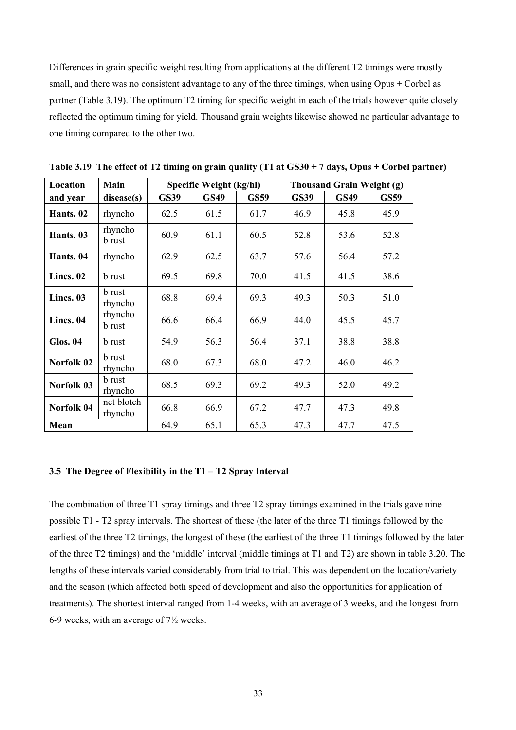Differences in grain specific weight resulting from applications at the different T2 timings were mostly small, and there was no consistent advantage to any of the three timings, when using Opus + Corbel as partner (Table 3.19). The optimum T2 timing for specific weight in each of the trials however quite closely reflected the optimum timing for yield. Thousand grain weights likewise showed no particular advantage to one timing compared to the other two.

| Location        | Main                     | Specific Weight (kg/hl) |             |             | <b>Thousand Grain Weight (g)</b> |             |             |  |
|-----------------|--------------------------|-------------------------|-------------|-------------|----------------------------------|-------------|-------------|--|
| and year        | disease(s)               | <b>GS39</b>             | <b>GS49</b> | <b>GS59</b> | <b>GS39</b>                      | <b>GS49</b> | <b>GS59</b> |  |
| Hants. 02       | rhyncho                  | 62.5                    | 61.5        | 61.7        | 46.9                             | 45.8        | 45.9        |  |
| Hants. 03       | rhyncho<br><b>b</b> rust | 60.9                    | 61.1        | 60.5        | 52.8                             | 53.6        | 52.8        |  |
| Hants. 04       | rhyncho                  | 62.9                    | 62.5        | 63.7        | 57.6                             | 56.4        | 57.2        |  |
| Lincs. 02       | <b>b</b> rust            | 69.5                    | 69.8        | 70.0        | 41.5                             | 41.5        | 38.6        |  |
| Lincs. 03       | <b>b</b> rust<br>rhyncho | 68.8                    | 69.4        | 69.3        | 49.3                             | 50.3        | 51.0        |  |
| Lincs. 04       | rhyncho<br><b>b</b> rust | 66.6                    | 66.4        | 66.9        | 44.0                             | 45.5        | 45.7        |  |
| <b>Glos. 04</b> | b rust                   | 54.9                    | 56.3        | 56.4        | 37.1                             | 38.8        | 38.8        |  |
| Norfolk 02      | <b>b</b> rust<br>rhyncho | 68.0                    | 67.3        | 68.0        | 47.2                             | 46.0        | 46.2        |  |
| Norfolk 03      | <b>b</b> rust<br>rhyncho | 68.5                    | 69.3        | 69.2        | 49.3                             | 52.0        | 49.2        |  |
| Norfolk 04      | net blotch<br>rhyncho    | 66.8                    | 66.9        | 67.2        | 47.7                             | 47.3        | 49.8        |  |
| Mean            |                          | 64.9                    | 65.1        | 65.3        | 47.3                             | 47.7        | 47.5        |  |

**Table 3.19 The effect of T2 timing on grain quality (T1 at GS30 + 7 days, Opus + Corbel partner)** 

#### **3.5 The Degree of Flexibility in the T1 – T2 Spray Interval**

The combination of three T1 spray timings and three T2 spray timings examined in the trials gave nine possible T1 - T2 spray intervals. The shortest of these (the later of the three T1 timings followed by the earliest of the three T2 timings, the longest of these (the earliest of the three T1 timings followed by the later of the three T2 timings) and the 'middle' interval (middle timings at T1 and T2) are shown in table 3.20. The lengths of these intervals varied considerably from trial to trial. This was dependent on the location/variety and the season (which affected both speed of development and also the opportunities for application of treatments). The shortest interval ranged from 1-4 weeks, with an average of 3 weeks, and the longest from 6-9 weeks, with an average of 7½ weeks.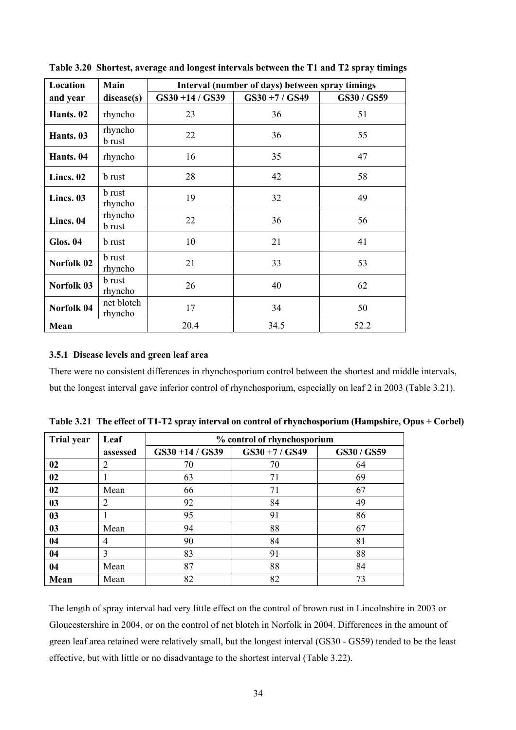| Location        | Main                     | Interval (number of days) between spray timings |             |             |  |  |  |
|-----------------|--------------------------|-------------------------------------------------|-------------|-------------|--|--|--|
| and year        | disease(s)               | GS30+14/GS39                                    | GS30+7/GS49 | GS30 / GS59 |  |  |  |
| Hants. 02       | rhyncho                  | 23                                              | 36          | 51          |  |  |  |
| Hants. 03       | rhyncho<br><b>b</b> rust | 22                                              | 36          | 55          |  |  |  |
| Hants. 04       | rhyncho                  | 16                                              | 35          | 47          |  |  |  |
| Lincs. 02       | b rust                   | 28                                              | 42          | 58          |  |  |  |
| Lincs. 03       | <b>b</b> rust<br>rhyncho | 19                                              | 32          | 49          |  |  |  |
| Lincs. 04       | rhyncho<br><b>b</b> rust | 22                                              | 36          | 56          |  |  |  |
| <b>Glos. 04</b> | b rust                   | 10                                              | 21          | 41          |  |  |  |
| Norfolk 02      | <b>b</b> rust<br>rhyncho | 21                                              | 33          | 53          |  |  |  |
| Norfolk 03      | <b>b</b> rust<br>rhyncho | 26                                              | 40          | 62          |  |  |  |
| Norfolk 04      | net blotch<br>rhyncho    | 17                                              | 34          | 50          |  |  |  |
| Mean            |                          | 20.4                                            | 34.5        | 52.2        |  |  |  |

**Table 3.20 Shortest, average and longest intervals between the T1 and T2 spray timings** 

# **3.5.1 Disease levels and green leaf area**

There were no consistent differences in rhynchosporium control between the shortest and middle intervals, but the longest interval gave inferior control of rhynchosporium, especially on leaf 2 in 2003 (Table 3.21).

| <b>Trial year</b> | Leaf           | % control of rhynchosporium |             |           |  |  |  |  |
|-------------------|----------------|-----------------------------|-------------|-----------|--|--|--|--|
|                   | assessed       | $GS30 + 14 / GS39$          | GS30+7/GS49 | GS30/GS59 |  |  |  |  |
| 02                | 2              | 70                          | 70          | 64        |  |  |  |  |
| 02                |                | 63                          | 71          | 69        |  |  |  |  |
| 02                | Mean           | 66                          | 71          | 67        |  |  |  |  |
| 03                | $\overline{2}$ | 92                          | 84          | 49        |  |  |  |  |
| 0 <sub>3</sub>    |                | 95                          | 91          | 86        |  |  |  |  |
| 03                | Mean           | 94                          | 88          | 67        |  |  |  |  |
| 04                | $\overline{4}$ | 90                          | 84          | 81        |  |  |  |  |
| 04                | 3              | 83                          | 91          | 88        |  |  |  |  |
| 04                | Mean           | 87                          | 88          | 84        |  |  |  |  |
| Mean              | Mean           | 82                          | 82          | 73        |  |  |  |  |

**Table 3.21 The effect of T1-T2 spray interval on control of rhynchosporium (Hampshire, Opus + Corbel)** 

The length of spray interval had very little effect on the control of brown rust in Lincolnshire in 2003 or Gloucestershire in 2004, or on the control of net blotch in Norfolk in 2004. Differences in the amount of green leaf area retained were relatively small, but the longest interval (GS30 - GS59) tended to be the least effective, but with little or no disadvantage to the shortest interval (Table 3.22).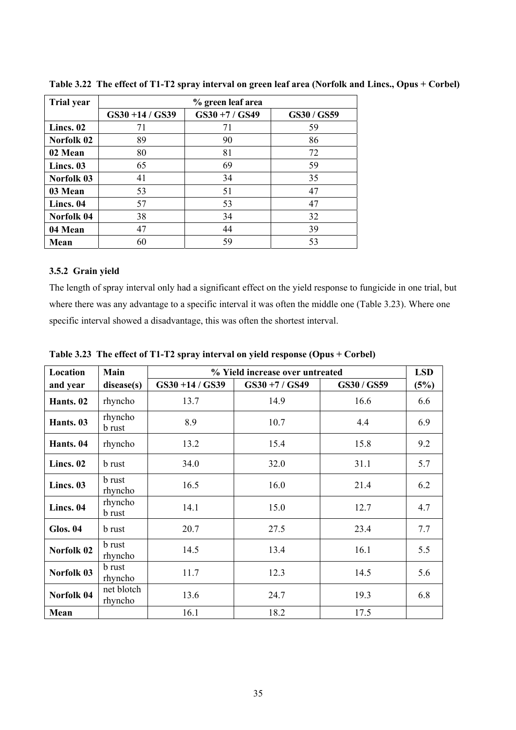| <b>Trial year</b> | % green leaf area  |             |           |  |  |  |
|-------------------|--------------------|-------------|-----------|--|--|--|
|                   | $GS30 + 14 / GS39$ | GS30+7/GS49 | GS30/GS59 |  |  |  |
| Lincs. 02         | 71                 | 71          | 59        |  |  |  |
| Norfolk 02        | 89                 | 90          | 86        |  |  |  |
| 02 Mean           | 80                 | 81          | 72        |  |  |  |
| Lincs. 03         | 65                 | 69          | 59        |  |  |  |
| Norfolk 03        | 41                 | 34          | 35        |  |  |  |
| 03 Mean           | 53                 | 51          | 47        |  |  |  |
| Lincs. 04         | 57                 | 53          | 47        |  |  |  |
| Norfolk 04        | 38                 | 34          | 32        |  |  |  |
| 04 Mean           | 47                 | 44          | 39        |  |  |  |
| Mean              | 60                 | 59          | 53        |  |  |  |

**Table 3.22 The effect of T1-T2 spray interval on green leaf area (Norfolk and Lincs., Opus + Corbel)** 

### **3.5.2 Grain yield**

The length of spray interval only had a significant effect on the yield response to fungicide in one trial, but where there was any advantage to a specific interval it was often the middle one (Table 3.23). Where one specific interval showed a disadvantage, this was often the shortest interval.

| Location        | Main                     | % Yield increase over untreated |             |           |      |  |
|-----------------|--------------------------|---------------------------------|-------------|-----------|------|--|
| and year        | disease(s)               | GS30+14/GS39                    | GS30+7/GS49 | GS30/GS59 | (5%) |  |
| Hants. 02       | rhyncho                  | 13.7                            | 14.9        | 16.6      | 6.6  |  |
| Hants. 03       | rhyncho<br><b>b</b> rust | 8.9                             | 10.7        | 4.4       | 6.9  |  |
| Hants. 04       | rhyncho                  | 13.2                            | 15.4        | 15.8      | 9.2  |  |
| Lincs. 02       | <b>b</b> rust            | 34.0                            | 32.0        | 31.1      | 5.7  |  |
| Lincs. 03       | <b>b</b> rust<br>rhyncho | 16.5                            | 16.0        | 21.4      | 6.2  |  |
| Lincs. 04       | rhyncho<br><b>b</b> rust | 14.1                            | 15.0        | 12.7      | 4.7  |  |
| <b>Glos. 04</b> | <b>b</b> rust            | 20.7                            | 27.5        | 23.4      | 7.7  |  |
| Norfolk 02      | <b>b</b> rust<br>rhyncho | 14.5                            | 13.4        | 16.1      | 5.5  |  |
| Norfolk 03      | <b>b</b> rust<br>rhyncho | 11.7                            | 12.3        | 14.5      | 5.6  |  |
| Norfolk 04      | net blotch<br>rhyncho    | 13.6                            | 24.7        | 19.3      | 6.8  |  |
| Mean            |                          | 16.1                            | 18.2        | 17.5      |      |  |

**Table 3.23 The effect of T1-T2 spray interval on yield response (Opus + Corbel)**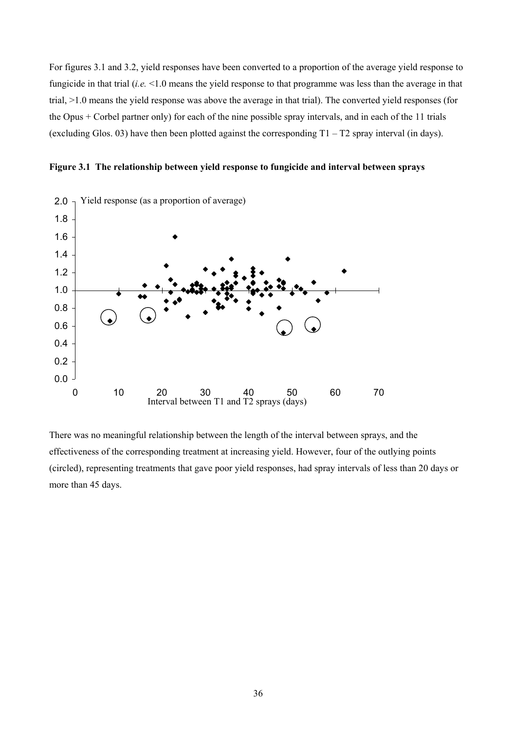For figures 3.1 and 3.2, yield responses have been converted to a proportion of the average yield response to fungicide in that trial (*i.e.* <1.0 means the yield response to that programme was less than the average in that trial, >1.0 means the yield response was above the average in that trial). The converted yield responses (for the Opus + Corbel partner only) for each of the nine possible spray intervals, and in each of the 11 trials (excluding Glos. 03) have then been plotted against the corresponding  $T1 - T2$  spray interval (in days).





There was no meaningful relationship between the length of the interval between sprays, and the effectiveness of the corresponding treatment at increasing yield. However, four of the outlying points (circled), representing treatments that gave poor yield responses, had spray intervals of less than 20 days or more than 45 days.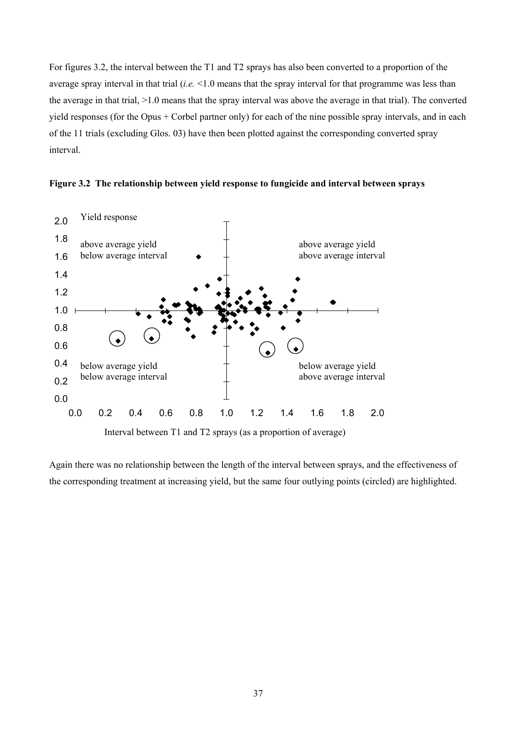For figures 3.2, the interval between the T1 and T2 sprays has also been converted to a proportion of the average spray interval in that trial (*i.e.* <1.0 means that the spray interval for that programme was less than the average in that trial, >1.0 means that the spray interval was above the average in that trial). The converted yield responses (for the Opus + Corbel partner only) for each of the nine possible spray intervals, and in each of the 11 trials (excluding Glos. 03) have then been plotted against the corresponding converted spray interval.





Again there was no relationship between the length of the interval between sprays, and the effectiveness of

the corresponding treatment at increasing yield, but the same four outlying points (circled) are highlighted.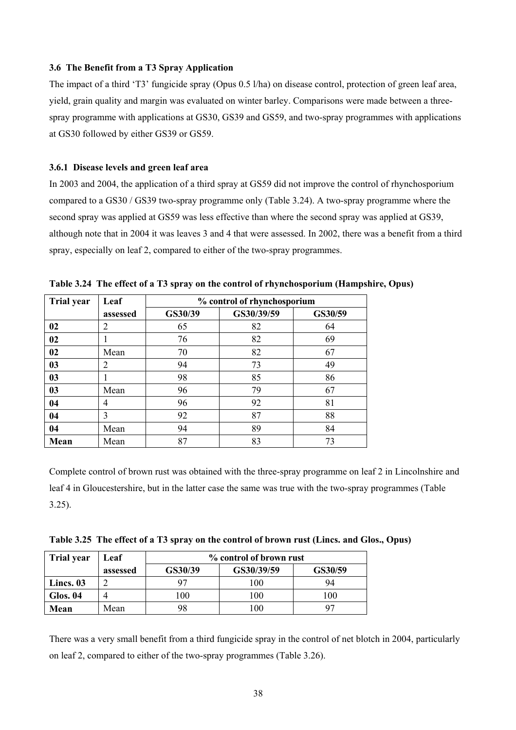#### **3.6 The Benefit from a T3 Spray Application**

The impact of a third 'T3' fungicide spray (Opus 0.5 l/ha) on disease control, protection of green leaf area, yield, grain quality and margin was evaluated on winter barley. Comparisons were made between a threespray programme with applications at GS30, GS39 and GS59, and two-spray programmes with applications at GS30 followed by either GS39 or GS59.

#### **3.6.1 Disease levels and green leaf area**

In 2003 and 2004, the application of a third spray at GS59 did not improve the control of rhynchosporium compared to a GS30 / GS39 two-spray programme only (Table 3.24). A two-spray programme where the second spray was applied at GS59 was less effective than where the second spray was applied at GS39, although note that in 2004 it was leaves 3 and 4 that were assessed. In 2002, there was a benefit from a third spray, especially on leaf 2, compared to either of the two-spray programmes.

| <b>Trial year</b> | Leaf     | % control of rhynchosporium |            |         |  |
|-------------------|----------|-----------------------------|------------|---------|--|
|                   | assessed | GS30/39                     | GS30/39/59 | GS30/59 |  |
| 02                | 2        | 65                          | 82         | 64      |  |
| 02                |          | 76                          | 82         | 69      |  |
| 02                | Mean     | 70                          | 82         | 67      |  |
| 03                | 2        | 94                          | 73         | 49      |  |
| 03                |          | 98                          | 85         | 86      |  |
| 03                | Mean     | 96                          | 79         | 67      |  |
| 04                | 4        | 96                          | 92         | 81      |  |
| 04                | 3        | 92                          | 87         | 88      |  |
| 04                | Mean     | 94                          | 89         | 84      |  |
| Mean              | Mean     | 87                          | 83         | 73      |  |

**Table 3.24 The effect of a T3 spray on the control of rhynchosporium (Hampshire, Opus)** 

Complete control of brown rust was obtained with the three-spray programme on leaf 2 in Lincolnshire and leaf 4 in Gloucestershire, but in the latter case the same was true with the two-spray programmes (Table 3.25).

|  |  | Table 3.25 The effect of a T3 spray on the control of brown rust (Lincs. and Glos., Opus) |  |
|--|--|-------------------------------------------------------------------------------------------|--|
|  |  |                                                                                           |  |

| <b>Trial year</b> | Leaf     | % control of brown rust |            |         |  |  |
|-------------------|----------|-------------------------|------------|---------|--|--|
|                   | assessed | GS30/39                 | GS30/39/59 | GS30/59 |  |  |
| Lincs. 03         |          | 97                      | 100        | 94      |  |  |
| Glos. 04          |          | .00                     | 100        | 100     |  |  |
| Mean              | Mean     | 98                      | 100        |         |  |  |

There was a very small benefit from a third fungicide spray in the control of net blotch in 2004, particularly on leaf 2, compared to either of the two-spray programmes (Table 3.26).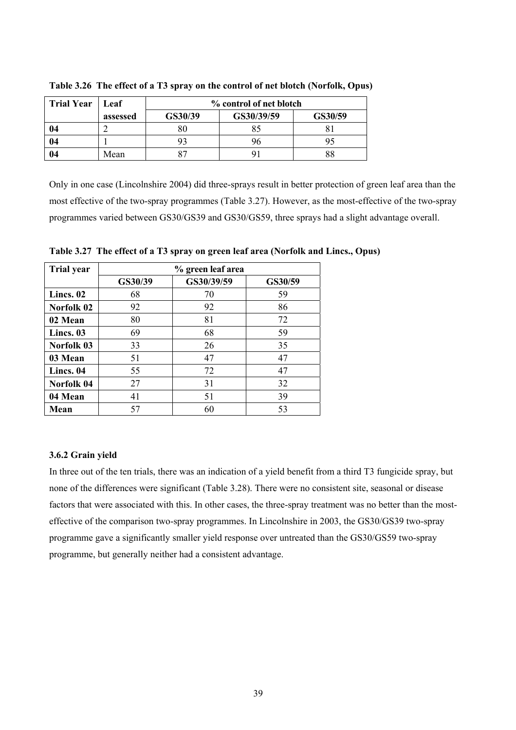| <b>Trial Year</b> | Leaf     | % control of net blotch |            |         |  |
|-------------------|----------|-------------------------|------------|---------|--|
|                   | assessed | GS30/39                 | GS30/39/59 | GS30/59 |  |
| 04                |          | 80                      |            |         |  |
| 04                |          |                         |            |         |  |
| 04                | Mean     |                         |            | 88      |  |

**Table 3.26 The effect of a T3 spray on the control of net blotch (Norfolk, Opus)** 

Only in one case (Lincolnshire 2004) did three-sprays result in better protection of green leaf area than the most effective of the two-spray programmes (Table 3.27). However, as the most-effective of the two-spray programmes varied between GS30/GS39 and GS30/GS59, three sprays had a slight advantage overall.

| <b>Trial year</b> |         | % green leaf area |         |  |  |  |  |
|-------------------|---------|-------------------|---------|--|--|--|--|
|                   | GS30/39 | GS30/39/59        | GS30/59 |  |  |  |  |
| Lincs. 02         | 68      | 70                | 59      |  |  |  |  |
| Norfolk 02        | 92      | 92                | 86      |  |  |  |  |
| 02 Mean           | 80      | 81                | 72      |  |  |  |  |
| Lincs. 03         | 69      | 68                | 59      |  |  |  |  |
| Norfolk 03        | 33      | 26                | 35      |  |  |  |  |
| 03 Mean           | 51      | 47                | 47      |  |  |  |  |
| Lincs. 04         | 55      | 72                | 47      |  |  |  |  |
| Norfolk 04        | 27      | 31                | 32      |  |  |  |  |
| 04 Mean           | 41      | 51                | 39      |  |  |  |  |
| Mean              | 57      | 60                | 53      |  |  |  |  |

**Table 3.27 The effect of a T3 spray on green leaf area (Norfolk and Lincs., Opus)** 

#### **3.6.2 Grain yield**

In three out of the ten trials, there was an indication of a yield benefit from a third T3 fungicide spray, but none of the differences were significant (Table 3.28). There were no consistent site, seasonal or disease factors that were associated with this. In other cases, the three-spray treatment was no better than the mosteffective of the comparison two-spray programmes. In Lincolnshire in 2003, the GS30/GS39 two-spray programme gave a significantly smaller yield response over untreated than the GS30/GS59 two-spray programme, but generally neither had a consistent advantage.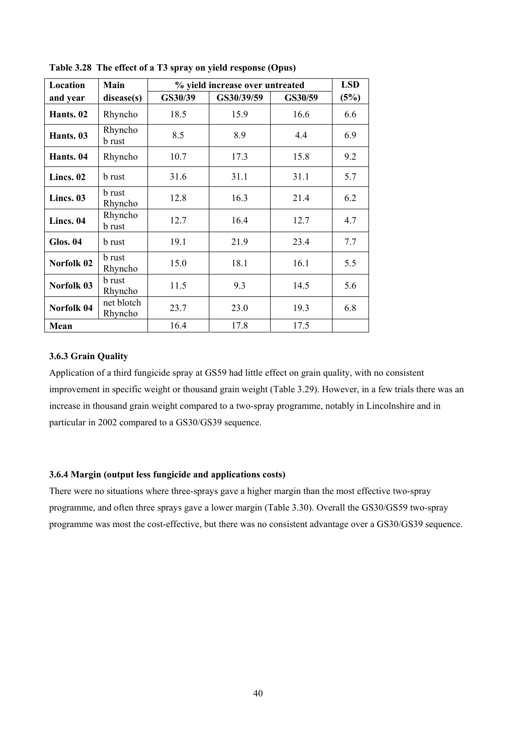| Location        | Main                     | % yield increase over untreated |            |         | <b>LSD</b> |
|-----------------|--------------------------|---------------------------------|------------|---------|------------|
| and year        | disease(s)               | GS30/39                         | GS30/39/59 | GS30/59 | (5%)       |
| Hants. 02       | Rhyncho                  | 18.5                            | 15.9       | 16.6    | 6.6        |
| Hants. 03       | Rhyncho<br><b>b</b> rust | 8.5                             | 8.9        | 4.4     | 6.9        |
| Hants. 04       | Rhyncho                  | 10.7                            | 17.3       | 15.8    | 9.2        |
| Lincs. 02       | <b>b</b> rust            | 31.6                            | 31.1       | 31.1    | 5.7        |
| Lincs. 03       | <b>b</b> rust<br>Rhyncho | 12.8                            | 16.3       | 21.4    | 6.2        |
| Lincs. 04       | Rhyncho<br><b>b</b> rust | 12.7                            | 16.4       | 12.7    | 4.7        |
| <b>Glos. 04</b> | <b>b</b> rust            | 19.1                            | 21.9       | 23.4    | 7.7        |
| Norfolk 02      | <b>b</b> rust<br>Rhyncho | 15.0                            | 18.1       | 16.1    | 5.5        |
| Norfolk 03      | <b>b</b> rust<br>Rhyncho | 11.5                            | 9.3        | 14.5    | 5.6        |
| Norfolk 04      | net blotch<br>Rhyncho    | 23.7                            | 23.0       | 19.3    | 6.8        |
| Mean            |                          | 16.4                            | 17.8       | 17.5    |            |

**Table 3.28 The effect of a T3 spray on yield response (Opus)** 

### **3.6.3 Grain Quality**

Application of a third fungicide spray at GS59 had little effect on grain quality, with no consistent improvement in specific weight or thousand grain weight (Table 3.29). However, in a few trials there was an increase in thousand grain weight compared to a two-spray programme, notably in Lincolnshire and in particular in 2002 compared to a GS30/GS39 sequence.

#### **3.6.4 Margin (output less fungicide and applications costs)**

There were no situations where three-sprays gave a higher margin than the most effective two-spray programme, and often three sprays gave a lower margin (Table 3.30). Overall the GS30/GS59 two-spray programme was most the cost-effective, but there was no consistent advantage over a GS30/GS39 sequence.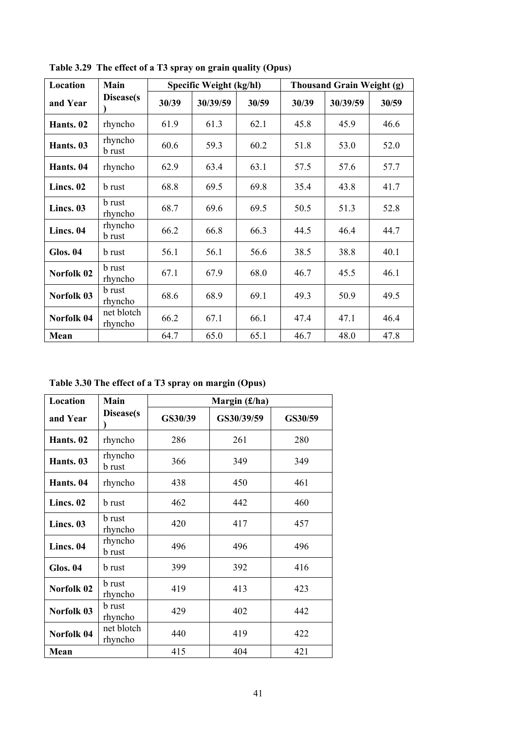| Location   | Main                     | Specific Weight (kg/hl) |          |       | <b>Thousand Grain Weight (g)</b> |          |       |
|------------|--------------------------|-------------------------|----------|-------|----------------------------------|----------|-------|
| and Year   | Disease(s)               | 30/39                   | 30/39/59 | 30/59 | 30/39                            | 30/39/59 | 30/59 |
| Hants. 02  | rhyncho                  | 61.9                    | 61.3     | 62.1  | 45.8                             | 45.9     | 46.6  |
| Hants. 03  | rhyncho<br><b>b</b> rust | 60.6                    | 59.3     | 60.2  | 51.8                             | 53.0     | 52.0  |
| Hants. 04  | rhyncho                  | 62.9                    | 63.4     | 63.1  | 57.5                             | 57.6     | 57.7  |
| Lincs. 02  | <b>b</b> rust            | 68.8                    | 69.5     | 69.8  | 35.4                             | 43.8     | 41.7  |
| Lincs. 03  | <b>b</b> rust<br>rhyncho | 68.7                    | 69.6     | 69.5  | 50.5                             | 51.3     | 52.8  |
| Lincs. 04  | rhyncho<br><b>b</b> rust | 66.2                    | 66.8     | 66.3  | 44.5                             | 46.4     | 44.7  |
| Glos. 04   | <b>b</b> rust            | 56.1                    | 56.1     | 56.6  | 38.5                             | 38.8     | 40.1  |
| Norfolk 02 | <b>b</b> rust<br>rhyncho | 67.1                    | 67.9     | 68.0  | 46.7                             | 45.5     | 46.1  |
| Norfolk 03 | <b>b</b> rust<br>rhyncho | 68.6                    | 68.9     | 69.1  | 49.3                             | 50.9     | 49.5  |
| Norfolk 04 | net blotch<br>rhyncho    | 66.2                    | 67.1     | 66.1  | 47.4                             | 47.1     | 46.4  |
| Mean       |                          | 64.7                    | 65.0     | 65.1  | 46.7                             | 48.0     | 47.8  |

**Table 3.29 The effect of a T3 spray on grain quality (Opus)**

**Table 3.30 The effect of a T3 spray on margin (Opus)**

| Location        | Main                     | Margin $(f/ha)$ |            |         |  |  |
|-----------------|--------------------------|-----------------|------------|---------|--|--|
| and Year        | Disease(s)               | GS30/39         | GS30/39/59 | GS30/59 |  |  |
| Hants. 02       | rhyncho                  | 286             | 261        | 280     |  |  |
| Hants. 03       | rhyncho<br><b>b</b> rust | 366             | 349        | 349     |  |  |
| Hants. 04       | rhyncho                  | 438             | 450        | 461     |  |  |
| Lincs. 02       | <b>b</b> rust            | 462             | 442        | 460     |  |  |
| Lincs. 03       | <b>b</b> rust<br>rhyncho | 420             | 417        | 457     |  |  |
| Lincs. 04       | rhyncho<br><b>b</b> rust | 496             | 496        | 496     |  |  |
| <b>Glos. 04</b> | <b>b</b> rust            | 399             | 392        | 416     |  |  |
| Norfolk 02      | <b>b</b> rust<br>rhyncho | 419             | 413        | 423     |  |  |
| Norfolk 03      | <b>b</b> rust<br>rhyncho | 429             | 402        | 442     |  |  |
| Norfolk 04      | net blotch<br>rhyncho    | 440             | 419        | 422     |  |  |
| Mean            |                          | 415             | 404        | 421     |  |  |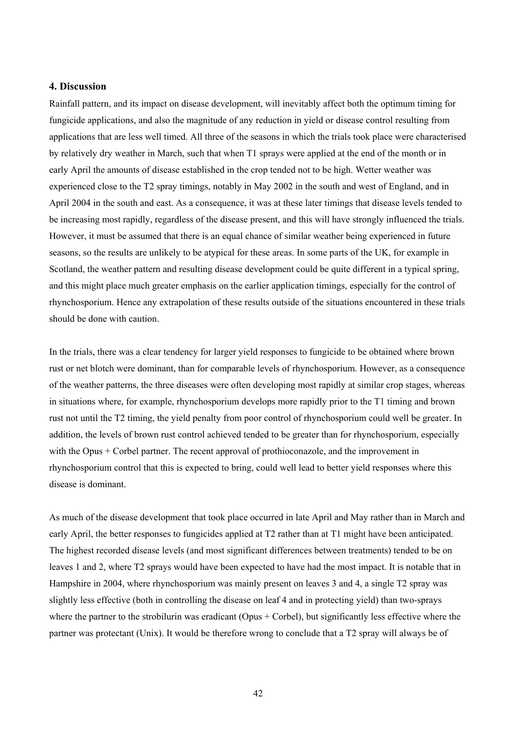#### **4. Discussion**

Rainfall pattern, and its impact on disease development, will inevitably affect both the optimum timing for fungicide applications, and also the magnitude of any reduction in yield or disease control resulting from applications that are less well timed. All three of the seasons in which the trials took place were characterised by relatively dry weather in March, such that when T1 sprays were applied at the end of the month or in early April the amounts of disease established in the crop tended not to be high. Wetter weather was experienced close to the T2 spray timings, notably in May 2002 in the south and west of England, and in April 2004 in the south and east. As a consequence, it was at these later timings that disease levels tended to be increasing most rapidly, regardless of the disease present, and this will have strongly influenced the trials. However, it must be assumed that there is an equal chance of similar weather being experienced in future seasons, so the results are unlikely to be atypical for these areas. In some parts of the UK, for example in Scotland, the weather pattern and resulting disease development could be quite different in a typical spring, and this might place much greater emphasis on the earlier application timings, especially for the control of rhynchosporium. Hence any extrapolation of these results outside of the situations encountered in these trials should be done with caution.

In the trials, there was a clear tendency for larger yield responses to fungicide to be obtained where brown rust or net blotch were dominant, than for comparable levels of rhynchosporium. However, as a consequence of the weather patterns, the three diseases were often developing most rapidly at similar crop stages, whereas in situations where, for example, rhynchosporium develops more rapidly prior to the T1 timing and brown rust not until the T2 timing, the yield penalty from poor control of rhynchosporium could well be greater. In addition, the levels of brown rust control achieved tended to be greater than for rhynchosporium, especially with the Opus + Corbel partner. The recent approval of prothioconazole, and the improvement in rhynchosporium control that this is expected to bring, could well lead to better yield responses where this disease is dominant.

As much of the disease development that took place occurred in late April and May rather than in March and early April, the better responses to fungicides applied at T2 rather than at T1 might have been anticipated. The highest recorded disease levels (and most significant differences between treatments) tended to be on leaves 1 and 2, where T2 sprays would have been expected to have had the most impact. It is notable that in Hampshire in 2004, where rhynchosporium was mainly present on leaves 3 and 4, a single T2 spray was slightly less effective (both in controlling the disease on leaf 4 and in protecting yield) than two-sprays where the partner to the strobilurin was eradicant (Opus + Corbel), but significantly less effective where the partner was protectant (Unix). It would be therefore wrong to conclude that a T2 spray will always be of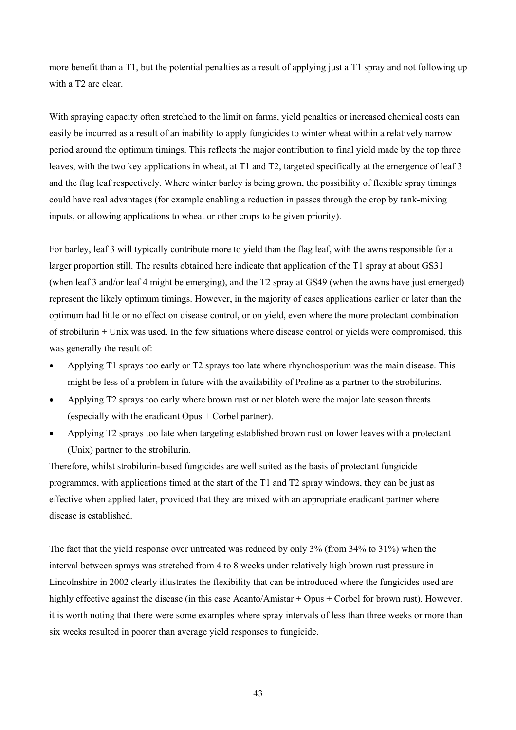more benefit than a T1, but the potential penalties as a result of applying just a T1 spray and not following up with a T2 are clear.

With spraying capacity often stretched to the limit on farms, yield penalties or increased chemical costs can easily be incurred as a result of an inability to apply fungicides to winter wheat within a relatively narrow period around the optimum timings. This reflects the major contribution to final yield made by the top three leaves, with the two key applications in wheat, at T1 and T2, targeted specifically at the emergence of leaf 3 and the flag leaf respectively. Where winter barley is being grown, the possibility of flexible spray timings could have real advantages (for example enabling a reduction in passes through the crop by tank-mixing inputs, or allowing applications to wheat or other crops to be given priority).

For barley, leaf 3 will typically contribute more to yield than the flag leaf, with the awns responsible for a larger proportion still. The results obtained here indicate that application of the T1 spray at about GS31 (when leaf 3 and/or leaf 4 might be emerging), and the T2 spray at GS49 (when the awns have just emerged) represent the likely optimum timings. However, in the majority of cases applications earlier or later than the optimum had little or no effect on disease control, or on yield, even where the more protectant combination of strobilurin + Unix was used. In the few situations where disease control or yields were compromised, this was generally the result of:

- Applying T1 sprays too early or T2 sprays too late where rhynchosporium was the main disease. This might be less of a problem in future with the availability of Proline as a partner to the strobilurins.
- Applying T2 sprays too early where brown rust or net blotch were the major late season threats (especially with the eradicant Opus + Corbel partner).
- Applying T2 sprays too late when targeting established brown rust on lower leaves with a protectant (Unix) partner to the strobilurin.

Therefore, whilst strobilurin-based fungicides are well suited as the basis of protectant fungicide programmes, with applications timed at the start of the T1 and T2 spray windows, they can be just as effective when applied later, provided that they are mixed with an appropriate eradicant partner where disease is established.

The fact that the yield response over untreated was reduced by only 3% (from 34% to 31%) when the interval between sprays was stretched from 4 to 8 weeks under relatively high brown rust pressure in Lincolnshire in 2002 clearly illustrates the flexibility that can be introduced where the fungicides used are highly effective against the disease (in this case Acanto/Amistar + Opus + Corbel for brown rust). However, it is worth noting that there were some examples where spray intervals of less than three weeks or more than six weeks resulted in poorer than average yield responses to fungicide.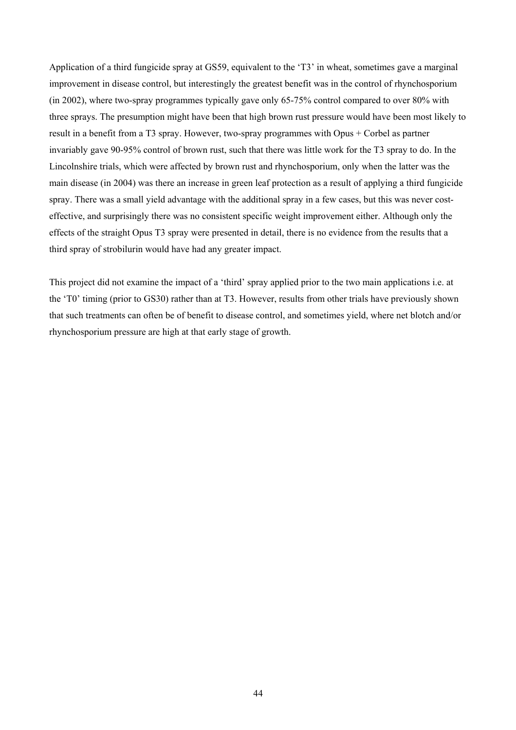Application of a third fungicide spray at GS59, equivalent to the 'T3' in wheat, sometimes gave a marginal improvement in disease control, but interestingly the greatest benefit was in the control of rhynchosporium (in 2002), where two-spray programmes typically gave only 65-75% control compared to over 80% with three sprays. The presumption might have been that high brown rust pressure would have been most likely to result in a benefit from a T3 spray. However, two-spray programmes with Opus + Corbel as partner invariably gave 90-95% control of brown rust, such that there was little work for the T3 spray to do. In the Lincolnshire trials, which were affected by brown rust and rhynchosporium, only when the latter was the main disease (in 2004) was there an increase in green leaf protection as a result of applying a third fungicide spray. There was a small yield advantage with the additional spray in a few cases, but this was never costeffective, and surprisingly there was no consistent specific weight improvement either. Although only the effects of the straight Opus T3 spray were presented in detail, there is no evidence from the results that a third spray of strobilurin would have had any greater impact.

This project did not examine the impact of a 'third' spray applied prior to the two main applications i.e. at the 'T0' timing (prior to GS30) rather than at T3. However, results from other trials have previously shown that such treatments can often be of benefit to disease control, and sometimes yield, where net blotch and/or rhynchosporium pressure are high at that early stage of growth.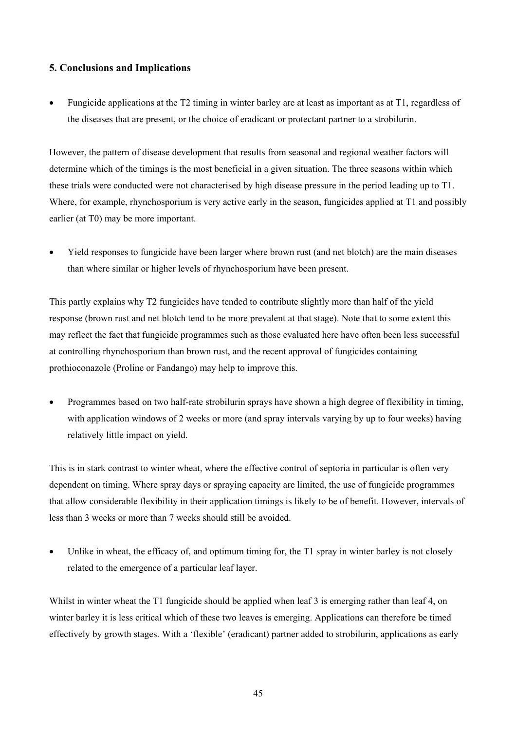#### **5. Conclusions and Implications**

• Fungicide applications at the T2 timing in winter barley are at least as important as at T1, regardless of the diseases that are present, or the choice of eradicant or protectant partner to a strobilurin.

However, the pattern of disease development that results from seasonal and regional weather factors will determine which of the timings is the most beneficial in a given situation. The three seasons within which these trials were conducted were not characterised by high disease pressure in the period leading up to T1. Where, for example, rhynchosporium is very active early in the season, fungicides applied at T1 and possibly earlier (at T0) may be more important.

• Yield responses to fungicide have been larger where brown rust (and net blotch) are the main diseases than where similar or higher levels of rhynchosporium have been present.

This partly explains why T2 fungicides have tended to contribute slightly more than half of the yield response (brown rust and net blotch tend to be more prevalent at that stage). Note that to some extent this may reflect the fact that fungicide programmes such as those evaluated here have often been less successful at controlling rhynchosporium than brown rust, and the recent approval of fungicides containing prothioconazole (Proline or Fandango) may help to improve this.

• Programmes based on two half-rate strobilurin sprays have shown a high degree of flexibility in timing, with application windows of 2 weeks or more (and spray intervals varying by up to four weeks) having relatively little impact on yield.

This is in stark contrast to winter wheat, where the effective control of septoria in particular is often very dependent on timing. Where spray days or spraying capacity are limited, the use of fungicide programmes that allow considerable flexibility in their application timings is likely to be of benefit. However, intervals of less than 3 weeks or more than 7 weeks should still be avoided.

• Unlike in wheat, the efficacy of, and optimum timing for, the T1 spray in winter barley is not closely related to the emergence of a particular leaf layer.

Whilst in winter wheat the T1 fungicide should be applied when leaf 3 is emerging rather than leaf 4, on winter barley it is less critical which of these two leaves is emerging. Applications can therefore be timed effectively by growth stages. With a 'flexible' (eradicant) partner added to strobilurin, applications as early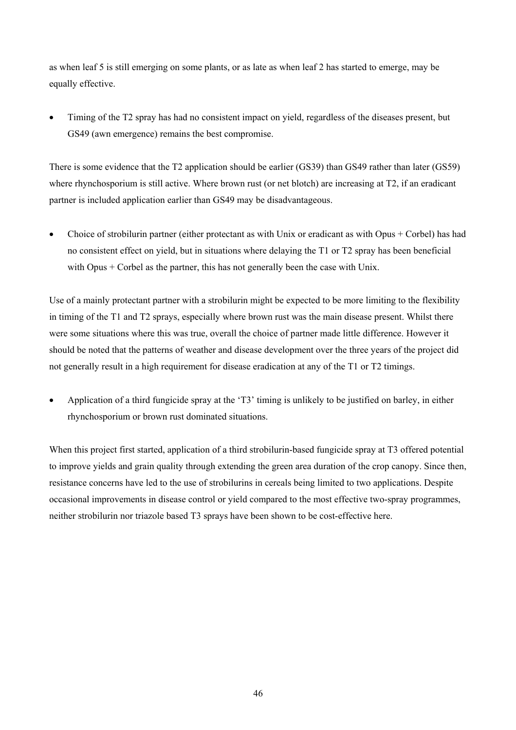as when leaf 5 is still emerging on some plants, or as late as when leaf 2 has started to emerge, may be equally effective.

• Timing of the T2 spray has had no consistent impact on yield, regardless of the diseases present, but GS49 (awn emergence) remains the best compromise.

There is some evidence that the T2 application should be earlier (GS39) than GS49 rather than later (GS59) where rhynchosporium is still active. Where brown rust (or net blotch) are increasing at T2, if an eradicant partner is included application earlier than GS49 may be disadvantageous.

• Choice of strobilurin partner (either protectant as with Unix or eradicant as with Opus + Corbel) has had no consistent effect on yield, but in situations where delaying the T1 or T2 spray has been beneficial with Opus + Corbel as the partner, this has not generally been the case with Unix.

Use of a mainly protectant partner with a strobilurin might be expected to be more limiting to the flexibility in timing of the T1 and T2 sprays, especially where brown rust was the main disease present. Whilst there were some situations where this was true, overall the choice of partner made little difference. However it should be noted that the patterns of weather and disease development over the three years of the project did not generally result in a high requirement for disease eradication at any of the T1 or T2 timings.

• Application of a third fungicide spray at the 'T3' timing is unlikely to be justified on barley, in either rhynchosporium or brown rust dominated situations.

When this project first started, application of a third strobilurin-based fungicide spray at T3 offered potential to improve yields and grain quality through extending the green area duration of the crop canopy. Since then, resistance concerns have led to the use of strobilurins in cereals being limited to two applications. Despite occasional improvements in disease control or yield compared to the most effective two-spray programmes, neither strobilurin nor triazole based T3 sprays have been shown to be cost-effective here.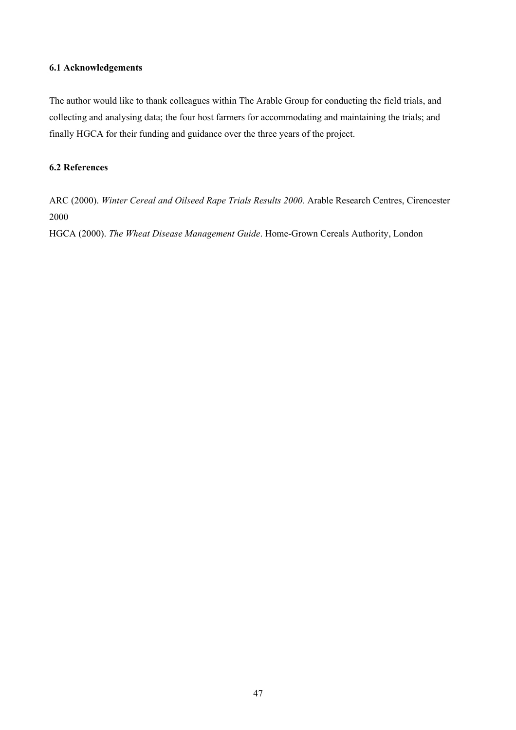#### **6.1 Acknowledgements**

The author would like to thank colleagues within The Arable Group for conducting the field trials, and collecting and analysing data; the four host farmers for accommodating and maintaining the trials; and finally HGCA for their funding and guidance over the three years of the project.

### **6.2 References**

ARC (2000). *Winter Cereal and Oilseed Rape Trials Results 2000.* Arable Research Centres, Cirencester 2000

HGCA (2000). *The Wheat Disease Management Guide*. Home-Grown Cereals Authority, London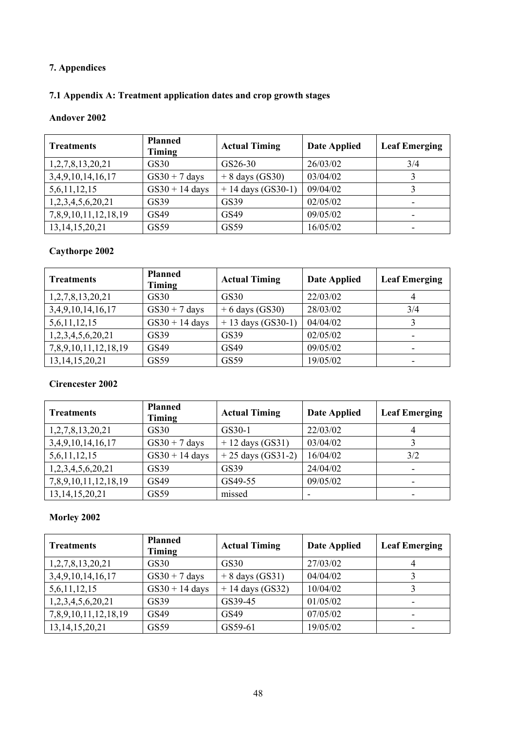## **7. Appendices**

# **7.1 Appendix A: Treatment application dates and crop growth stages**

#### **Andover 2002**

| <b>Treatments</b>       | <b>Planned</b><br><b>Timing</b> | <b>Actual Timing</b> | <b>Date Applied</b> | <b>Leaf Emerging</b> |
|-------------------------|---------------------------------|----------------------|---------------------|----------------------|
| 1, 2, 7, 8, 13, 20, 21  | GS30                            | GS26-30              | 26/03/02            | 3/4                  |
| 3, 4, 9, 10, 14, 16, 17 | $GS30 + 7$ days                 | $+ 8$ days (GS30)    | 03/04/02            |                      |
| 5,6,11,12,15            | $GS30 + 14$ days                | $+ 14$ days (GS30-1) | 09/04/02            |                      |
| 1,2,3,4,5,6,20,21       | GS39                            | GS39                 | 02/05/02            |                      |
| 7,8,9,10,11,12,18,19    | GS49                            | GS49                 | 09/05/02            |                      |
| 13, 14, 15, 20, 21      | GS59                            | GS59                 | 16/05/02            |                      |

### **Caythorpe 2002**

| <b>Treatments</b>       | <b>Planned</b><br>Timing | <b>Actual Timing</b> | <b>Date Applied</b> | <b>Leaf Emerging</b> |
|-------------------------|--------------------------|----------------------|---------------------|----------------------|
| 1,2,7,8,13,20,21        | <b>GS30</b>              | GS30                 | 22/03/02            | 4                    |
| 3, 4, 9, 10, 14, 16, 17 | $GS30 + 7$ days          | $+6$ days (GS30)     | 28/03/02            | 3/4                  |
| 5,6,11,12,15            | $GS30 + 14$ days         | $+13$ days (GS30-1)  | 04/04/02            |                      |
| 1,2,3,4,5,6,20,21       | GS39                     | GS39                 | 02/05/02            |                      |
| 7,8,9,10,11,12,18,19    | GS49                     | GS49                 | 09/05/02            |                      |
| 13, 14, 15, 20, 21      | GS59                     | GS59                 | 19/05/02            |                      |

### **Cirencester 2002**

| <b>Treatments</b>       | <b>Planned</b><br>Timing | <b>Actual Timing</b> | <b>Date Applied</b> | <b>Leaf Emerging</b> |
|-------------------------|--------------------------|----------------------|---------------------|----------------------|
| 1, 2, 7, 8, 13, 20, 21  | GS30                     | GS30-1               | 22/03/02            | 4                    |
| 3, 4, 9, 10, 14, 16, 17 | $GS30 + 7$ days          | $+12$ days (GS31)    | 03/04/02            |                      |
| 5,6,11,12,15            | $GS30 + 14$ days         | $+25$ days (GS31-2)  | 16/04/02            | 3/2                  |
| 1,2,3,4,5,6,20,21       | GS39                     | GS39                 | 24/04/02            |                      |
| 7,8,9,10,11,12,18,19    | GS49                     | GS49-55              | 09/05/02            |                      |
| 13, 14, 15, 20, 21      | GS59                     | missed               |                     |                      |

| <b>Treatments</b>       | <b>Planned</b><br>Timing | <b>Actual Timing</b> | <b>Date Applied</b> | <b>Leaf Emerging</b> |
|-------------------------|--------------------------|----------------------|---------------------|----------------------|
| 1,2,7,8,13,20,21        | GS30                     | GS30                 | 27/03/02            | 4                    |
| 3, 4, 9, 10, 14, 16, 17 | $GS30 + 7$ days          | $+ 8$ days (GS31)    | 04/04/02            |                      |
| 5,6,11,12,15            | $GS30 + 14$ days         | $+14$ days (GS32)    | 10/04/02            |                      |
| 1,2,3,4,5,6,20,21       | GS39                     | GS39-45              | 01/05/02            |                      |
| 7,8,9,10,11,12,18,19    | GS49                     | GS49                 | 07/05/02            |                      |
| 13, 14, 15, 20, 21      | GS59                     | GS59-61              | 19/05/02            |                      |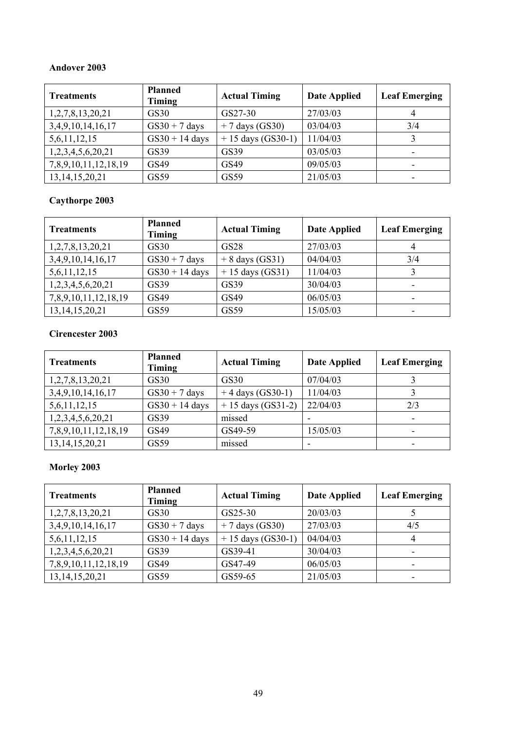### **Andover 2003**

| <b>Treatments</b>       | <b>Planned</b><br>Timing | <b>Actual Timing</b> | <b>Date Applied</b> | <b>Leaf Emerging</b> |
|-------------------------|--------------------------|----------------------|---------------------|----------------------|
| 1, 2, 7, 8, 13, 20, 21  | GS30                     | GS27-30              | 27/03/03            | 4                    |
| 3, 4, 9, 10, 14, 16, 17 | $GS30 + 7$ days          | $+7$ days (GS30)     | 03/04/03            | 3/4                  |
| 5,6,11,12,15            | $GS30 + 14$ days         | $+15$ days (GS30-1)  | 11/04/03            |                      |
| 1,2,3,4,5,6,20,21       | GS39                     | GS39                 | 03/05/03            | ۰                    |
| 7,8,9,10,11,12,18,19    | GS49                     | GS49                 | 09/05/03            |                      |
| 13, 14, 15, 20, 21      | GS59                     | GS59                 | 21/05/03            |                      |

# **Caythorpe 2003**

| <b>Treatments</b>       | <b>Planned</b><br>Timing | <b>Actual Timing</b> | <b>Date Applied</b> | <b>Leaf Emerging</b> |
|-------------------------|--------------------------|----------------------|---------------------|----------------------|
| 1,2,7,8,13,20,21        | GS30                     | <b>GS28</b>          | 27/03/03            | 4                    |
| 3, 4, 9, 10, 14, 16, 17 | $GS30 + 7$ days          | $+ 8$ days (GS31)    | 04/04/03            | 3/4                  |
| 5,6,11,12,15            | $GS30 + 14$ days         | $+15$ days (GS31)    | 11/04/03            |                      |
| 1,2,3,4,5,6,20,21       | GS39                     | GS39                 | 30/04/03            | ۰                    |
| 7,8,9,10,11,12,18,19    | GS49                     | GS49                 | 06/05/03            |                      |
| 13, 14, 15, 20, 21      | GS59                     | GS59                 | 15/05/03            |                      |

### **Cirencester 2003**

| <b>Treatments</b>       | <b>Planned</b><br>Timing | <b>Actual Timing</b> | <b>Date Applied</b> | <b>Leaf Emerging</b> |
|-------------------------|--------------------------|----------------------|---------------------|----------------------|
| 1,2,7,8,13,20,21        | GS30                     | GS30                 | 07/04/03            |                      |
| 3, 4, 9, 10, 14, 16, 17 | $GS30 + 7$ days          | $+4$ days (GS30-1)   | 11/04/03            |                      |
| 5,6,11,12,15            | $GS30 + 14$ days         | $+15$ days (GS31-2)  | 22/04/03            | 2/3                  |
| 1,2,3,4,5,6,20,21       | GS39                     | missed               |                     |                      |
| 7,8,9,10,11,12,18,19    | GS49                     | GS49-59              | 15/05/03            | -                    |
| 13, 14, 15, 20, 21      | GS59                     | missed               |                     |                      |

| <b>Treatments</b>       | <b>Planned</b><br>Timing | <b>Actual Timing</b> | <b>Date Applied</b> | <b>Leaf Emerging</b> |
|-------------------------|--------------------------|----------------------|---------------------|----------------------|
| 1,2,7,8,13,20,21        | GS30                     | GS25-30              | 20/03/03            |                      |
| 3, 4, 9, 10, 14, 16, 17 | $GS30 + 7$ days          | $+7$ days (GS30)     | 27/03/03            | 4/5                  |
| 5,6,11,12,15            | $GS30 + 14$ days         | $+15$ days (GS30-1)  | 04/04/03            | 4                    |
| 1,2,3,4,5,6,20,21       | GS39                     | GS39-41              | 30/04/03            |                      |
| 7,8,9,10,11,12,18,19    | GS49                     | GS47-49              | 06/05/03            |                      |
| 13, 14, 15, 20, 21      | GS59                     | GS59-65              | 21/05/03            | ۰                    |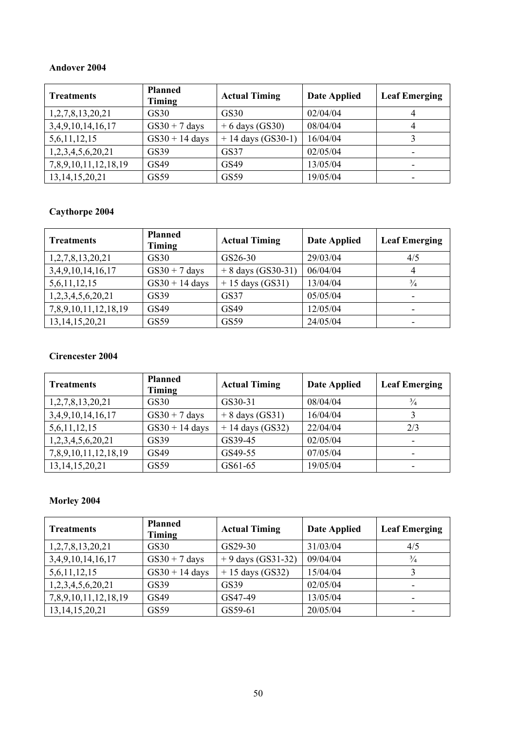#### **Andover 2004**

| <b>Treatments</b>       | <b>Planned</b><br>Timing | <b>Actual Timing</b> | <b>Date Applied</b> | <b>Leaf Emerging</b> |
|-------------------------|--------------------------|----------------------|---------------------|----------------------|
| 1,2,7,8,13,20,21        | GS30                     | <b>GS30</b>          | 02/04/04            | 4                    |
| 3, 4, 9, 10, 14, 16, 17 | $GS30 + 7$ days          | $+6$ days (GS30)     | 08/04/04            | 4                    |
| 5,6,11,12,15            | $GS30 + 14$ days         | $+ 14$ days (GS30-1) | 16/04/04            |                      |
| 1,2,3,4,5,6,20,21       | GS39                     | <b>GS37</b>          | 02/05/04            | -                    |
| 7,8,9,10,11,12,18,19    | GS49                     | GS49                 | 13/05/04            |                      |
| 13, 14, 15, 20, 21      | GS59                     | GS59                 | 19/05/04            |                      |

## **Caythorpe 2004**

| <b>Treatments</b>       | <b>Planned</b><br>Timing | <b>Actual Timing</b> | <b>Date Applied</b> | <b>Leaf Emerging</b> |
|-------------------------|--------------------------|----------------------|---------------------|----------------------|
| 1,2,7,8,13,20,21        | GS30                     | GS26-30              | 29/03/04            | 4/5                  |
| 3, 4, 9, 10, 14, 16, 17 | $GS30 + 7$ days          | $+ 8$ days (GS30-31) | 06/04/04            | 4                    |
| 5,6,11,12,15            | $GS30 + 14$ days         | $+15$ days (GS31)    | 13/04/04            | $\frac{3}{4}$        |
| 1,2,3,4,5,6,20,21       | GS39                     | GS37                 | 05/05/04            |                      |
| 7,8,9,10,11,12,18,19    | GS49                     | GS49                 | 12/05/04            |                      |
| 13, 14, 15, 20, 21      | GS59                     | GS59                 | 24/05/04            |                      |

### **Cirencester 2004**

| <b>Treatments</b>       | <b>Planned</b><br>Timing | <b>Actual Timing</b> | <b>Date Applied</b> | <b>Leaf Emerging</b> |
|-------------------------|--------------------------|----------------------|---------------------|----------------------|
| 1,2,7,8,13,20,21        | GS30                     | GS30-31              | 08/04/04            | $\frac{3}{4}$        |
| 3, 4, 9, 10, 14, 16, 17 | $GS30 + 7$ days          | $+ 8$ days (GS31)    | 16/04/04            |                      |
| 5,6,11,12,15            | $GS30 + 14$ days         | $+14$ days (GS32)    | 22/04/04            | 2/3                  |
| 1,2,3,4,5,6,20,21       | GS39                     | GS39-45              | 02/05/04            |                      |
| 7,8,9,10,11,12,18,19    | GS49                     | GS49-55              | 07/05/04            |                      |
| 13, 14, 15, 20, 21      | GS59                     | GS61-65              | 19/05/04            |                      |

| <b>Treatments</b>       | <b>Planned</b><br>Timing | <b>Actual Timing</b> | <b>Date Applied</b> | <b>Leaf Emerging</b> |
|-------------------------|--------------------------|----------------------|---------------------|----------------------|
| 1,2,7,8,13,20,21        | GS30                     | GS29-30              | 31/03/04            | 4/5                  |
| 3, 4, 9, 10, 14, 16, 17 | $GS30 + 7$ days          | $+9$ days (GS31-32)  | 09/04/04            | $\frac{3}{4}$        |
| 5,6,11,12,15            | $GS30 + 14$ days         | $+15$ days (GS32)    | 15/04/04            |                      |
| 1,2,3,4,5,6,20,21       | GS39                     | GS39                 | 02/05/04            | -                    |
| 7,8,9,10,11,12,18,19    | GS49                     | GS47-49              | 13/05/04            |                      |
| 13, 14, 15, 20, 21      | GS59                     | GS59-61              | 20/05/04            |                      |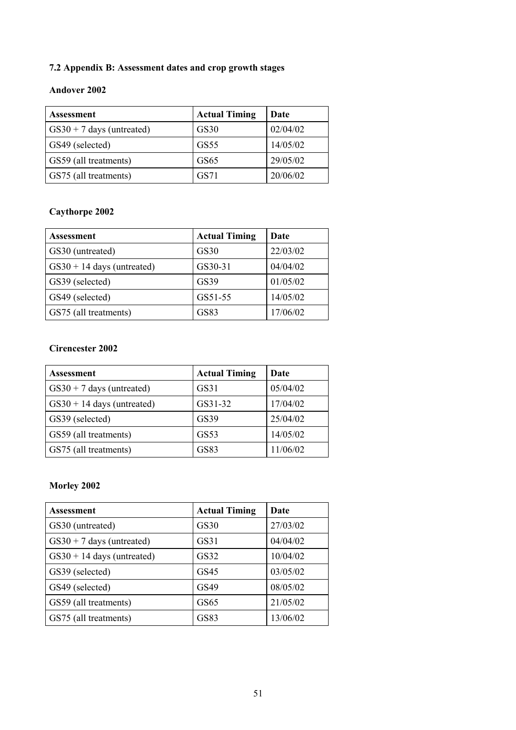## **7.2 Appendix B: Assessment dates and crop growth stages**

### **Andover 2002**

| <b>Assessment</b>              | <b>Actual Timing</b> | Date     |
|--------------------------------|----------------------|----------|
| $\cos 30 + 7$ days (untreated) | GS30                 | 02/04/02 |
| GS49 (selected)                | GS55                 | 14/05/02 |
| GS59 (all treatments)          | GS65                 | 29/05/02 |
| GS75 (all treatments)          | GS71                 | 20/06/02 |

# **Caythorpe 2002**

| Assessment                   | <b>Actual Timing</b> | Date     |
|------------------------------|----------------------|----------|
| GS30 (untreated)             | GS30                 | 22/03/02 |
| $GS30 + 14$ days (untreated) | GS30-31              | 04/04/02 |
| GS39 (selected)              | GS39                 | 01/05/02 |
| GS49 (selected)              | GS51-55              | 14/05/02 |
| GS75 (all treatments)        | GS83                 | 17/06/02 |

## **Cirencester 2002**

| <b>Assessment</b>            | <b>Actual Timing</b> | Date     |  |
|------------------------------|----------------------|----------|--|
| $GS30 + 7$ days (untreated)  | GS31                 | 05/04/02 |  |
| $GS30 + 14$ days (untreated) | GS31-32              | 17/04/02 |  |
| GS39 (selected)              | GS39                 | 25/04/02 |  |
| GS59 (all treatments)        | GS53                 | 14/05/02 |  |
| GS75 (all treatments)        | GS83                 | 11/06/02 |  |

| <b>Assessment</b>            | <b>Actual Timing</b> | Date     |  |  |
|------------------------------|----------------------|----------|--|--|
| GS30 (untreated)             | GS30                 | 27/03/02 |  |  |
| $GS30 + 7$ days (untreated)  | GS31                 | 04/04/02 |  |  |
| $GS30 + 14$ days (untreated) | GS32                 | 10/04/02 |  |  |
| GS39 (selected)              | GS45                 | 03/05/02 |  |  |
| GS49 (selected)              | GS49                 | 08/05/02 |  |  |
| GS59 (all treatments)        | GS <sub>65</sub>     | 21/05/02 |  |  |
| GS75 (all treatments)        | GS83                 | 13/06/02 |  |  |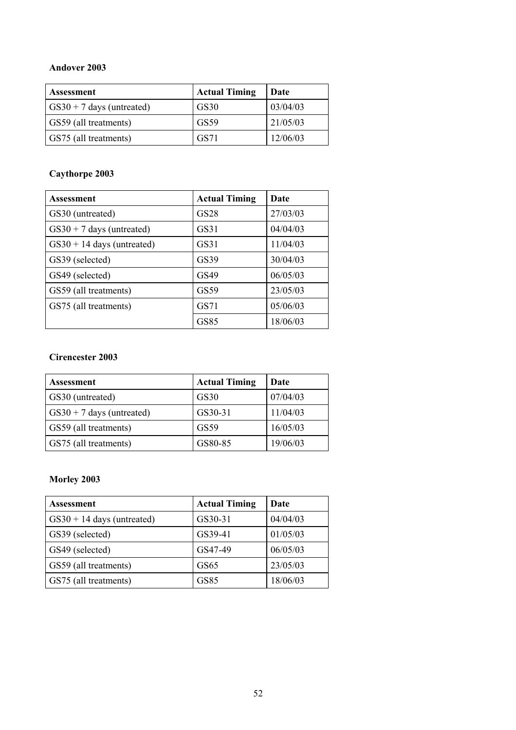### **Andover 2003**

| <b>Assessment</b>              | <b>Actual Timing</b> | Date     |
|--------------------------------|----------------------|----------|
| $\cos 30 + 7$ days (untreated) | GS30                 | 03/04/03 |
| GS59 (all treatments)          | GS59                 | 21/05/03 |
| GS75 (all treatments)          | GS71                 | 12/06/03 |

# **Caythorpe 2003**

| <b>Assessment</b>            | <b>Actual Timing</b> | Date     |  |
|------------------------------|----------------------|----------|--|
| GS30 (untreated)             | <b>GS28</b>          | 27/03/03 |  |
| $GS30 + 7$ days (untreated)  | GS31                 | 04/04/03 |  |
| $GS30 + 14$ days (untreated) | GS31                 | 11/04/03 |  |
| GS39 (selected)              | GS39                 | 30/04/03 |  |
| GS49 (selected)              | GS49                 | 06/05/03 |  |
| GS59 (all treatments)        | GS59                 | 23/05/03 |  |
| GS75 (all treatments)        | GS71                 | 05/06/03 |  |
|                              | <b>GS85</b>          | 18/06/03 |  |

### **Cirencester 2003**

| <b>Assessment</b>           | <b>Actual Timing</b> | Date     |
|-----------------------------|----------------------|----------|
| GS30 (untreated)            | GS30                 | 07/04/03 |
| $GS30 + 7$ days (untreated) | GS30-31              | 11/04/03 |
| GS59 (all treatments)       | GS59                 | 16/05/03 |
| GS75 (all treatments)       | GS80-85              | 19/06/03 |

| <b>Assessment</b>            | <b>Actual Timing</b> | Date     |
|------------------------------|----------------------|----------|
| $GS30 + 14$ days (untreated) | GS30-31              | 04/04/03 |
| GS39 (selected)              | GS39-41              | 01/05/03 |
| GS49 (selected)              | GS47-49              | 06/05/03 |
| GS59 (all treatments)        | GS <sub>65</sub>     | 23/05/03 |
| GS75 (all treatments)        | GS85                 | 18/06/03 |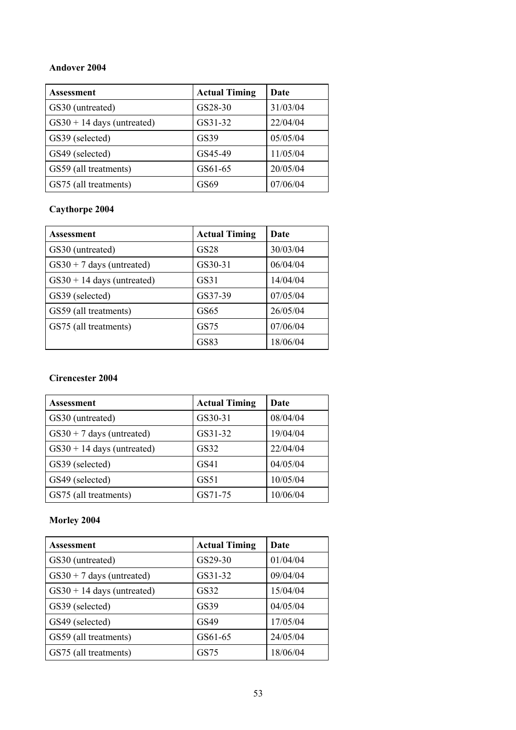### **Andover 2004**

| Assessment                   | <b>Actual Timing</b> | Date     |  |
|------------------------------|----------------------|----------|--|
| GS30 (untreated)             | GS28-30              | 31/03/04 |  |
| $GS30 + 14$ days (untreated) | GS31-32              | 22/04/04 |  |
| GS39 (selected)              | GS39                 | 05/05/04 |  |
| GS49 (selected)              | GS45-49              | 11/05/04 |  |
| GS59 (all treatments)        | GS61-65              | 20/05/04 |  |
| GS75 (all treatments)        | GS69                 | 07/06/04 |  |

## **Caythorpe 2004**

| <b>Assessment</b>            | <b>Actual Timing</b> | Date     |  |  |
|------------------------------|----------------------|----------|--|--|
| GS30 (untreated)             | GS28                 | 30/03/04 |  |  |
| $GS30 + 7$ days (untreated)  | GS30-31              | 06/04/04 |  |  |
| $GS30 + 14$ days (untreated) | GS31                 | 14/04/04 |  |  |
| GS39 (selected)              | GS37-39              | 07/05/04 |  |  |
| GS59 (all treatments)        | GS65                 | 26/05/04 |  |  |
| GS75 (all treatments)        | GS75                 | 07/06/04 |  |  |
|                              | GS83                 | 18/06/04 |  |  |

## **Cirencester 2004**

| Assessment                   | <b>Actual Timing</b> | Date     |  |
|------------------------------|----------------------|----------|--|
| GS30 (untreated)             | GS30-31              | 08/04/04 |  |
| $GS30 + 7$ days (untreated)  | GS31-32              | 19/04/04 |  |
| $GS30 + 14$ days (untreated) | GS32                 | 22/04/04 |  |
| GS39 (selected)              | GS41                 | 04/05/04 |  |
| GS49 (selected)              | GS51                 | 10/05/04 |  |
| GS75 (all treatments)        | GS71-75              | 10/06/04 |  |

| Assessment                   | <b>Actual Timing</b> | Date     |
|------------------------------|----------------------|----------|
| GS30 (untreated)             | GS29-30              | 01/04/04 |
| $GS30 + 7$ days (untreated)  | GS31-32              | 09/04/04 |
| $GS30 + 14$ days (untreated) | GS32                 | 15/04/04 |
| GS39 (selected)              | GS39                 | 04/05/04 |
| GS49 (selected)              | GS49                 | 17/05/04 |
| GS59 (all treatments)        | GS61-65              | 24/05/04 |
| GS75 (all treatments)        | GS75                 | 18/06/04 |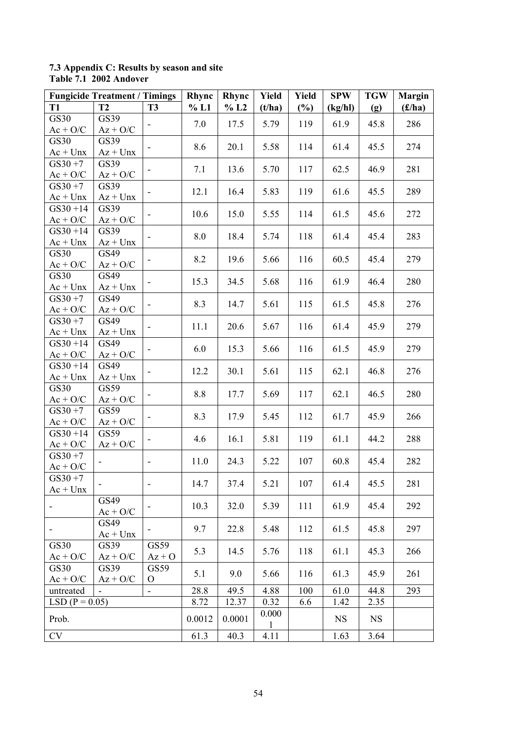#### **7.3 Appendix C: Results by season and site Table 7.1 2002 Andover**

|                           | <b>Fungicide Treatment / Timings</b> |                              | Rhync  | Rhync  | Yield        | <b>Yield</b> | <b>SPW</b> | <b>TGW</b> | <b>Margin</b>           |
|---------------------------|--------------------------------------|------------------------------|--------|--------|--------------|--------------|------------|------------|-------------------------|
| <b>T1</b>                 | <b>T2</b>                            | <b>T3</b>                    | % L1   | % L2   | (t/ha)       | $(\%)$       | (kg/hl)    | (g)        | $(\pounds/\mathbf{ha})$ |
| GS30                      | GS39                                 |                              | 7.0    | 17.5   | 5.79         | 119          | 61.9       | 45.8       | 286                     |
| $Ac + O/C$                | $Az + O/C$                           |                              |        |        |              |              |            |            |                         |
| GS30                      | GS39                                 | -                            | 8.6    | 20.1   | 5.58         | 114          | 61.4       | 45.5       | 274                     |
| $Ac + Unx$                | $Az + Unx$                           |                              |        |        |              |              |            |            |                         |
| $GS30 + 7$                | GS39                                 | -                            | 7.1    | 13.6   | 5.70         | 117          | 62.5       | 46.9       | 281                     |
| $Ac + O/C$                | $Az + O/C$                           |                              |        |        |              |              |            |            |                         |
| $GS30 + 7$                | GS39                                 |                              | 12.1   | 16.4   | 5.83         | 119          | 61.6       | 45.5       | 289                     |
| $Ac + Unx$                | $Az + Unx$                           |                              |        |        |              |              |            |            |                         |
| $GS30 + 14$               | GS39                                 | $\overline{\phantom{0}}$     | 10.6   | 15.0   | 5.55         | 114          | 61.5       | 45.6       | 272                     |
| $Ac + O/C$                | $Az + O/C$                           |                              |        |        |              |              |            |            |                         |
| $GS30 + 14$               | GS39                                 | $\overline{\phantom{0}}$     | 8.0    | 18.4   | 5.74         | 118          | 61.4       | 45.4       | 283                     |
| $Ac + Unx$                | $Az + Unx$                           |                              |        |        |              |              |            |            |                         |
| GS30                      | GS49                                 |                              | 8.2    | 19.6   | 5.66         | 116          | 60.5       | 45.4       | 279                     |
| $Ac + O/C$                | $Az + O/C$                           |                              |        |        |              |              |            |            |                         |
| GS30                      | GS49                                 |                              | 15.3   | 34.5   | 5.68         | 116          | 61.9       | 46.4       | 280                     |
| $Ac + Unx$                | $Az + Unx$                           |                              |        |        |              |              |            |            |                         |
| $GS30 + 7$                | GS49                                 | ۰                            | 8.3    | 14.7   | 5.61         | 115          | 61.5       | 45.8       | 276                     |
| $Ac + O/C$                | $Az + O/C$                           |                              |        |        |              |              |            |            |                         |
| $GS30 + 7$                | GS49                                 | -                            | 11.1   | 20.6   | 5.67         | 116          | 61.4       | 45.9       | 279                     |
| $Ac + Unx$                | $Az + Unx$                           |                              |        |        |              |              |            |            |                         |
| $GS30 + 14$               | GS49                                 | $\overline{\phantom{0}}$     | 6.0    | 15.3   | 5.66         | 116          | 61.5       | 45.9       | 279                     |
| $Ac + O/C$                | $Az + O/C$                           |                              |        |        |              |              |            |            |                         |
| $GS30 + 14$               | GS49                                 | $\overline{\phantom{0}}$     | 12.2   | 30.1   | 5.61         | 115          | 62.1       | 46.8       | 276                     |
| $Ac + Unx$                | $Az + Unx$                           |                              |        |        |              |              |            |            |                         |
| GS30                      | GS59                                 |                              | 8.8    | 17.7   | 5.69         | 117          | 62.1       | 46.5       | 280                     |
| $Ac + O/C$                | $Az + O/C$                           |                              |        |        |              |              |            |            |                         |
| $GS30 + 7$                | GS59                                 | $\overline{\phantom{a}}$     | 8.3    | 17.9   | 5.45         | 112          | 61.7       | 45.9       | 266                     |
| $Ac + O/C$<br>$GS30 + 14$ | $Az + O/C$<br>GS59                   |                              |        |        |              |              |            |            |                         |
| $Ac + O/C$                | $Az + O/C$                           | -                            | 4.6    | 16.1   | 5.81         | 119          | 61.1       | 44.2       | 288                     |
| $GS30 + 7$                |                                      |                              |        |        |              |              |            |            |                         |
| $Ac + O/C$                |                                      | $\overline{\phantom{0}}$     | 11.0   | 24.3   | 5.22         | 107          | 60.8       | 45.4       | 282                     |
| $GS30 + 7$                |                                      |                              |        |        |              |              |            |            |                         |
| $Ac + Unx$                | $\overline{\phantom{a}}$             | $\qquad \qquad \blacksquare$ | 14.7   | 37.4   | 5.21         | 107          | 61.4       | 45.5       | 281                     |
|                           | GS49                                 |                              |        |        |              |              |            |            |                         |
|                           | $Ac + O/C$                           |                              | 10.3   | 32.0   | 5.39         | 111          | 61.9       | 45.4       | 292                     |
|                           | GS49                                 |                              |        |        |              |              |            |            |                         |
|                           | $Ac + Unx$                           |                              | 9.7    | 22.8   | 5.48         | 112          | 61.5       | 45.8       | 297                     |
| GS30                      | GS39                                 | GS59                         |        |        |              |              |            |            |                         |
| $Ac + O/C$                | $Az + O/C$                           | $Az + O$                     | 5.3    | 14.5   | 5.76         | 118          | 61.1       | 45.3       | 266                     |
| GS30                      | GS39                                 | GS59                         |        |        |              |              |            |            |                         |
| $Ac + O/C$                | $Az + O/C$                           | $\mathbf{O}$                 | 5.1    | 9.0    | 5.66         | 116          | 61.3       | 45.9       | 261                     |
| untreated                 |                                      | ÷,                           | 28.8   | 49.5   | 4.88         | 100          | 61.0       | 44.8       | 293                     |
| $LSD (P = 0.05)$          |                                      |                              | 8.72   | 12.37  | 0.32         | 6.6          | 1.42       | 2.35       |                         |
|                           |                                      |                              |        |        | 0.000        |              |            |            |                         |
| Prob.                     |                                      |                              | 0.0012 | 0.0001 | $\mathbf{1}$ |              | <b>NS</b>  | <b>NS</b>  |                         |
| <b>CV</b>                 |                                      |                              | 61.3   | 40.3   | 4.11         |              | 1.63       | 3.64       |                         |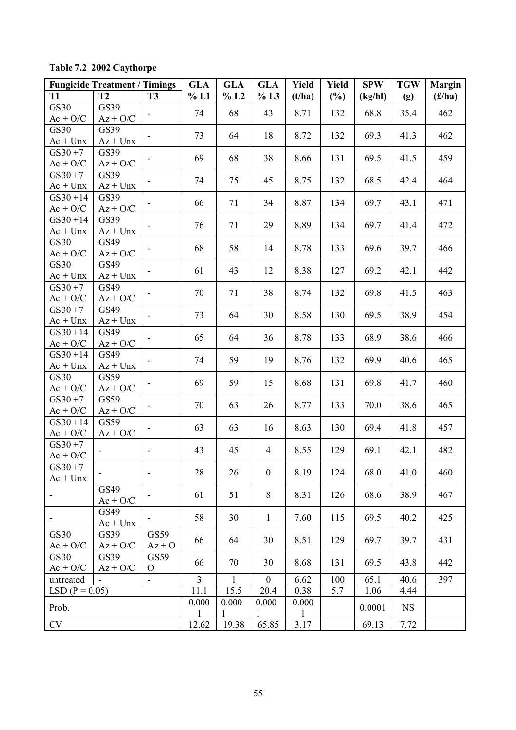| Table 7.2 2002 Caythorpe |  |
|--------------------------|--|
|--------------------------|--|

|                           | <b>Fungicide Treatment / Timings</b> |                              | <b>GLA</b>     | <b>GLA</b>   | <b>GLA</b>     | Yield        | Yield  | <b>SPW</b> | <b>TGW</b> | <b>Margin</b> |
|---------------------------|--------------------------------------|------------------------------|----------------|--------------|----------------|--------------|--------|------------|------------|---------------|
| <b>T1</b>                 | <b>T2</b>                            | <b>T3</b>                    | % L1           | % L2         | % L3           | (t/ha)       | $(\%)$ | (kg/hl)    | (g)        | (f/ha)        |
| <b>GS30</b>               | GS39                                 | $\overline{\phantom{a}}$     | 74             | 68           | 43             | 8.71         | 132    | 68.8       | 35.4       | 462           |
| $Ac + O/C$                | $Az + O/C$                           |                              |                |              |                |              |        |            |            |               |
| <b>GS30</b>               | GS39                                 |                              | 73             | 64           | 18             | 8.72         | 132    | 69.3       | 41.3       | 462           |
| $Ac + Unx$                | $Az + Unx$                           |                              |                |              |                |              |        |            |            |               |
| $GS30 + 7$                | GS39                                 |                              | 69             | 68           | 38             | 8.66         | 131    | 69.5       | 41.5       | 459           |
| $Ac + O/C$                | $Az + O/C$                           |                              |                |              |                |              |        |            |            |               |
| $GS30 + 7$<br>$Ac + Unx$  | GS39<br>$Az + Unx$                   |                              | 74             | 75           | 45             | 8.75         | 132    | 68.5       | 42.4       | 464           |
| $GS30 + 14$               | GS39                                 |                              | 66             | 71           | 34             | 8.87         | 134    | 69.7       | 43.1       | 471           |
| $Ac + O/C$                | $Az + O/C$                           |                              |                |              |                |              |        |            |            |               |
| $GS30 + 14$               | GS39                                 |                              | 76             | 71           | 29             | 8.89         | 134    | 69.7       | 41.4       | 472           |
| $Ac + Unx$                | $Az + Unx$                           |                              |                |              |                |              |        |            |            |               |
| GS30                      | GS49                                 |                              | 68             | 58           | 14             | 8.78         | 133    | 69.6       | 39.7       | 466           |
| $Ac + O/C$                | $Az + O/C$<br>GS49                   |                              |                |              |                |              |        |            |            |               |
| <b>GS30</b><br>$Ac + Unx$ | $Az + Unx$                           |                              | 61             | 43           | 12             | 8.38         | 127    | 69.2       | 42.1       | 442           |
| $GS30 + 7$                | GS49                                 |                              |                |              |                |              |        |            |            |               |
| $Ac + O/C$                | $Az + O/C$                           |                              | 70             | 71           | 38             | 8.74         | 132    | 69.8       | 41.5       | 463           |
| $GS30 + 7$                | GS49                                 |                              |                |              |                |              |        |            |            |               |
| $Ac + Unx$                | $Az + Unx$                           |                              | 73             | 64           | 30             | 8.58         | 130    | 69.5       | 38.9       | 454           |
| $GS30 + 14$               | GS49                                 |                              | 65             | 64           | 36             | 8.78         | 133    | 68.9       | 38.6       | 466           |
| $Ac + O/C$                | $Az + O/C$                           |                              |                |              |                |              |        |            |            |               |
| $GS30 + 14$               | GS49                                 |                              | 74             | 59           | 19             | 8.76         | 132    | 69.9       | 40.6       | 465           |
| $Ac + Unx$                | $Az + Unx$                           |                              |                |              |                |              |        |            |            |               |
| GS30                      | GS59                                 | $\overline{\phantom{a}}$     | 69             | 59           | 15             | 8.68         | 131    | 69.8       | 41.7       | 460           |
| $Ac + O/C$                | $Az + O/C$                           |                              |                |              |                |              |        |            |            |               |
| $GS30 + 7$                | GS59                                 | $\overline{\phantom{a}}$     | 70             | 63           | 26             | 8.77         | 133    | 70.0       | 38.6       | 465           |
| $Ac + O/C$                | $Az + O/C$                           |                              |                |              |                |              |        |            |            |               |
| $GS30 + 14$<br>$Ac + O/C$ | GS59<br>$Az + O/C$                   |                              | 63             | 63           | 16             | 8.63         | 130    | 69.4       | 41.8       | 457           |
| $GS30 + 7$                |                                      |                              |                |              |                |              |        |            |            |               |
| $Ac + O/C$                |                                      | $\overline{\phantom{a}}$     | 43             | 45           | $\overline{4}$ | 8.55         | 129    | 69.1       | 42.1       | 482           |
| $GS30 + 7$                |                                      |                              |                |              |                |              |        |            |            |               |
| $Ac + Unx$                |                                      | $\qquad \qquad \blacksquare$ | 28             | 26           | $\mathbf{0}$   | 8.19         | 124    | 68.0       | 41.0       | 460           |
|                           | GS49                                 |                              | 61             | 51           | 8              | 8.31         | 126    | 68.6       | 38.9       | 467           |
|                           | $Ac + O/C$                           |                              |                |              |                |              |        |            |            |               |
|                           | GS49                                 | ۰                            | 58             | 30           | $\mathbf{1}$   | 7.60         | 115    | 69.5       | 40.2       | 425           |
|                           | $Ac + Unx$                           |                              |                |              |                |              |        |            |            |               |
| GS30                      | GS39                                 | GS59                         | 66             | 64           | 30             | 8.51         | 129    | 69.7       | 39.7       | 431           |
| $Ac + O/C$                | $Az + O/C$                           | $Az + O$                     |                |              |                |              |        |            |            |               |
| GS30<br>$Ac + O/C$        | GS39<br>$Az + O/C$                   | GS59<br>$\mathbf{O}$         | 66             | 70           | 30             | 8.68         | 131    | 69.5       | 43.8       | 442           |
| untreated                 |                                      | $\blacksquare$               | $\overline{3}$ | $\mathbf{1}$ | $\overline{0}$ | 6.62         | 100    | 65.1       | 40.6       | 397           |
| $LSD (P = 0.05)$          |                                      |                              | 11.1           | 15.5         | 20.4           | 0.38         | 5.7    | 1.06       | 4.44       |               |
|                           |                                      |                              | 0.000          | 0.000        | 0.000          | 0.000        |        |            |            |               |
| Prob.                     |                                      |                              | $\mathbf{1}$   | 1            | 1              | $\mathbf{1}$ |        | 0.0001     | <b>NS</b>  |               |
| CV                        |                                      |                              | 12.62          | 19.38        | 65.85          | 3.17         |        | 69.13      | 7.72       |               |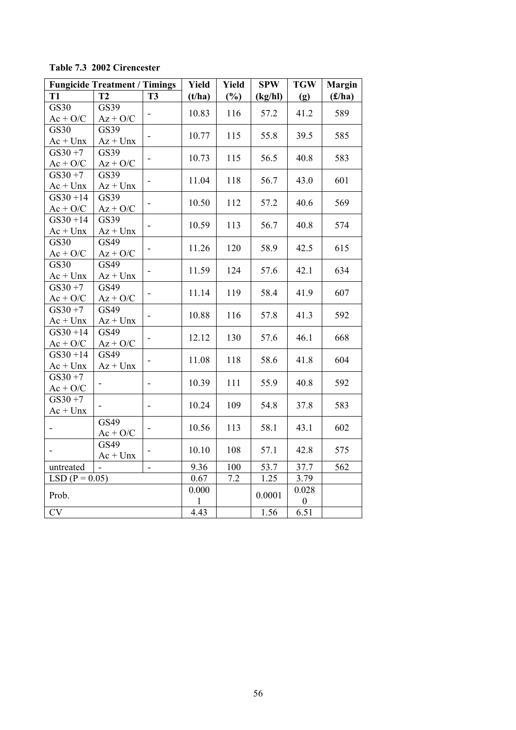|                           | <b>Fungicide Treatment / Timings</b> |                          | Yield  | <b>Yield</b> | <b>SPW</b> | <b>TGW</b>       | <b>Margin</b> |
|---------------------------|--------------------------------------|--------------------------|--------|--------------|------------|------------------|---------------|
| <b>T1</b>                 | T2                                   | <b>T3</b>                | (t/ha) | (%)          | (kg/hl)    | (g)              | (f/ha)        |
| GS30                      | GS39                                 |                          | 10.83  | 116          | 57.2       | 41.2             | 589           |
| $Ac + O/C$                | $Az + O/C$                           |                          |        |              |            |                  |               |
| <b>GS30</b>               | GS39                                 | $\blacksquare$           | 10.77  | 115          | 55.8       | 39.5             | 585           |
| $Ac + Unx$                | $Az + Unx$                           |                          |        |              |            |                  |               |
| $GS30 + 7$                | GS39                                 | $\overline{\phantom{a}}$ | 10.73  | 115          | 56.5       | 40.8             | 583           |
| $Ac + O/C$                | $Az + O/C$                           |                          |        |              |            |                  |               |
| $GS30 + 7$                | GS39                                 |                          | 11.04  | 118          | 56.7       | 43.0             | 601           |
| $Ac + Unx$                | $Az + Unx$                           |                          |        |              |            |                  |               |
| $GS30 + 14$               | GS39                                 |                          | 10.50  | 112          | 57.2       | 40.6             | 569           |
| $Ac + O/C$                | $Az + O/C$                           |                          |        |              |            |                  |               |
| $GS30 + 14$               | GS39                                 | $\overline{\phantom{a}}$ | 10.59  | 113          | 56.7       | 40.8             | 574           |
| $Ac + Unx$                | $Az + Unx$                           |                          |        |              |            |                  |               |
| <b>GS30</b>               | GS49                                 |                          | 11.26  | 120          | 58.9       | 42.5             | 615           |
| $Ac + O/C$                | $Az + O/C$                           |                          |        |              |            |                  |               |
| <b>GS30</b><br>$Ac + Unx$ | GS49<br>$Az + Unx$                   | $\overline{\phantom{a}}$ | 11.59  | 124          | 57.6       | 42.1             | 634           |
| $GS30 + 7$                | GS49                                 |                          |        |              |            |                  |               |
| $Ac + O/C$                | $Az + O/C$                           |                          | 11.14  | 119          | 58.4       | 41.9             | 607           |
| $GS30 + 7$                | GS49                                 |                          |        |              |            |                  |               |
| $Ac + Unx$                | $Az + Unx$                           | $\overline{\phantom{a}}$ | 10.88  | 116          | 57.8       | 41.3             | 592           |
| $GS30 + 14$               | GS49                                 |                          |        |              |            |                  |               |
| $Ac + O/C$                | $Az + O/C$                           | $\overline{\phantom{a}}$ | 12.12  | 130          | 57.6       | 46.1             | 668           |
| $GS30 + 14$               | GS49                                 |                          |        |              |            |                  |               |
| $Ac + Unx$                | $Az + Unx$                           | $\blacksquare$           | 11.08  | 118          | 58.6       | 41.8             | 604           |
| $GS30 + 7$                |                                      |                          |        |              |            |                  |               |
| $Ac + O/C$                | -                                    | $\overline{\phantom{a}}$ | 10.39  | 111          | 55.9       | 40.8             | 592           |
| $GS30 + 7$                |                                      |                          |        |              |            |                  |               |
| $Ac + Unx$                |                                      | $\overline{\phantom{a}}$ | 10.24  | 109          | 54.8       | 37.8             | 583           |
|                           | GS49                                 |                          | 10.56  | 113          | 58.1       | 43.1             | 602           |
|                           | $Ac + O/C$                           |                          |        |              |            |                  |               |
| $\blacksquare$            | GS49                                 | $\overline{\phantom{a}}$ | 10.10  | 108          | 57.1       | 42.8             | 575           |
|                           | $Ac + Unx$                           |                          |        |              |            |                  |               |
| untreated                 |                                      | $\overline{\phantom{0}}$ | 9.36   | 100          | 53.7       | 37.7             | 562           |
| LSD $(P = 0.05)$          |                                      |                          | 0.67   | 7.2          | 1.25       | 3.79             |               |
| Prob.                     |                                      |                          | 0.000  |              | 0.0001     | 0.028            |               |
|                           |                                      |                          | 1      |              |            | $\boldsymbol{0}$ |               |
| CV                        |                                      |                          | 4.43   |              | 1.56       | 6.51             |               |

**Table 7.3 2002 Cirencester**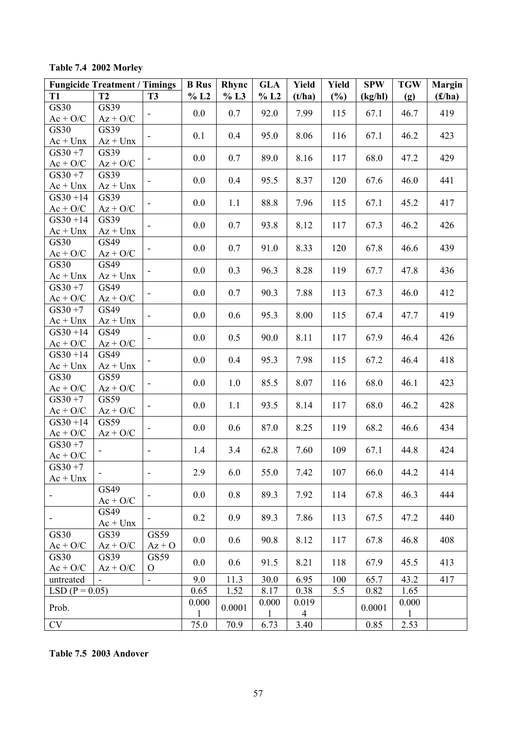**Table 7.4 2002 Morley** 

|                           | <b>Fungicide Treatment / Timings</b> |                              | <b>B</b> Rus | Rhync  | <b>GLA</b>   | Yield          | <b>Yield</b> | <b>SPW</b> | <b>TGW</b>   | <b>Margin</b> |
|---------------------------|--------------------------------------|------------------------------|--------------|--------|--------------|----------------|--------------|------------|--------------|---------------|
| <b>T1</b>                 | T2                                   | <b>T3</b>                    | $\%$ L2      | % L3   | % L2         | (t/ha)         | $(\%)$       | (kg/hl)    | (g)          | (f/ha)        |
| GS30                      | GS39                                 | $\overline{\phantom{a}}$     | 0.0          | 0.7    | 92.0         | 7.99           | 115          | 67.1       | 46.7         | 419           |
| $Ac + O/C$                | $Az + O/C$                           |                              |              |        |              |                |              |            |              |               |
| GS30                      | GS39                                 |                              | 0.1          | 0.4    | 95.0         | 8.06           | 116          | 67.1       | 46.2         | 423           |
| $Ac + Unx$                | $Az + Unx$                           |                              |              |        |              |                |              |            |              |               |
| $GS30 + 7$<br>$Ac + O/C$  | GS39<br>$Az + O/C$                   |                              | 0.0          | 0.7    | 89.0         | 8.16           | 117          | 68.0       | 47.2         | 429           |
| $GS30 + 7$                | GS39                                 |                              | 0.0          |        |              |                |              |            |              |               |
| $Ac + Unx$                | $Az + Unx$                           |                              |              | 0.4    | 95.5         | 8.37           | 120          | 67.6       | 46.0         | 441           |
| $GS30 + 14$               | GS39                                 | $\qquad \qquad \blacksquare$ | 0.0          | 1.1    | 88.8         | 7.96           | 115          | 67.1       | 45.2         | 417           |
| $Ac + O/C$                | $Az + O/C$                           |                              |              |        |              |                |              |            |              |               |
| $GS30 + 14$<br>$Ac + Unx$ | GS39<br>$Az + Unx$                   |                              | 0.0          | 0.7    | 93.8         | 8.12           | 117          | 67.3       | 46.2         | 426           |
| GS30                      | GS49                                 |                              |              |        |              |                |              |            |              |               |
| $Ac + O/C$                | $Az + O/C$                           | $\overline{\phantom{a}}$     | 0.0          | 0.7    | 91.0         | 8.33           | 120          | 67.8       | 46.6         | 439           |
| GS30                      | GS49                                 |                              | 0.0          | 0.3    | 96.3         | 8.28           | 119          | 67.7       | 47.8         | 436           |
| $Ac + Unx$                | $Az + Unx$                           |                              |              |        |              |                |              |            |              |               |
| $GS30 + 7$                | GS49                                 |                              | 0.0          | 0.7    | 90.3         | 7.88           | 113          | 67.3       | 46.0         | 412           |
| $Ac + O/C$                | $Az + O/C$                           |                              |              |        |              |                |              |            |              |               |
| $GS30 + 7$                | GS49                                 | $\blacksquare$               | 0.0          | 0.6    | 95.3         | 8.00           | 115          | 67.4       | 47.7         | 419           |
| $Ac + Unx$<br>$GS30 + 14$ | $Az + Unx$<br>GS49                   |                              |              |        |              |                |              |            |              |               |
| $Ac + O/C$                | $Az + O/C$                           | $\qquad \qquad \blacksquare$ | 0.0          | 0.5    | 90.0         | 8.11           | 117          | 67.9       | 46.4         | 426           |
| $GS30 + 14$               | GS49                                 |                              |              |        |              |                |              |            |              |               |
| $Ac + Unx$                | $Az + Unx$                           |                              | 0.0          | 0.4    | 95.3         | 7.98           | 115          | 67.2       | 46.4         | 418           |
| GS30                      | GS59                                 |                              | 0.0          | 1.0    | 85.5         | 8.07           | 116          | 68.0       | 46.1         | 423           |
| $Ac + O/C$                | $Az + O/C$                           | $\overline{\phantom{a}}$     |              |        |              |                |              |            |              |               |
| $GS30 + 7$                | GS59                                 | $\overline{\phantom{a}}$     | 0.0          | 1.1    | 93.5         | 8.14           | 117          | 68.0       | 46.2         | 428           |
| $Ac + O/C$                | $Az + O/C$                           |                              |              |        |              |                |              |            |              |               |
| $GS30 + 14$               | GS59                                 | $\overline{\phantom{a}}$     | 0.0          | 0.6    | 87.0         | 8.25           | 119          | 68.2       | 46.6         | 434           |
| $Ac + O/C$<br>$GS30 + 7$  | $Az + O/C$                           |                              |              |        |              |                |              |            |              |               |
| $Ac + O/C$                |                                      | $\overline{\phantom{a}}$     | 1.4          | 3.4    | 62.8         | 7.60           | 109          | 67.1       | 44.8         | 424           |
| $GS30 + 7$                |                                      |                              |              |        |              |                |              |            |              |               |
| $Ac + Unx$                |                                      | $\overline{\phantom{a}}$     | 2.9          | 6.0    | 55.0         | 7.42           | 107          | 66.0       | 44.2         | 414           |
|                           | GS49                                 |                              | 0.0          | 0.8    | 89.3         | 7.92           | 114          | 67.8       | 46.3         | 444           |
|                           | $Ac + O/C$                           |                              |              |        |              |                |              |            |              |               |
| -                         | GS49                                 | $\overline{\phantom{a}}$     | 0.2          | 0.9    | 89.3         | 7.86           | 113          | 67.5       | 47.2         | 440           |
|                           | $Ac + Unx$                           |                              |              |        |              |                |              |            |              |               |
| GS30<br>$Ac + O/C$        | GS39<br>$Az + O/C$                   | GS59<br>$Az + O$             | 0.0          | 0.6    | 90.8         | 8.12           | 117          | 67.8       | 46.8         | 408           |
| GS30                      | GS39                                 | GS59                         |              |        |              |                |              |            |              |               |
| $Ac + O/C$                | $Az + O/C$                           | $\mathbf{O}$                 | 0.0          | 0.6    | 91.5         | 8.21           | 118          | 67.9       | 45.5         | 413           |
| untreated                 |                                      | ÷,                           | 9.0          | 11.3   | 30.0         | 6.95           | 100          | 65.7       | 43.2         | 417           |
| $LSD (P = 0.05)$          |                                      |                              | 0.65         | 1.52   | 8.17         | 0.38           | 5.5          | 0.82       | 1.65         |               |
| Prob.                     |                                      |                              | 0.000        | 0.0001 | 0.000        | 0.019          |              | 0.0001     | 0.000        |               |
|                           |                                      |                              | 1            |        | $\mathbf{1}$ | $\overline{4}$ |              |            | $\mathbf{1}$ |               |
| <b>CV</b>                 |                                      |                              | 75.0         | 70.9   | 6.73         | 3.40           |              | 0.85       | 2.53         |               |

**Table 7.5 2003 Andover**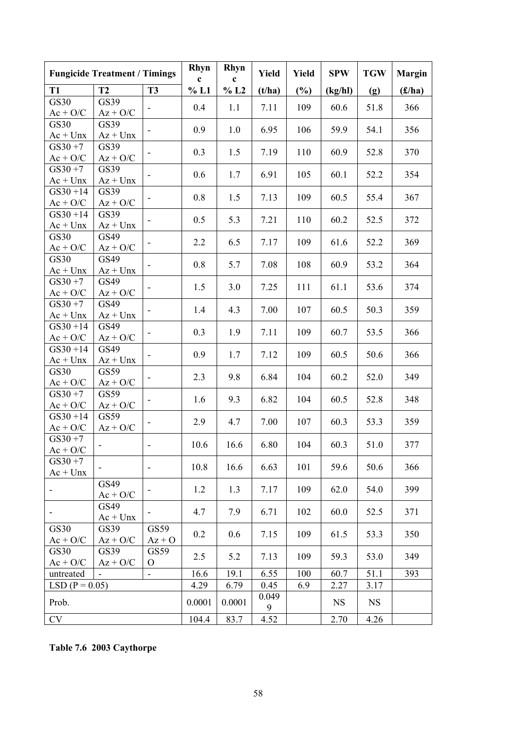|                          | <b>Fungicide Treatment / Timings</b> |                              | <b>Rhyn</b><br>$\mathbf c$ | <b>Rhyn</b><br>$\mathbf c$ | <b>Yield</b> | Yield | <b>SPW</b> | <b>TGW</b> | <b>Margin</b> |
|--------------------------|--------------------------------------|------------------------------|----------------------------|----------------------------|--------------|-------|------------|------------|---------------|
| T <sub>1</sub>           | T2                                   | <b>T3</b>                    | % L1                       | % L2                       | (t/ha)       | (%)   | (kg/hl)    | (g)        | (f/ha)        |
| <b>GS30</b>              | GS39                                 |                              | 0.4                        | 1.1                        | 7.11         | 109   | 60.6       | 51.8       | 366           |
| $Ac + O/C$               | $Az + O/C$                           |                              |                            |                            |              |       |            |            |               |
| <b>GS30</b>              | GS39                                 |                              | 0.9                        | 1.0                        | 6.95         | 106   | 59.9       | 54.1       | 356           |
| $Ac + Unx$               | $Az + Unx$                           |                              |                            |                            |              |       |            |            |               |
| $GS30 + 7$               | GS39                                 |                              | 0.3                        | 1.5                        | 7.19         | 110   | 60.9       | 52.8       | 370           |
| $Ac + O/C$<br>$GS30 + 7$ | $Az + O/C$<br>GS39                   |                              |                            |                            |              |       |            |            |               |
| $Ac + Unx$               | $Az + Unx$                           |                              | 0.6                        | 1.7                        | 6.91         | 105   | 60.1       | 52.2       | 354           |
| $GS30 + 14$              | GS39                                 |                              |                            |                            |              |       |            |            |               |
| $Ac + O/C$               | $Az + O/C$                           | $\overline{\phantom{0}}$     | 0.8                        | 1.5                        | 7.13         | 109   | 60.5       | 55.4       | 367           |
| $GS30 + 14$              | GS39                                 |                              |                            |                            |              |       |            |            |               |
| $Ac + Unx$               | $Az + Unx$                           |                              | 0.5                        | 5.3                        | 7.21         | 110   | 60.2       | 52.5       | 372           |
| GS30                     | GS49                                 |                              | 2.2                        | 6.5                        | 7.17         | 109   | 61.6       | 52.2       | 369           |
| $Ac + O/C$               | $Az + O/C$                           |                              |                            |                            |              |       |            |            |               |
| <b>GS30</b>              | GS49                                 | $\qquad \qquad \blacksquare$ | 0.8                        | 5.7                        | 7.08         | 108   | 60.9       | 53.2       | 364           |
| $Ac + Unx$               | $Az + Unx$                           |                              |                            |                            |              |       |            |            |               |
| $GS30 + 7$<br>$Ac + O/C$ | GS49<br>$Az + O/C$                   |                              | 1.5                        | 3.0                        | 7.25         | 111   | 61.1       | 53.6       | 374           |
| $GS30 + 7$               | GS49                                 |                              |                            |                            |              |       |            |            |               |
| $Ac + Unx$               | $Az + Unx$                           | -                            | 1.4                        | 4.3                        | 7.00         | 107   | 60.5       | 50.3       | 359           |
| $GS30 + 14$              | GS49                                 |                              |                            |                            |              |       |            |            |               |
| $Ac + O/C$               | $Az + O/C$                           | $\overline{\phantom{0}}$     | 0.3                        | 1.9                        | 7.11         | 109   | 60.7       | 53.5       | 366           |
| $GS30 + 14$              | GS49                                 | $\overline{\phantom{0}}$     | 0.9                        | 1.7                        | 7.12         | 109   | 60.5       | 50.6       | 366           |
| $Ac + Unx$               | $Az + Unx$                           |                              |                            |                            |              |       |            |            |               |
| GS30                     | GS59                                 |                              | 2.3                        | 9.8                        | 6.84         | 104   | 60.2       | 52.0       | 349           |
| $Ac + O/C$               | $Az + O/C$                           |                              |                            |                            |              |       |            |            |               |
| $GS30 + 7$<br>$Ac + O/C$ | GS59<br>$Az + O/C$                   | $\overline{\phantom{0}}$     | 1.6                        | 9.3                        | 6.82         | 104   | 60.5       | 52.8       | 348           |
| $GS30 + 14$              | GS59                                 |                              |                            |                            |              |       |            |            |               |
| $Ac + O/C$               | $Az + O/C$                           |                              | 2.9                        | 4.7                        | 7.00         | 107   | 60.3       | 53.3       | 359           |
| $GS30 + 7$               |                                      |                              |                            |                            |              |       |            |            |               |
| $Ac + O/C$               |                                      |                              | 10.6                       | 16.6                       | 6.80         | 104   | 60.3       | 51.0       | 377           |
| $GS30 + 7$               |                                      | $\overline{\phantom{0}}$     | 10.8                       | 16.6                       | 6.63         | 101   | 59.6       | 50.6       | 366           |
| $Ac + Unx$               |                                      |                              |                            |                            |              |       |            |            |               |
|                          | GS49                                 |                              | 1.2                        | 1.3                        | 7.17         | 109   | 62.0       | 54.0       | 399           |
|                          | $Ac + O/C$                           |                              |                            |                            |              |       |            |            |               |
|                          | GS49<br>$Ac + Unx$                   |                              | 4.7                        | 7.9                        | 6.71         | 102   | 60.0       | 52.5       | 371           |
| GS30                     | GS39                                 | GS59                         |                            |                            |              |       |            |            |               |
| $Ac + O/C$               | $Az + O/C$                           | $Az + O$                     | 0.2                        | 0.6                        | 7.15         | 109   | 61.5       | 53.3       | 350           |
| GS30                     | GS39                                 | GS59                         |                            |                            |              |       |            |            |               |
| $Ac + O/C$               | $Az + O/C$                           | $\Omega$                     | 2.5                        | 5.2                        | 7.13         | 109   | 59.3       | 53.0       | 349           |
| untreated                |                                      | $\blacksquare$               | 16.6                       | 19.1                       | 6.55         | 100   | 60.7       | 51.1       | 393           |
| $LSD (P = 0.05)$         |                                      |                              | 4.29                       | 6.79                       | 0.45         | 6.9   | 2.27       | 3.17       |               |
| Prob.                    |                                      |                              | 0.0001                     | 0.0001                     | 0.049<br>9   |       | <b>NS</b>  | <b>NS</b>  |               |
| <b>CV</b>                |                                      |                              | 104.4                      | 83.7                       | 4.52         |       | 2.70       | 4.26       |               |

**Table 7.6 2003 Caythorpe**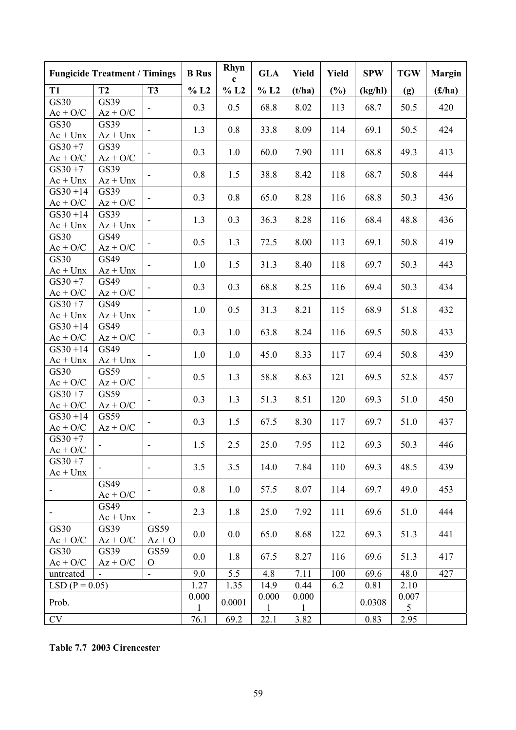| T2<br>T <sub>3</sub><br>% L2<br>% L2<br>% L2<br>(%)<br><b>T1</b><br>(f/ha)<br>(t/ha)<br>(kg/hl)<br>(g)<br><b>GS30</b><br>GS39<br>0.3<br>68.7<br>50.5<br>420<br>0.5<br>68.8<br>8.02<br>113<br>$Ac + O/C$<br>$Az + O/C$<br>GS30<br>GS39<br>424<br>1.3<br>0.8<br>33.8<br>8.09<br>114<br>69.1<br>50.5<br>$\overline{\phantom{a}}$<br>$Ac + Unx$<br>$Az + Unx$<br>$GS30 + 7$<br>GS39<br>0.3<br>68.8<br>49.3<br>413<br>1.0<br>60.0<br>7.90<br>111<br>$Ac + O/C$<br>$Az + O/C$<br>GS39<br>$GS30 + 7$<br>50.8<br>444<br>0.8<br>1.5<br>38.8<br>8.42<br>118<br>68.7<br>$\overline{\phantom{a}}$<br>$Ac + Unx$<br>$Az + Unx$<br>GS39<br>$GS30 + 14$<br>0.3<br>0.8<br>65.0<br>8.28<br>116<br>68.8<br>50.3<br>436<br>$\overline{\phantom{a}}$<br>$Ac + O/C$<br>$Az + O/C$<br>GS39<br>$GS30 + 14$<br>1.3<br>0.3<br>36.3<br>8.28<br>116<br>68.4<br>48.8<br>436<br>$\qquad \qquad \blacksquare$<br>$Ac + Unx$<br>$Az + Unx$<br><b>GS30</b><br>GS49<br>72.5<br>69.1<br>0.5<br>1.3<br>8.00<br>113<br>50.8<br>419<br>$Ac + O/C$<br>$Az + O/C$<br>GS30<br>GS49<br>1.0<br>1.5<br>31.3<br>8.40<br>118<br>69.7<br>50.3<br>443<br>$\overline{\phantom{a}}$<br>$Ac + Unx$<br>$Az + Unx$<br>$GS30 + 7$<br>GS49<br>0.3<br>0.3<br>68.8<br>50.3<br>434<br>8.25<br>116<br>69.4<br>$Ac + O/C$<br>$Az + O/C$<br>GS49<br>$GS30 + 7$<br>1.0<br>0.5<br>31.3<br>8.21<br>115<br>68.9<br>51.8<br>432<br>$Ac + Unx$<br>$Az + Unx$<br>GS49<br>$GS30 + 14$<br>0.3<br>1.0<br>63.8<br>8.24<br>116<br>69.5<br>50.8<br>433<br>$\qquad \qquad \blacksquare$<br>$Ac + O/C$<br>$Az + O/C$<br>$GS30 + 14$<br>GS49<br>1.0<br>1.0<br>45.0<br>8.33<br>117<br>69.4<br>50.8<br>439<br>$Ac + Unx$<br>$Az + Unx$<br>GS30<br>GS59<br>0.5<br>1.3<br>58.8<br>121<br>52.8<br>8.63<br>69.5<br>457<br>$\overline{\phantom{a}}$<br>$Ac + O/C$<br>$Az + O/C$<br>GS59<br>$GS30 + 7$<br>0.3<br>1.3<br>51.3<br>8.51<br>120<br>69.3<br>51.0<br>450<br>$\overline{\phantom{a}}$<br>$Ac + O/C$<br>$Az + O/C$<br>$GS30 + 14$<br>GS59<br>0.3<br>1.5<br>67.5<br>8.30<br>117<br>69.7<br>51.0<br>437<br>$Ac + O/C$<br>$Az + O/C$<br>$GS30 + 7$<br>1.5<br>2.5<br>25.0<br>7.95<br>69.3<br>50.3<br>112<br>446<br>$\overline{\phantom{a}}$<br>$Ac + O/C$<br>$GS30 + 7$<br>3.5<br>3.5<br>7.84<br>48.5<br>439<br>14.0<br>110<br>69.3<br>$\qquad \qquad \blacksquare$<br>$Ac + Unx$<br>GS49<br>0.8<br>1.0<br>69.7<br>49.0<br>453<br>57.5<br>8.07<br>114<br>$\overline{\phantom{a}}$<br>$\overline{\phantom{a}}$<br>$Ac + O/C$<br>GS49<br>2.3<br>1.8<br>25.0<br>7.92<br>111<br>69.6<br>444<br>51.0<br>$Ac + Unx$<br>GS59<br>GS30<br>GS39<br>0.0<br>0.0<br>65.0<br>8.68<br>122<br>69.3<br>51.3<br>441<br>$Az + O/C$<br>$Ac + O/C$<br>$Az + O$<br>GS30<br>GS39<br>GS59<br>0.0<br>1.8<br>67.5<br>8.27<br>116<br>69.6<br>51.3<br>417<br>$Ac + O/C$<br>$Az + O/C$<br>$\mathbf{O}$<br>5.5<br>7.11<br>9.0<br>4.8<br>100<br>427<br>69.6<br>48.0<br>untreated<br>$\blacksquare$<br>1.27<br>$LSD (P = 0.05)$<br>1.35<br>14.9<br>0.44<br>6.2<br>0.81<br>2.10<br>0.000<br>0.000<br>0.000<br>0.007<br>Prob.<br>0.0001<br>0.0308 | <b>Fungicide Treatment / Timings</b> | <b>B</b> Rus | Rhyn<br>$\mathbf c$ | <b>GLA</b>   | Yield        | <b>Yield</b> | <b>SPW</b> | <b>TGW</b> | <b>Margin</b> |
|---------------------------------------------------------------------------------------------------------------------------------------------------------------------------------------------------------------------------------------------------------------------------------------------------------------------------------------------------------------------------------------------------------------------------------------------------------------------------------------------------------------------------------------------------------------------------------------------------------------------------------------------------------------------------------------------------------------------------------------------------------------------------------------------------------------------------------------------------------------------------------------------------------------------------------------------------------------------------------------------------------------------------------------------------------------------------------------------------------------------------------------------------------------------------------------------------------------------------------------------------------------------------------------------------------------------------------------------------------------------------------------------------------------------------------------------------------------------------------------------------------------------------------------------------------------------------------------------------------------------------------------------------------------------------------------------------------------------------------------------------------------------------------------------------------------------------------------------------------------------------------------------------------------------------------------------------------------------------------------------------------------------------------------------------------------------------------------------------------------------------------------------------------------------------------------------------------------------------------------------------------------------------------------------------------------------------------------------------------------------------------------------------------------------------------------------------------------------------------------------------------------------------------------------------------------------------------------------------------------------------------------------------------------------------------------------------------------------------------------------------------------------------------------------------------------------------------------------------------------------------------------------------------------------------------------------------------------------------------------------------------------------------------|--------------------------------------|--------------|---------------------|--------------|--------------|--------------|------------|------------|---------------|
|                                                                                                                                                                                                                                                                                                                                                                                                                                                                                                                                                                                                                                                                                                                                                                                                                                                                                                                                                                                                                                                                                                                                                                                                                                                                                                                                                                                                                                                                                                                                                                                                                                                                                                                                                                                                                                                                                                                                                                                                                                                                                                                                                                                                                                                                                                                                                                                                                                                                                                                                                                                                                                                                                                                                                                                                                                                                                                                                                                                                                                 |                                      |              |                     |              |              |              |            |            |               |
|                                                                                                                                                                                                                                                                                                                                                                                                                                                                                                                                                                                                                                                                                                                                                                                                                                                                                                                                                                                                                                                                                                                                                                                                                                                                                                                                                                                                                                                                                                                                                                                                                                                                                                                                                                                                                                                                                                                                                                                                                                                                                                                                                                                                                                                                                                                                                                                                                                                                                                                                                                                                                                                                                                                                                                                                                                                                                                                                                                                                                                 |                                      |              |                     |              |              |              |            |            |               |
|                                                                                                                                                                                                                                                                                                                                                                                                                                                                                                                                                                                                                                                                                                                                                                                                                                                                                                                                                                                                                                                                                                                                                                                                                                                                                                                                                                                                                                                                                                                                                                                                                                                                                                                                                                                                                                                                                                                                                                                                                                                                                                                                                                                                                                                                                                                                                                                                                                                                                                                                                                                                                                                                                                                                                                                                                                                                                                                                                                                                                                 |                                      |              |                     |              |              |              |            |            |               |
|                                                                                                                                                                                                                                                                                                                                                                                                                                                                                                                                                                                                                                                                                                                                                                                                                                                                                                                                                                                                                                                                                                                                                                                                                                                                                                                                                                                                                                                                                                                                                                                                                                                                                                                                                                                                                                                                                                                                                                                                                                                                                                                                                                                                                                                                                                                                                                                                                                                                                                                                                                                                                                                                                                                                                                                                                                                                                                                                                                                                                                 |                                      |              |                     |              |              |              |            |            |               |
|                                                                                                                                                                                                                                                                                                                                                                                                                                                                                                                                                                                                                                                                                                                                                                                                                                                                                                                                                                                                                                                                                                                                                                                                                                                                                                                                                                                                                                                                                                                                                                                                                                                                                                                                                                                                                                                                                                                                                                                                                                                                                                                                                                                                                                                                                                                                                                                                                                                                                                                                                                                                                                                                                                                                                                                                                                                                                                                                                                                                                                 |                                      |              |                     |              |              |              |            |            |               |
|                                                                                                                                                                                                                                                                                                                                                                                                                                                                                                                                                                                                                                                                                                                                                                                                                                                                                                                                                                                                                                                                                                                                                                                                                                                                                                                                                                                                                                                                                                                                                                                                                                                                                                                                                                                                                                                                                                                                                                                                                                                                                                                                                                                                                                                                                                                                                                                                                                                                                                                                                                                                                                                                                                                                                                                                                                                                                                                                                                                                                                 |                                      |              |                     |              |              |              |            |            |               |
|                                                                                                                                                                                                                                                                                                                                                                                                                                                                                                                                                                                                                                                                                                                                                                                                                                                                                                                                                                                                                                                                                                                                                                                                                                                                                                                                                                                                                                                                                                                                                                                                                                                                                                                                                                                                                                                                                                                                                                                                                                                                                                                                                                                                                                                                                                                                                                                                                                                                                                                                                                                                                                                                                                                                                                                                                                                                                                                                                                                                                                 |                                      |              |                     |              |              |              |            |            |               |
|                                                                                                                                                                                                                                                                                                                                                                                                                                                                                                                                                                                                                                                                                                                                                                                                                                                                                                                                                                                                                                                                                                                                                                                                                                                                                                                                                                                                                                                                                                                                                                                                                                                                                                                                                                                                                                                                                                                                                                                                                                                                                                                                                                                                                                                                                                                                                                                                                                                                                                                                                                                                                                                                                                                                                                                                                                                                                                                                                                                                                                 |                                      |              |                     |              |              |              |            |            |               |
|                                                                                                                                                                                                                                                                                                                                                                                                                                                                                                                                                                                                                                                                                                                                                                                                                                                                                                                                                                                                                                                                                                                                                                                                                                                                                                                                                                                                                                                                                                                                                                                                                                                                                                                                                                                                                                                                                                                                                                                                                                                                                                                                                                                                                                                                                                                                                                                                                                                                                                                                                                                                                                                                                                                                                                                                                                                                                                                                                                                                                                 |                                      |              |                     |              |              |              |            |            |               |
|                                                                                                                                                                                                                                                                                                                                                                                                                                                                                                                                                                                                                                                                                                                                                                                                                                                                                                                                                                                                                                                                                                                                                                                                                                                                                                                                                                                                                                                                                                                                                                                                                                                                                                                                                                                                                                                                                                                                                                                                                                                                                                                                                                                                                                                                                                                                                                                                                                                                                                                                                                                                                                                                                                                                                                                                                                                                                                                                                                                                                                 |                                      |              |                     |              |              |              |            |            |               |
|                                                                                                                                                                                                                                                                                                                                                                                                                                                                                                                                                                                                                                                                                                                                                                                                                                                                                                                                                                                                                                                                                                                                                                                                                                                                                                                                                                                                                                                                                                                                                                                                                                                                                                                                                                                                                                                                                                                                                                                                                                                                                                                                                                                                                                                                                                                                                                                                                                                                                                                                                                                                                                                                                                                                                                                                                                                                                                                                                                                                                                 |                                      |              |                     |              |              |              |            |            |               |
|                                                                                                                                                                                                                                                                                                                                                                                                                                                                                                                                                                                                                                                                                                                                                                                                                                                                                                                                                                                                                                                                                                                                                                                                                                                                                                                                                                                                                                                                                                                                                                                                                                                                                                                                                                                                                                                                                                                                                                                                                                                                                                                                                                                                                                                                                                                                                                                                                                                                                                                                                                                                                                                                                                                                                                                                                                                                                                                                                                                                                                 |                                      |              |                     |              |              |              |            |            |               |
|                                                                                                                                                                                                                                                                                                                                                                                                                                                                                                                                                                                                                                                                                                                                                                                                                                                                                                                                                                                                                                                                                                                                                                                                                                                                                                                                                                                                                                                                                                                                                                                                                                                                                                                                                                                                                                                                                                                                                                                                                                                                                                                                                                                                                                                                                                                                                                                                                                                                                                                                                                                                                                                                                                                                                                                                                                                                                                                                                                                                                                 |                                      |              |                     |              |              |              |            |            |               |
|                                                                                                                                                                                                                                                                                                                                                                                                                                                                                                                                                                                                                                                                                                                                                                                                                                                                                                                                                                                                                                                                                                                                                                                                                                                                                                                                                                                                                                                                                                                                                                                                                                                                                                                                                                                                                                                                                                                                                                                                                                                                                                                                                                                                                                                                                                                                                                                                                                                                                                                                                                                                                                                                                                                                                                                                                                                                                                                                                                                                                                 |                                      |              |                     |              |              |              |            |            |               |
|                                                                                                                                                                                                                                                                                                                                                                                                                                                                                                                                                                                                                                                                                                                                                                                                                                                                                                                                                                                                                                                                                                                                                                                                                                                                                                                                                                                                                                                                                                                                                                                                                                                                                                                                                                                                                                                                                                                                                                                                                                                                                                                                                                                                                                                                                                                                                                                                                                                                                                                                                                                                                                                                                                                                                                                                                                                                                                                                                                                                                                 |                                      |              |                     |              |              |              |            |            |               |
|                                                                                                                                                                                                                                                                                                                                                                                                                                                                                                                                                                                                                                                                                                                                                                                                                                                                                                                                                                                                                                                                                                                                                                                                                                                                                                                                                                                                                                                                                                                                                                                                                                                                                                                                                                                                                                                                                                                                                                                                                                                                                                                                                                                                                                                                                                                                                                                                                                                                                                                                                                                                                                                                                                                                                                                                                                                                                                                                                                                                                                 |                                      |              |                     |              |              |              |            |            |               |
|                                                                                                                                                                                                                                                                                                                                                                                                                                                                                                                                                                                                                                                                                                                                                                                                                                                                                                                                                                                                                                                                                                                                                                                                                                                                                                                                                                                                                                                                                                                                                                                                                                                                                                                                                                                                                                                                                                                                                                                                                                                                                                                                                                                                                                                                                                                                                                                                                                                                                                                                                                                                                                                                                                                                                                                                                                                                                                                                                                                                                                 |                                      |              |                     |              |              |              |            |            |               |
|                                                                                                                                                                                                                                                                                                                                                                                                                                                                                                                                                                                                                                                                                                                                                                                                                                                                                                                                                                                                                                                                                                                                                                                                                                                                                                                                                                                                                                                                                                                                                                                                                                                                                                                                                                                                                                                                                                                                                                                                                                                                                                                                                                                                                                                                                                                                                                                                                                                                                                                                                                                                                                                                                                                                                                                                                                                                                                                                                                                                                                 |                                      |              |                     |              |              |              |            |            |               |
|                                                                                                                                                                                                                                                                                                                                                                                                                                                                                                                                                                                                                                                                                                                                                                                                                                                                                                                                                                                                                                                                                                                                                                                                                                                                                                                                                                                                                                                                                                                                                                                                                                                                                                                                                                                                                                                                                                                                                                                                                                                                                                                                                                                                                                                                                                                                                                                                                                                                                                                                                                                                                                                                                                                                                                                                                                                                                                                                                                                                                                 |                                      |              |                     |              |              |              |            |            |               |
|                                                                                                                                                                                                                                                                                                                                                                                                                                                                                                                                                                                                                                                                                                                                                                                                                                                                                                                                                                                                                                                                                                                                                                                                                                                                                                                                                                                                                                                                                                                                                                                                                                                                                                                                                                                                                                                                                                                                                                                                                                                                                                                                                                                                                                                                                                                                                                                                                                                                                                                                                                                                                                                                                                                                                                                                                                                                                                                                                                                                                                 |                                      |              |                     |              |              |              |            |            |               |
|                                                                                                                                                                                                                                                                                                                                                                                                                                                                                                                                                                                                                                                                                                                                                                                                                                                                                                                                                                                                                                                                                                                                                                                                                                                                                                                                                                                                                                                                                                                                                                                                                                                                                                                                                                                                                                                                                                                                                                                                                                                                                                                                                                                                                                                                                                                                                                                                                                                                                                                                                                                                                                                                                                                                                                                                                                                                                                                                                                                                                                 |                                      |              |                     |              |              |              |            |            |               |
|                                                                                                                                                                                                                                                                                                                                                                                                                                                                                                                                                                                                                                                                                                                                                                                                                                                                                                                                                                                                                                                                                                                                                                                                                                                                                                                                                                                                                                                                                                                                                                                                                                                                                                                                                                                                                                                                                                                                                                                                                                                                                                                                                                                                                                                                                                                                                                                                                                                                                                                                                                                                                                                                                                                                                                                                                                                                                                                                                                                                                                 |                                      |              |                     |              |              |              |            |            |               |
|                                                                                                                                                                                                                                                                                                                                                                                                                                                                                                                                                                                                                                                                                                                                                                                                                                                                                                                                                                                                                                                                                                                                                                                                                                                                                                                                                                                                                                                                                                                                                                                                                                                                                                                                                                                                                                                                                                                                                                                                                                                                                                                                                                                                                                                                                                                                                                                                                                                                                                                                                                                                                                                                                                                                                                                                                                                                                                                                                                                                                                 |                                      |              |                     |              |              |              |            |            |               |
|                                                                                                                                                                                                                                                                                                                                                                                                                                                                                                                                                                                                                                                                                                                                                                                                                                                                                                                                                                                                                                                                                                                                                                                                                                                                                                                                                                                                                                                                                                                                                                                                                                                                                                                                                                                                                                                                                                                                                                                                                                                                                                                                                                                                                                                                                                                                                                                                                                                                                                                                                                                                                                                                                                                                                                                                                                                                                                                                                                                                                                 |                                      |              |                     |              |              |              |            |            |               |
|                                                                                                                                                                                                                                                                                                                                                                                                                                                                                                                                                                                                                                                                                                                                                                                                                                                                                                                                                                                                                                                                                                                                                                                                                                                                                                                                                                                                                                                                                                                                                                                                                                                                                                                                                                                                                                                                                                                                                                                                                                                                                                                                                                                                                                                                                                                                                                                                                                                                                                                                                                                                                                                                                                                                                                                                                                                                                                                                                                                                                                 |                                      |              |                     |              |              |              |            |            |               |
|                                                                                                                                                                                                                                                                                                                                                                                                                                                                                                                                                                                                                                                                                                                                                                                                                                                                                                                                                                                                                                                                                                                                                                                                                                                                                                                                                                                                                                                                                                                                                                                                                                                                                                                                                                                                                                                                                                                                                                                                                                                                                                                                                                                                                                                                                                                                                                                                                                                                                                                                                                                                                                                                                                                                                                                                                                                                                                                                                                                                                                 |                                      |              |                     |              |              |              |            |            |               |
|                                                                                                                                                                                                                                                                                                                                                                                                                                                                                                                                                                                                                                                                                                                                                                                                                                                                                                                                                                                                                                                                                                                                                                                                                                                                                                                                                                                                                                                                                                                                                                                                                                                                                                                                                                                                                                                                                                                                                                                                                                                                                                                                                                                                                                                                                                                                                                                                                                                                                                                                                                                                                                                                                                                                                                                                                                                                                                                                                                                                                                 |                                      |              |                     |              |              |              |            |            |               |
|                                                                                                                                                                                                                                                                                                                                                                                                                                                                                                                                                                                                                                                                                                                                                                                                                                                                                                                                                                                                                                                                                                                                                                                                                                                                                                                                                                                                                                                                                                                                                                                                                                                                                                                                                                                                                                                                                                                                                                                                                                                                                                                                                                                                                                                                                                                                                                                                                                                                                                                                                                                                                                                                                                                                                                                                                                                                                                                                                                                                                                 |                                      |              |                     |              |              |              |            |            |               |
|                                                                                                                                                                                                                                                                                                                                                                                                                                                                                                                                                                                                                                                                                                                                                                                                                                                                                                                                                                                                                                                                                                                                                                                                                                                                                                                                                                                                                                                                                                                                                                                                                                                                                                                                                                                                                                                                                                                                                                                                                                                                                                                                                                                                                                                                                                                                                                                                                                                                                                                                                                                                                                                                                                                                                                                                                                                                                                                                                                                                                                 |                                      |              |                     |              |              |              |            |            |               |
|                                                                                                                                                                                                                                                                                                                                                                                                                                                                                                                                                                                                                                                                                                                                                                                                                                                                                                                                                                                                                                                                                                                                                                                                                                                                                                                                                                                                                                                                                                                                                                                                                                                                                                                                                                                                                                                                                                                                                                                                                                                                                                                                                                                                                                                                                                                                                                                                                                                                                                                                                                                                                                                                                                                                                                                                                                                                                                                                                                                                                                 |                                      |              |                     |              |              |              |            |            |               |
|                                                                                                                                                                                                                                                                                                                                                                                                                                                                                                                                                                                                                                                                                                                                                                                                                                                                                                                                                                                                                                                                                                                                                                                                                                                                                                                                                                                                                                                                                                                                                                                                                                                                                                                                                                                                                                                                                                                                                                                                                                                                                                                                                                                                                                                                                                                                                                                                                                                                                                                                                                                                                                                                                                                                                                                                                                                                                                                                                                                                                                 |                                      |              |                     |              |              |              |            |            |               |
|                                                                                                                                                                                                                                                                                                                                                                                                                                                                                                                                                                                                                                                                                                                                                                                                                                                                                                                                                                                                                                                                                                                                                                                                                                                                                                                                                                                                                                                                                                                                                                                                                                                                                                                                                                                                                                                                                                                                                                                                                                                                                                                                                                                                                                                                                                                                                                                                                                                                                                                                                                                                                                                                                                                                                                                                                                                                                                                                                                                                                                 |                                      |              |                     |              |              |              |            |            |               |
|                                                                                                                                                                                                                                                                                                                                                                                                                                                                                                                                                                                                                                                                                                                                                                                                                                                                                                                                                                                                                                                                                                                                                                                                                                                                                                                                                                                                                                                                                                                                                                                                                                                                                                                                                                                                                                                                                                                                                                                                                                                                                                                                                                                                                                                                                                                                                                                                                                                                                                                                                                                                                                                                                                                                                                                                                                                                                                                                                                                                                                 |                                      |              |                     |              |              |              |            |            |               |
|                                                                                                                                                                                                                                                                                                                                                                                                                                                                                                                                                                                                                                                                                                                                                                                                                                                                                                                                                                                                                                                                                                                                                                                                                                                                                                                                                                                                                                                                                                                                                                                                                                                                                                                                                                                                                                                                                                                                                                                                                                                                                                                                                                                                                                                                                                                                                                                                                                                                                                                                                                                                                                                                                                                                                                                                                                                                                                                                                                                                                                 |                                      |              |                     |              |              |              |            |            |               |
|                                                                                                                                                                                                                                                                                                                                                                                                                                                                                                                                                                                                                                                                                                                                                                                                                                                                                                                                                                                                                                                                                                                                                                                                                                                                                                                                                                                                                                                                                                                                                                                                                                                                                                                                                                                                                                                                                                                                                                                                                                                                                                                                                                                                                                                                                                                                                                                                                                                                                                                                                                                                                                                                                                                                                                                                                                                                                                                                                                                                                                 |                                      |              |                     |              |              |              |            |            |               |
|                                                                                                                                                                                                                                                                                                                                                                                                                                                                                                                                                                                                                                                                                                                                                                                                                                                                                                                                                                                                                                                                                                                                                                                                                                                                                                                                                                                                                                                                                                                                                                                                                                                                                                                                                                                                                                                                                                                                                                                                                                                                                                                                                                                                                                                                                                                                                                                                                                                                                                                                                                                                                                                                                                                                                                                                                                                                                                                                                                                                                                 |                                      |              |                     |              |              |              |            |            |               |
|                                                                                                                                                                                                                                                                                                                                                                                                                                                                                                                                                                                                                                                                                                                                                                                                                                                                                                                                                                                                                                                                                                                                                                                                                                                                                                                                                                                                                                                                                                                                                                                                                                                                                                                                                                                                                                                                                                                                                                                                                                                                                                                                                                                                                                                                                                                                                                                                                                                                                                                                                                                                                                                                                                                                                                                                                                                                                                                                                                                                                                 |                                      |              |                     |              |              |              |            |            |               |
|                                                                                                                                                                                                                                                                                                                                                                                                                                                                                                                                                                                                                                                                                                                                                                                                                                                                                                                                                                                                                                                                                                                                                                                                                                                                                                                                                                                                                                                                                                                                                                                                                                                                                                                                                                                                                                                                                                                                                                                                                                                                                                                                                                                                                                                                                                                                                                                                                                                                                                                                                                                                                                                                                                                                                                                                                                                                                                                                                                                                                                 |                                      |              |                     |              |              |              |            |            |               |
|                                                                                                                                                                                                                                                                                                                                                                                                                                                                                                                                                                                                                                                                                                                                                                                                                                                                                                                                                                                                                                                                                                                                                                                                                                                                                                                                                                                                                                                                                                                                                                                                                                                                                                                                                                                                                                                                                                                                                                                                                                                                                                                                                                                                                                                                                                                                                                                                                                                                                                                                                                                                                                                                                                                                                                                                                                                                                                                                                                                                                                 |                                      |              |                     |              |              |              |            |            |               |
|                                                                                                                                                                                                                                                                                                                                                                                                                                                                                                                                                                                                                                                                                                                                                                                                                                                                                                                                                                                                                                                                                                                                                                                                                                                                                                                                                                                                                                                                                                                                                                                                                                                                                                                                                                                                                                                                                                                                                                                                                                                                                                                                                                                                                                                                                                                                                                                                                                                                                                                                                                                                                                                                                                                                                                                                                                                                                                                                                                                                                                 |                                      |              |                     |              |              |              |            |            |               |
|                                                                                                                                                                                                                                                                                                                                                                                                                                                                                                                                                                                                                                                                                                                                                                                                                                                                                                                                                                                                                                                                                                                                                                                                                                                                                                                                                                                                                                                                                                                                                                                                                                                                                                                                                                                                                                                                                                                                                                                                                                                                                                                                                                                                                                                                                                                                                                                                                                                                                                                                                                                                                                                                                                                                                                                                                                                                                                                                                                                                                                 |                                      |              |                     |              |              |              |            |            |               |
|                                                                                                                                                                                                                                                                                                                                                                                                                                                                                                                                                                                                                                                                                                                                                                                                                                                                                                                                                                                                                                                                                                                                                                                                                                                                                                                                                                                                                                                                                                                                                                                                                                                                                                                                                                                                                                                                                                                                                                                                                                                                                                                                                                                                                                                                                                                                                                                                                                                                                                                                                                                                                                                                                                                                                                                                                                                                                                                                                                                                                                 |                                      | 1            |                     | $\mathbf{1}$ | $\mathbf{1}$ |              |            | 5          |               |
| <b>CV</b><br>3.82<br>0.83<br>76.1<br>69.2<br>22.1<br>2.95                                                                                                                                                                                                                                                                                                                                                                                                                                                                                                                                                                                                                                                                                                                                                                                                                                                                                                                                                                                                                                                                                                                                                                                                                                                                                                                                                                                                                                                                                                                                                                                                                                                                                                                                                                                                                                                                                                                                                                                                                                                                                                                                                                                                                                                                                                                                                                                                                                                                                                                                                                                                                                                                                                                                                                                                                                                                                                                                                                       |                                      |              |                     |              |              |              |            |            |               |

**Table 7.7 2003 Cirencester**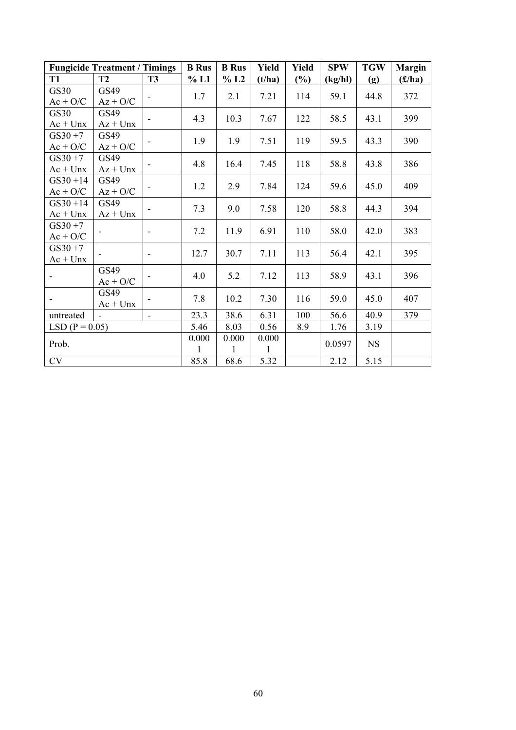|                          | <b>Fungicide Treatment / Timings</b> |                          | <b>B</b> Rus | <b>B</b> Rus | <b>Yield</b> | Yield  | <b>SPW</b> | <b>TGW</b> | <b>Margin</b> |
|--------------------------|--------------------------------------|--------------------------|--------------|--------------|--------------|--------|------------|------------|---------------|
| <b>T1</b>                | <b>T2</b>                            | <b>T3</b>                | % L1         | % L2         | (t/ha)       | $(\%)$ | (kg/hl)    | (g)        | (f/ha)        |
| GS30                     | GS49                                 |                          | 1.7          | 2.1          | 7.21         | 114    | 59.1       | 44.8       | 372           |
| $Ac + O/C$               | $Az + O/C$                           |                          |              |              |              |        |            |            |               |
| GS30                     | GS49                                 |                          | 4.3          | 10.3         | 7.67         | 122    | 58.5       | 43.1       | 399           |
| $Ac + Unx$               | $Az + Unx$                           |                          |              |              |              |        |            |            |               |
| $GS30 + 7$               | GS49                                 |                          | 1.9          | 1.9          | 7.51         | 119    | 59.5       | 43.3       | 390           |
| $Ac + O/C$               | $Az + O/C$                           |                          |              |              |              |        |            |            |               |
| $GS30 + 7$               | GS49                                 |                          | 4.8          | 16.4         | 7.45         | 118    | 58.8       | 43.8       | 386           |
| $Ac + Unx$               | $Az + Unx$                           |                          |              |              |              |        |            |            |               |
| $GS30 + 14$              | GS49                                 |                          | 1.2          | 2.9          | 7.84         | 124    | 59.6       | 45.0       | 409           |
| $Ac + O/C$               | $Az + O/C$                           |                          |              |              |              |        |            |            |               |
| $GS30 + 14$              | GS49                                 |                          | 7.3          | 9.0          | 7.58         | 120    | 58.8       | 44.3       | 394           |
| $Ac + Unx$               | $Az + Unx$                           |                          |              |              |              |        |            |            |               |
| $GS30 + 7$               |                                      |                          | 7.2          | 11.9         | 6.91         | 110    | 58.0       | 42.0       | 383           |
| $Ac + O/C$               |                                      |                          |              |              |              |        |            |            |               |
| $GS30 + 7$               |                                      | $\overline{\phantom{a}}$ | 12.7         | 30.7         | 7.11         | 113    | 56.4       | 42.1       | 395           |
| $Ac + Unx$               |                                      |                          |              |              |              |        |            |            |               |
|                          | GS49                                 |                          | 4.0          | 5.2          | 7.12         | 113    | 58.9       | 43.1       | 396           |
|                          | $Ac + O/C$                           |                          |              |              |              |        |            |            |               |
| $\overline{\phantom{a}}$ | GS49                                 |                          | 7.8          | 10.2         | 7.30         | 116    | 59.0       | 45.0       | 407           |
|                          | $Ac + Unx$                           |                          |              |              |              |        |            |            |               |
| untreated                | $\blacksquare$                       | $\blacksquare$           | 23.3         | 38.6         | 6.31         | 100    | 56.6       | 40.9       | 379           |
| $LSD (P = 0.05)$         |                                      |                          | 5.46         | 8.03         | 0.56         | 8.9    | 1.76       | 3.19       |               |
| Prob.                    |                                      |                          | 0.000        | 0.000        | 0.000        |        | 0.0597     | <b>NS</b>  |               |
|                          |                                      |                          | 1            | 1            | 1            |        |            |            |               |
| <b>CV</b>                |                                      |                          | 85.8         | 68.6         | 5.32         |        | 2.12       | 5.15       |               |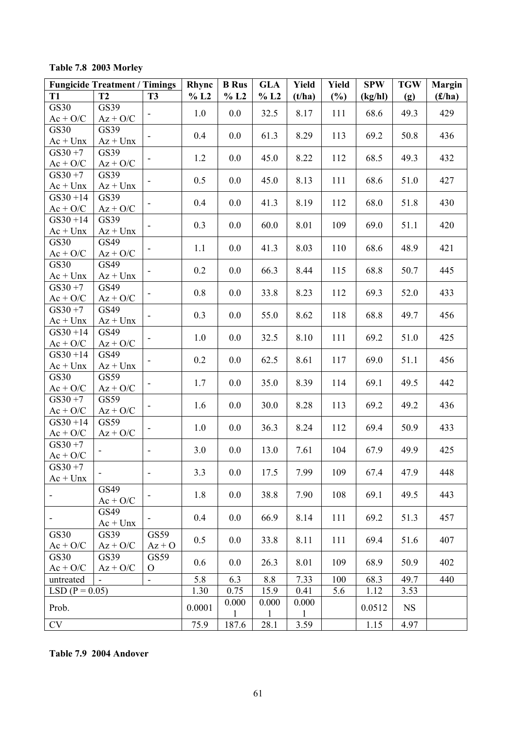## **Table 7.8 2003 Morley**

|                           | <b>Fungicide Treatment / Timings</b> |                              | Rhync  | <b>B</b> Rus | <b>GLA</b>   | Yield        | <b>Yield</b> | <b>SPW</b> | <b>TGW</b> | <b>Margin</b> |
|---------------------------|--------------------------------------|------------------------------|--------|--------------|--------------|--------------|--------------|------------|------------|---------------|
| <b>T1</b>                 | <b>T2</b>                            | <b>T3</b>                    | % L2   | % L2         | % L2         | (t/ha)       | $(\%)$       | (kg/hl)    | (g)        | (f/ha)        |
| GS30                      | GS39                                 | $\qquad \qquad \blacksquare$ | 1.0    | 0.0          | 32.5         | 8.17         | 111          | 68.6       | 49.3       | 429           |
| $Ac + O/C$                | $Az + O/C$                           |                              |        |              |              |              |              |            |            |               |
| GS30                      | GS39                                 |                              | 0.4    | 0.0          | 61.3         | 8.29         | 113          | 69.2       | 50.8       | 436           |
| $Ac + Unx$                | $Az + Unx$                           |                              |        |              |              |              |              |            |            |               |
| $GS30 + 7$                | GS39                                 |                              | 1.2    | 0.0          | 45.0         | 8.22         | 112          | 68.5       | 49.3       | 432           |
| $Ac + O/C$<br>$GS30 + 7$  | $Az + O/C$<br>GS39                   |                              |        |              |              |              |              |            |            |               |
| $Ac + Unx$                | $Az + Unx$                           | $\qquad \qquad \blacksquare$ | 0.5    | 0.0          | 45.0         | 8.13         | 111          | 68.6       | 51.0       | 427           |
| $GS30 + 14$               | GS39                                 |                              |        |              |              |              |              |            |            |               |
| $Ac + O/C$                | $Az + O/C$                           |                              | 0.4    | 0.0          | 41.3         | 8.19         | 112          | 68.0       | 51.8       | 430           |
| $GS30 + 14$               | GS39                                 | $\overline{\phantom{a}}$     | 0.3    | 0.0          | 60.0         | 8.01         | 109          | 69.0       | 51.1       | 420           |
| $Ac + Unx$                | $Az + Unx$                           |                              |        |              |              |              |              |            |            |               |
| GS30                      | GS49                                 | $\overline{\phantom{a}}$     | 1.1    | 0.0          | 41.3         | 8.03         | 110          | 68.6       | 48.9       | 421           |
| $Ac + O/C$                | $Az + O/C$                           |                              |        |              |              |              |              |            |            |               |
| GS30                      | GS49                                 |                              | 0.2    | 0.0          | 66.3         | 8.44         | 115          | 68.8       | 50.7       | 445           |
| $Ac + Unx$<br>$GS30 + 7$  | $Az + Unx$<br>GS49                   |                              |        |              |              |              |              |            |            |               |
| $Ac + O/C$                | $Az + O/C$                           | -                            | 0.8    | 0.0          | 33.8         | 8.23         | 112          | 69.3       | 52.0       | 433           |
| $GS30 + 7$                | GS49                                 |                              |        |              |              |              |              |            |            |               |
| $Ac + Unx$                | $Az + Unx$                           | $\overline{\phantom{a}}$     | 0.3    | 0.0          | 55.0         | 8.62         | 118          | 68.8       | 49.7       | 456           |
| $GS30 + 14$               | GS49                                 |                              |        |              |              |              |              |            |            |               |
| $Ac + O/C$                | $Az + O/C$                           | $\qquad \qquad \blacksquare$ | 1.0    | 0.0          | 32.5         | 8.10         | 111          | 69.2       | 51.0       | 425           |
| $GS30 + 14$               | GS49                                 |                              | 0.2    | 0.0          | 62.5         | 8.61         | 117          | 69.0       | 51.1       | 456           |
| $Ac + Unx$                | $Az + Unx$                           |                              |        |              |              |              |              |            |            |               |
| GS30                      | GS59                                 | $\overline{\phantom{a}}$     | 1.7    | 0.0          | 35.0         | 8.39         | 114          | 69.1       | 49.5       | 442           |
| $Ac + O/C$                | $Az + O/C$                           |                              |        |              |              |              |              |            |            |               |
| $GS30 + 7$                | GS59                                 |                              | 1.6    | 0.0          | 30.0         | 8.28         | 113          | 69.2       | 49.2       | 436           |
| $Ac + O/C$<br>$GS30 + 14$ | $Az + O/C$<br>GS59                   |                              |        |              |              |              |              |            |            |               |
| $Ac + O/C$                | $Az + O/C$                           |                              | 1.0    | 0.0          | 36.3         | 8.24         | 112          | 69.4       | 50.9       | 433           |
| $GS30 + 7$                |                                      |                              |        |              |              |              |              |            |            |               |
| $Ac + O/C$                |                                      | $\blacksquare$               | 3.0    | 0.0          | 13.0         | 7.61         | 104          | 67.9       | 49.9       | 425           |
| $GS30 + 7$                |                                      |                              |        |              |              |              |              |            |            |               |
| $Ac + Unx$                |                                      | $\overline{\phantom{a}}$     | 3.3    | 0.0          | 17.5         | 7.99         | 109          | 67.4       | 47.9       | 448           |
|                           | GS49                                 | ۰                            | 1.8    | 0.0          | 38.8         | 7.90         | 108          | 69.1       | 49.5       | 443           |
|                           | $Ac + O/C$                           |                              |        |              |              |              |              |            |            |               |
| ۰                         | GS49                                 | $\qquad \qquad \blacksquare$ | 0.4    | 0.0          | 66.9         | 8.14         | 111          | 69.2       | 51.3       | 457           |
|                           | $Ac + Unx$                           |                              |        |              |              |              |              |            |            |               |
| GS30                      | GS39                                 | GS59                         | 0.5    | 0.0          | 33.8         | 8.11         | 111          | 69.4       | 51.6       | 407           |
| $Ac + O/C$<br>GS30        | $Az + O/C$<br>GS39                   | $Az + O$<br>GS59             |        |              |              |              |              |            |            |               |
| $Ac + O/C$                | $Az + O/C$                           | $\mathbf{O}$                 | 0.6    | 0.0          | 26.3         | 8.01         | 109          | 68.9       | 50.9       | 402           |
| untreated                 |                                      | $\qquad \qquad \blacksquare$ | 5.8    | 6.3          | 8.8          | 7.33         | 100          | 68.3       | 49.7       | 440           |
| $LSD (P = 0.05)$          |                                      |                              | 1.30   | 0.75         | 15.9         | 0.41         | 5.6          | 1.12       | 3.53       |               |
|                           |                                      |                              |        | 0.000        | 0.000        | 0.000        |              |            |            |               |
| Prob.                     |                                      |                              | 0.0001 | $\mathbf{1}$ | $\mathbf{1}$ | $\mathbf{1}$ |              | 0.0512     | <b>NS</b>  |               |
| CV                        |                                      |                              | 75.9   | 187.6        | 28.1         | 3.59         |              | 1.15       | 4.97       |               |

### **Table 7.9 2004 Andover**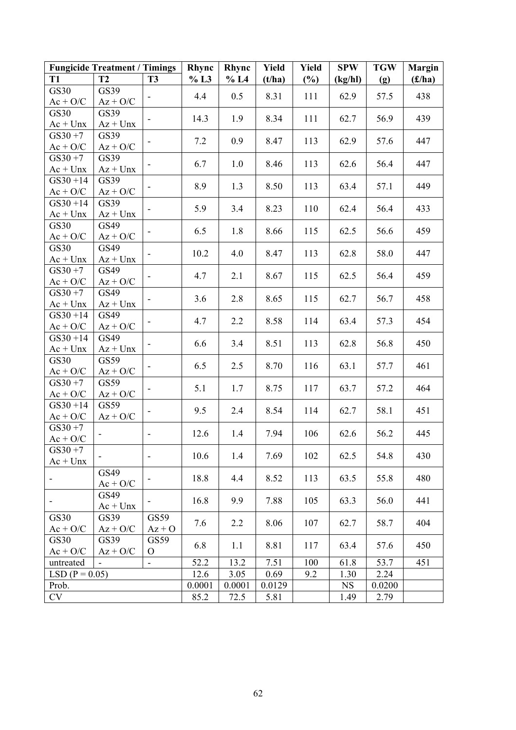|                               | <b>Fungicide Treatment / Timings</b> |                          | Rhync  | Rhync  | Yield  | Yield | <b>SPW</b> | <b>TGW</b> | <b>Margin</b> |
|-------------------------------|--------------------------------------|--------------------------|--------|--------|--------|-------|------------|------------|---------------|
| <b>T1</b>                     | <b>T2</b>                            | <b>T3</b>                | % L3   | % L4   | (t/ha) | (%)   | (kg/hl)    | (g)        | (f/ha)        |
| <b>GS30</b>                   | GS39                                 |                          | 4.4    | 0.5    | 8.31   | 111   | 62.9       | 57.5       | 438           |
| $Ac + O/C$                    | $Az + O/C$                           |                          |        |        |        |       |            |            |               |
| GS30                          | GS39                                 |                          | 14.3   | 1.9    | 8.34   | 111   | 62.7       | 56.9       | 439           |
| $Ac + Unx$                    | $Az + Unx$                           |                          |        |        |        |       |            |            |               |
| $GS30 + 7$                    | GS39                                 |                          | 7.2    | 0.9    | 8.47   | 113   | 62.9       | 57.6       | 447           |
| $Ac + O/C$                    | $Az + O/C$                           |                          |        |        |        |       |            |            |               |
| $GS30 + 7$<br>$Ac + Unx$      | GS39<br>$Az + Unx$                   |                          | 6.7    | 1.0    | 8.46   | 113   | 62.6       | 56.4       | 447           |
| $GS30 + 14$                   | GS39                                 |                          |        |        |        |       |            |            |               |
| $Ac + O/C$                    | $Az + O/C$                           | $\overline{\phantom{a}}$ | 8.9    | 1.3    | 8.50   | 113   | 63.4       | 57.1       | 449           |
| $GS30 + 14$                   | GS39                                 |                          |        |        |        |       |            |            |               |
| $Ac + Unx$                    | $Az + Unx$                           |                          | 5.9    | 3.4    | 8.23   | 110   | 62.4       | 56.4       | 433           |
| GS30                          | GS49                                 |                          |        |        |        |       |            |            |               |
| $Ac + O/C$                    | $Az + O/C$                           |                          | 6.5    | 1.8    | 8.66   | 115   | 62.5       | 56.6       | 459           |
| GS30                          | GS49                                 |                          | 10.2   | 4.0    | 8.47   | 113   | 62.8       | 58.0       | 447           |
| $Ac + Unx$                    | $Az + Unx$                           |                          |        |        |        |       |            |            |               |
| $GS30 + 7$                    | GS49                                 |                          | 4.7    | 2.1    | 8.67   | 115   | 62.5       | 56.4       | 459           |
| $Ac + O/C$                    | $Az + O/C$                           |                          |        |        |        |       |            |            |               |
| $GS30 + 7$                    | GS49                                 |                          | 3.6    | 2.8    | 8.65   | 115   | 62.7       | 56.7       | 458           |
| $Ac + Unx$<br>$GS30 + 14$     | $Az + Unx$<br>GS49                   |                          |        |        |        |       |            |            |               |
| $Ac + O/C$                    | $Az + O/C$                           |                          | 4.7    | 2.2    | 8.58   | 114   | 63.4       | 57.3       | 454           |
| $GS30 + 14$                   | GS49                                 |                          |        |        |        |       |            |            |               |
| $Ac + Unx$                    | $Az + Unx$                           |                          | 6.6    | 3.4    | 8.51   | 113   | 62.8       | 56.8       | 450           |
| GS30                          | GS59                                 |                          |        |        |        |       |            |            |               |
| $Ac + O/C$                    | $Az + O/C$                           |                          | 6.5    | 2.5    | 8.70   | 116   | 63.1       | 57.7       | 461           |
| $GS30 + 7$                    | GS59                                 |                          | 5.1    | 1.7    | 8.75   | 117   | 63.7       | 57.2       | 464           |
| $Ac + O/C$                    | $Az + O/C$                           |                          |        |        |        |       |            |            |               |
| $GS30 + 14$                   | GS59                                 |                          | 9.5    | 2.4    | 8.54   | 114   | 62.7       | 58.1       | 451           |
| $Ac + O/C$<br>$GS30 + 7$      | $Az + O/C$                           |                          |        |        |        |       |            |            |               |
| $Ac + O/C$                    |                                      | $\overline{\phantom{a}}$ | 12.6   | 1.4    | 7.94   | 106   | 62.6       | 56.2       | 445           |
| $GS30 + 7$                    |                                      |                          |        |        |        |       |            |            |               |
| $Ac + Unx$                    |                                      | $\blacksquare$           | 10.6   | 1.4    | 7.69   | 102   | 62.5       | 54.8       | 430           |
|                               | GS49                                 |                          | 18.8   |        |        |       |            |            | 480           |
|                               | $Ac + O/C$                           |                          |        | 4.4    | 8.52   | 113   | 63.5       | 55.8       |               |
| ۰                             | GS49                                 |                          | 16.8   | 9.9    | 7.88   | 105   | 63.3       | 56.0       | 441           |
|                               | $Ac + Unx$                           |                          |        |        |        |       |            |            |               |
| GS30                          | GS39                                 | GS59                     | 7.6    | 2.2    | 8.06   | 107   | 62.7       | 58.7       | 404           |
| $Ac + O/C$                    | $Az + O/C$                           | $Az + O$                 |        |        |        |       |            |            |               |
| GS30                          | GS39                                 | GS59                     | 6.8    | 1.1    | 8.81   | 117   | 63.4       | 57.6       | 450           |
| $Ac + O/C$                    | $Az + O/C$                           | $\mathbf{O}$             | 52.2   | 13.2   | 7.51   | 100   | 61.8       | 53.7       | 451           |
| untreated<br>$LSD (P = 0.05)$ |                                      |                          | 12.6   | 3.05   | 0.69   | 9.2   | 1.30       | 2.24       |               |
| Prob.                         |                                      |                          | 0.0001 | 0.0001 | 0.0129 |       | <b>NS</b>  | 0.0200     |               |
| CV                            |                                      |                          | 85.2   | 72.5   | 5.81   |       | 1.49       | 2.79       |               |
|                               |                                      |                          |        |        |        |       |            |            |               |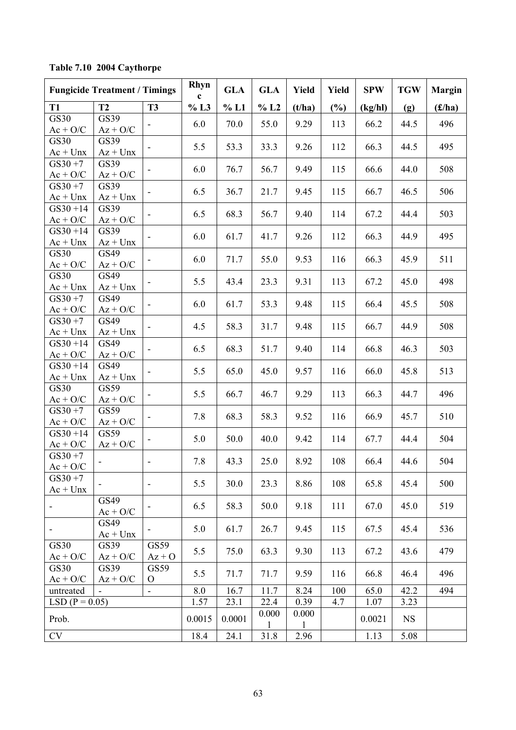|                           | <b>Fungicide Treatment / Timings</b> |                          | Rhyn<br>$\mathbf c$ | <b>GLA</b> | <b>GLA</b> | Yield                 | Yield | <b>SPW</b> | <b>TGW</b> | <b>Margin</b> |
|---------------------------|--------------------------------------|--------------------------|---------------------|------------|------------|-----------------------|-------|------------|------------|---------------|
| T <sub>1</sub>            | T2                                   | <b>T3</b>                | $\%$ L3             | % L1       | $\%$ L2    | (t/ha)                | (%)   | (kg/hl)    | (g)        | (f/ha)        |
| <b>GS30</b>               | GS39                                 |                          |                     |            |            |                       |       |            |            | 496           |
| $Ac + O/C$                | $Az + O/C$                           |                          | 6.0                 | 70.0       | 55.0       | 9.29                  | 113   | 66.2       | 44.5       |               |
| <b>GS30</b>               | GS39                                 |                          | 5.5                 | 53.3       | 33.3       | 9.26                  | 112   | 66.3       | 44.5       | 495           |
| $Ac + Unx$                | $Az + Unx$                           | $\overline{\phantom{a}}$ |                     |            |            |                       |       |            |            |               |
| $GS30 + 7$                | GS39                                 |                          | 6.0                 | 76.7       | 56.7       | 9.49                  | 115   | 66.6       | 44.0       | 508           |
| $Ac + O/C$                | $Az + O/C$                           | $\overline{\phantom{a}}$ |                     |            |            |                       |       |            |            |               |
| $GS30 + 7$                | GS39                                 |                          | 6.5                 | 36.7       | 21.7       | 9.45                  | 115   | 66.7       | 46.5       | 506           |
| $Ac + Unx$                | $Az + Unx$                           |                          |                     |            |            |                       |       |            |            |               |
| $GS30 + 14$               | GS39                                 | $\overline{\phantom{a}}$ | 6.5                 | 68.3       | 56.7       | 9.40                  | 114   | 67.2       | 44.4       | 503           |
| $Ac + O/C$                | $Az + O/C$                           |                          |                     |            |            |                       |       |            |            |               |
| $GS30 + 14$               | GS39                                 |                          | 6.0                 | 61.7       | 41.7       | 9.26                  | 112   | 66.3       | 44.9       | 495           |
| $Ac + Unx$                | $Az + Unx$                           |                          |                     |            |            |                       |       |            |            |               |
| <b>GS30</b>               | GS49                                 | ٠                        | 6.0                 | 71.7       | 55.0       | 9.53                  | 116   | 66.3       | 45.9       | 511           |
| $Ac + O/C$                | $Az + O/C$                           |                          |                     |            |            |                       |       |            |            |               |
| <b>GS30</b>               | GS49                                 |                          | 5.5                 | 43.4       | 23.3       | 9.31                  | 113   | 67.2       | 45.0       | 498           |
| $Ac + Unx$                | $Az + Unx$                           |                          |                     |            |            |                       |       |            |            |               |
| $GS30 + 7$                | GS49                                 | $\overline{\phantom{a}}$ | 6.0                 | 61.7       | 53.3       | 9.48                  | 115   | 66.4       | 45.5       | 508           |
| $Ac + O/C$                | $Az + O/C$                           |                          |                     |            |            |                       |       |            |            |               |
| $GS30 + 7$                | GS49                                 |                          | 4.5                 | 58.3       | 31.7       | 9.48                  | 115   | 66.7       | 44.9       | 508           |
| $Ac + Unx$                | $Az + Unx$                           |                          |                     |            |            |                       |       |            |            |               |
| $GS30 + 14$               | GS49                                 |                          | 6.5                 | 68.3       | 51.7       | 9.40                  | 114   | 66.8       | 46.3       | 503           |
| $Ac + O/C$                | $Az + O/C$                           |                          |                     |            |            |                       |       |            |            |               |
| $GS30 + 14$               | GS49                                 |                          | 5.5                 | 65.0       | 45.0       | 9.57                  | 116   | 66.0       | 45.8       | 513           |
| $Ac + Unx$<br><b>GS30</b> | $Az + Unx$<br>GS59                   |                          |                     |            |            |                       |       |            |            |               |
| $Ac + O/C$                | $Az + O/C$                           |                          | 5.5                 | 66.7       | 46.7       | 9.29                  | 113   | 66.3       | 44.7       | 496           |
| $GS30 + 7$                | GS59                                 |                          |                     |            |            |                       |       |            |            |               |
| $Ac + O/C$                | $Az + O/C$                           | $\blacksquare$           | 7.8                 | 68.3       | 58.3       | 9.52                  | 116   | 66.9       | 45.7       | 510           |
| $GS30 + 14$               | GS59                                 |                          |                     |            |            |                       |       |            |            |               |
| $Ac + O/C$                | $Az + O/C$                           | $\overline{\phantom{a}}$ | 5.0                 | 50.0       | 40.0       | 9.42                  | 114   | 67.7       | 44.4       | 504           |
| $GS30 + 7$                |                                      |                          |                     |            |            |                       |       |            |            |               |
| $Ac + O/C$                |                                      | $\overline{\phantom{a}}$ | 7.8                 | 43.3       | 25.0       | 8.92                  | 108   | 66.4       | 44.6       | 504           |
| $GS30 + 7$                |                                      |                          |                     |            |            |                       |       |            |            |               |
| $Ac + Unx$                |                                      | $\overline{\phantom{a}}$ | 5.5                 | 30.0       | 23.3       | 8.86                  | 108   | 65.8       | 45.4       | 500           |
|                           | GS49                                 |                          | 6.5                 | 58.3       | 50.0       | 9.18                  |       |            | 45.0       | 519           |
|                           | $Ac + O/C$                           | $\overline{\phantom{a}}$ |                     |            |            |                       | 111   | 67.0       |            |               |
|                           | GS49                                 |                          | 5.0                 | 61.7       | 26.7       | 9.45                  | 115   | 67.5       | 45.4       | 536           |
| $\overline{\phantom{a}}$  | $Ac + Unx$                           | $\overline{\phantom{a}}$ |                     |            |            |                       |       |            |            |               |
| <b>GS30</b>               | GS39                                 | GS59                     | 5.5                 | 75.0       | 63.3       | 9.30                  | 113   | 67.2       | 43.6       | 479           |
| $Ac + O/C$                | $Az + O/C$                           | $Az + O$                 |                     |            |            |                       |       |            |            |               |
| GS30                      | GS39                                 | GS59                     | 5.5                 | 71.7       | 71.7       | 9.59                  | 116   | 66.8       | 46.4       | 496           |
| $Ac + O/C$                | $Az + O/C$                           | $\mathbf{O}$             |                     |            |            |                       |       |            |            |               |
| untreated                 |                                      | $\blacksquare$           | 8.0                 | 16.7       | 11.7       | 8.24                  | 100   | 65.0       | 42.2       | 494           |
| $LSD (P = 0.05)$          |                                      |                          | 1.57                | 23.1       | 22.4       | 0.39                  | 4.7   | 1.07       | 3.23       |               |
| Prob.                     |                                      |                          | 0.0015              | 0.0001     | 0.000<br>1 | 0.000<br>$\mathbf{1}$ |       | 0.0021     | <b>NS</b>  |               |
| CV                        |                                      |                          | 18.4                | 24.1       | 31.8       | 2.96                  |       | 1.13       | 5.08       |               |

**Table 7.10 2004 Caythorpe**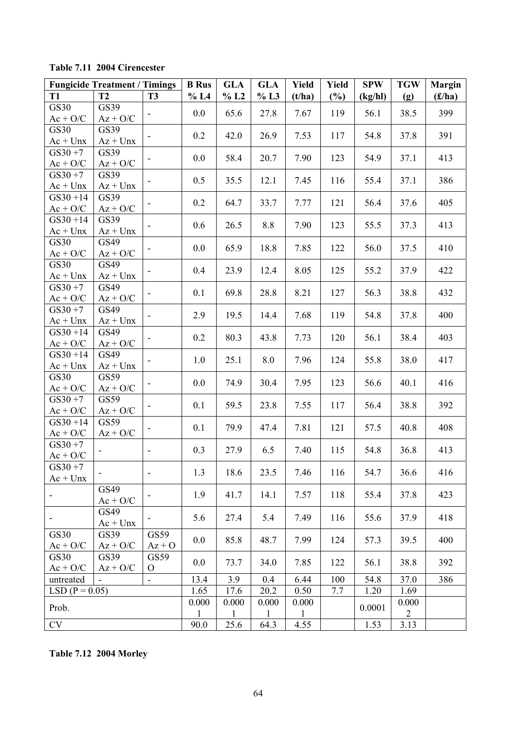|  | Table 7.11 2004 Cirencester |
|--|-----------------------------|
|--|-----------------------------|

|                          | <b>Fungicide Treatment / Timings</b> |                              | <b>B</b> Rus | <b>GLA</b>   | <b>GLA</b>   | Yield        | Yield  | <b>SPW</b> | <b>TGW</b>     | <b>Margin</b> |
|--------------------------|--------------------------------------|------------------------------|--------------|--------------|--------------|--------------|--------|------------|----------------|---------------|
| <b>T1</b>                | <b>T2</b>                            | <b>T3</b>                    | % L4         | % L2         | % L3         | (t/ha)       | $(\%)$ | (kg/hl)    | (g)            | (f/ha)        |
| <b>GS30</b>              | GS39                                 | $\overline{\phantom{a}}$     | 0.0          | 65.6         | 27.8         | 7.67         | 119    | 56.1       | 38.5           | 399           |
| $Ac + O/C$               | $Az + O/C$                           |                              |              |              |              |              |        |            |                |               |
| <b>GS30</b>              | GS39                                 |                              | 0.2          | 42.0         | 26.9         | 7.53         | 117    | 54.8       | 37.8           | 391           |
| $Ac + Unx$               | $Az + Unx$                           |                              |              |              |              |              |        |            |                |               |
| $GS30 + 7$               | GS39                                 |                              | 0.0          | 58.4         | 20.7         | 7.90         | 123    | 54.9       | 37.1           | 413           |
| $Ac + O/C$<br>$GS30 + 7$ | $Az + O/C$<br>GS39                   |                              |              |              |              |              |        |            |                |               |
| $Ac + Unx$               | $Az + Unx$                           |                              | 0.5          | 35.5         | 12.1         | 7.45         | 116    | 55.4       | 37.1           | 386           |
| $GS30 + 14$              | GS39                                 |                              | 0.2          |              |              |              |        |            |                |               |
| $Ac + O/C$               | $Az + O/C$                           |                              |              | 64.7         | 33.7         | 7.77         | 121    | 56.4       | 37.6           | 405           |
| $GS30 + 14$              | GS39                                 |                              | 0.6          | 26.5         | 8.8          | 7.90         | 123    | 55.5       | 37.3           | 413           |
| $Ac + Unx$               | $Az + Unx$                           |                              |              |              |              |              |        |            |                |               |
| GS30                     | GS49                                 | $\overline{\phantom{a}}$     | 0.0          | 65.9         | 18.8         | 7.85         | 122    | 56.0       | 37.5           | 410           |
| $Ac + O/C$               | $Az + O/C$                           |                              |              |              |              |              |        |            |                |               |
| <b>GS30</b>              | GS49                                 |                              | 0.4          | 23.9         | 12.4         | 8.05         | 125    | 55.2       | 37.9           | 422           |
| $Ac + Unx$               | $Az + Unx$                           |                              |              |              |              |              |        |            |                |               |
| $GS30 + 7$<br>$Ac + O/C$ | GS49<br>$Az + O/C$                   |                              | 0.1          | 69.8         | 28.8         | 8.21         | 127    | 56.3       | 38.8           | 432           |
| $GS30 + 7$               | GS49                                 |                              |              |              |              |              |        |            |                |               |
| $Ac + Unx$               | $Az + Unx$                           |                              | 2.9          | 19.5         | 14.4         | 7.68         | 119    | 54.8       | 37.8           | 400           |
| $GS30 + 14$              | GS49                                 |                              |              |              |              |              |        |            |                |               |
| $Ac + O/C$               | $Az + O/C$                           |                              | 0.2          | 80.3         | 43.8         | 7.73         | 120    | 56.1       | 38.4           | 403           |
| $GS30 + 14$              | GS49                                 |                              |              |              |              |              |        |            |                |               |
| $Ac + Unx$               | $Az + Unx$                           |                              | 1.0          | 25.1         | 8.0          | 7.96         | 124    | 55.8       | 38.0           | 417           |
| GS30                     | GS59                                 |                              |              |              |              |              |        |            |                |               |
| $Ac + O/C$               | $Az + O/C$                           | $\overline{\phantom{a}}$     | 0.0          | 74.9         | 30.4         | 7.95         | 123    | 56.6       | 40.1           | 416           |
| $GS30 + 7$               | GS59                                 | $\overline{\phantom{a}}$     | 0.1          | 59.5         | 23.8         | 7.55         | 117    | 56.4       | 38.8           | 392           |
| $Ac + O/C$               | $Az + O/C$                           |                              |              |              |              |              |        |            |                |               |
| $GS30 + 14$              | GS59                                 |                              | 0.1          | 79.9         | 47.4         | 7.81         | 121    | 57.5       | 40.8           | 408           |
| $Ac + O/C$               | $Az + O/C$                           |                              |              |              |              |              |        |            |                |               |
| $GS30 + 7$               |                                      | $\overline{\phantom{a}}$     | 0.3          | 27.9         | 6.5          | 7.40         | 115    | 54.8       | 36.8           | 413           |
| $Ac + O/C$<br>$GS30 + 7$ |                                      |                              |              |              |              |              |        |            |                |               |
| $Ac + Unx$               |                                      | $\qquad \qquad \blacksquare$ | 1.3          | 18.6         | 23.5         | 7.46         | 116    | 54.7       | 36.6           | 416           |
|                          | GS49                                 |                              |              |              |              |              |        |            |                |               |
|                          | $Ac + O/C$                           |                              | 1.9          | 41.7         | 14.1         | 7.57         | 118    | 55.4       | 37.8           | 423           |
|                          | GS49                                 |                              |              |              |              |              |        |            |                |               |
| ۰                        | $Ac + Unx$                           | ۰                            | 5.6          | 27.4         | 5.4          | 7.49         | 116    | 55.6       | 37.9           | 418           |
| GS30                     | GS39                                 | GS59                         |              |              |              |              |        |            |                |               |
| $Ac + O/C$               | $Az + O/C$                           | $Az + O$                     | 0.0          | 85.8         | 48.7         | 7.99         | 124    | 57.3       | 39.5           | 400           |
| GS30                     | GS39                                 | GS59                         | 0.0          | 73.7         | 34.0         | 7.85         | 122    | 56.1       | 38.8           | 392           |
| $Ac + O/C$               | $Az + O/C$                           | $\mathbf{O}$                 |              |              |              |              |        |            |                |               |
| untreated                |                                      | $\blacksquare$               | 13.4         | 3.9          | 0.4          | 6.44         | 100    | 54.8       | 37.0           | 386           |
| $LSD (P = 0.05)$         |                                      |                              | 1.65         | 17.6         | 20.2         | 0.50         | 7.7    | 1.20       | 1.69           |               |
| Prob.                    |                                      |                              | 0.000        | 0.000        | 0.000        | 0.000        |        | 0.0001     | 0.000          |               |
|                          |                                      |                              | $\mathbf{1}$ | $\mathbf{1}$ | $\mathbf{1}$ | $\mathbf{1}$ |        |            | $\overline{2}$ |               |
| CV                       |                                      |                              | 90.0         | 25.6         | 64.3         | 4.55         |        | 1.53       | 3.13           |               |

**Table 7.12 2004 Morley**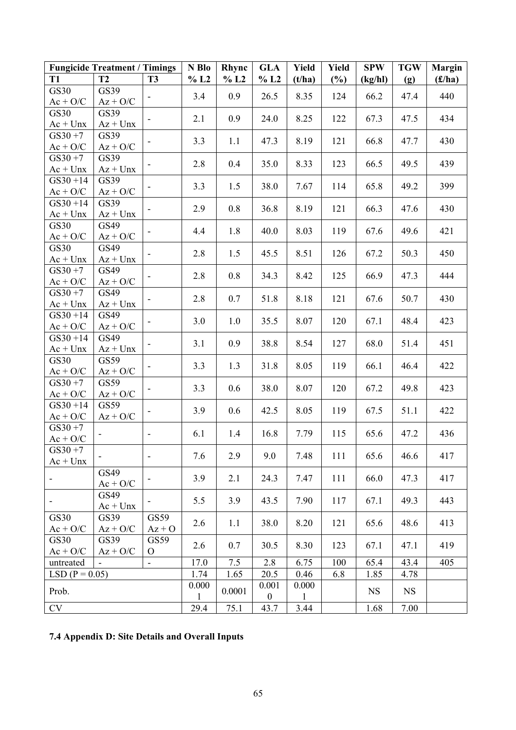|                          | <b>Fungicide Treatment / Timings</b> |                              | N Blo        | Rhync  | <b>GLA</b>       | Yield        | <b>Yield</b> | <b>SPW</b> | <b>TGW</b> | <b>Margin</b> |
|--------------------------|--------------------------------------|------------------------------|--------------|--------|------------------|--------------|--------------|------------|------------|---------------|
| T1                       | T2                                   | <b>T3</b>                    | % L2         | % L2   | % L2             | (t/ha)       | $(\%)$       | (kg/hl)    | (g)        | (f/ha)        |
| GS30                     | GS39                                 |                              | 3.4          | 0.9    | 26.5             | 8.35         | 124          | 66.2       | 47.4       | 440           |
| $Ac + O/C$               | $Az + O/C$                           |                              |              |        |                  |              |              |            |            |               |
| GS30                     | GS39                                 |                              | 2.1          | 0.9    | 24.0             | 8.25         | 122          | 67.3       | 47.5       | 434           |
| $Ac + Unx$               | $Az + Unx$                           |                              |              |        |                  |              |              |            |            |               |
| $GS30 + 7$               | GS39                                 |                              | 3.3          | 1.1    | 47.3             | 8.19         | 121          | 66.8       | 47.7       | 430           |
| $Ac + O/C$               | $Az + O/C$                           |                              |              |        |                  |              |              |            |            |               |
| $GS30 + 7$<br>$Ac + Unx$ | GS39<br>$Az + Unx$                   |                              | 2.8          | 0.4    | 35.0             | 8.33         | 123          | 66.5       | 49.5       | 439           |
| $GS30 + 14$              | GS39                                 |                              |              |        |                  |              |              |            |            |               |
| $Ac + O/C$               | $Az + O/C$                           | $\overline{\phantom{0}}$     | 3.3          | 1.5    | 38.0             | 7.67         | 114          | 65.8       | 49.2       | 399           |
| $GS30 + 14$              | GS39                                 |                              | 2.9          | 0.8    | 36.8             | 8.19         | 121          | 66.3       | 47.6       | 430           |
| $Ac + Unx$               | $Az + Unx$                           |                              |              |        |                  |              |              |            |            |               |
| GS30                     | GS49                                 | $\overline{\phantom{a}}$     | 4.4          | 1.8    | 40.0             | 8.03         | 119          | 67.6       | 49.6       | 421           |
| $Ac + O/C$               | $Az + O/C$                           |                              |              |        |                  |              |              |            |            |               |
| GS30                     | GS49                                 | $\overline{\phantom{a}}$     | 2.8          | 1.5    | 45.5             | 8.51         | 126          | 67.2       | 50.3       | 450           |
| $Ac + Unx$               | $Az + Unx$                           |                              |              |        |                  |              |              |            |            |               |
| $GS30 + 7$<br>$Ac + O/C$ | GS49<br>$Az + O/C$                   |                              | 2.8          | 0.8    | 34.3             | 8.42         | 125          | 66.9       | 47.3       | 444           |
| $GS30 + 7$               | GS49                                 |                              |              |        |                  |              |              |            |            |               |
| $Ac + Unx$               | $Az + Unx$                           | $\overline{\phantom{a}}$     | 2.8          | 0.7    | 51.8             | 8.18         | 121          | 67.6       | 50.7       | 430           |
| $GS30 + 14$              | GS49                                 |                              |              |        |                  |              |              |            |            |               |
| $Ac + O/C$               | $Az + O/C$                           | $\overline{\phantom{a}}$     | 3.0          | 1.0    | 35.5             | 8.07         | 120          | 67.1       | 48.4       | 423           |
| $GS30 + 14$              | GS49                                 |                              |              |        |                  |              |              |            |            |               |
| $Ac + Unx$               | $Az + Unx$                           |                              | 3.1          | 0.9    | 38.8             | 8.54         | 127          | 68.0       | 51.4       | 451           |
| GS30                     | GS59                                 | $\overline{\phantom{a}}$     | 3.3          | 1.3    | 31.8             | 8.05         | 119          | 66.1       | 46.4       | 422           |
| $Ac + O/C$               | $Az + O/C$                           |                              |              |        |                  |              |              |            |            |               |
| $GS30 + 7$               | GS59                                 | $\overline{\phantom{a}}$     | 3.3          | 0.6    | 38.0             | 8.07         | 120          | 67.2       | 49.8       | 423           |
| $Ac + O/C$               | $Az + O/C$                           |                              |              |        |                  |              |              |            |            |               |
| $GS30 + 14$              | GS59                                 |                              | 3.9          | 0.6    | 42.5             | 8.05         | 119          | 67.5       | 51.1       | 422           |
| $Ac + O/C$<br>$GS30 + 7$ | $Az + O/C$                           |                              |              |        |                  |              |              |            |            |               |
| $Ac + O/C$               |                                      | $\qquad \qquad \blacksquare$ | 6.1          | 1.4    | 16.8             | 7.79         | 115          | 65.6       | 47.2       | 436           |
| $GS30 + 7$               |                                      |                              |              |        |                  |              |              |            |            |               |
| $Ac + Unx$               |                                      | $\blacksquare$               | 7.6          | 2.9    | 9.0              | 7.48         | 111          | 65.6       | 46.6       | 417           |
|                          | GS49                                 |                              |              |        |                  |              |              |            |            |               |
|                          | $Ac + O/C$                           |                              | 3.9          | 2.1    | 24.3             | 7.47         | 111          | 66.0       | 47.3       | 417           |
| ۰                        | GS49                                 | -                            | 5.5          | 3.9    | 43.5             | 7.90         | 117          | 67.1       | 49.3       | 443           |
|                          | $Ac + Unx$                           |                              |              |        |                  |              |              |            |            |               |
| GS30                     | GS39                                 | GS59                         | 2.6          | 1.1    | 38.0             | 8.20         | 121          | 65.6       | 48.6       | 413           |
| $Ac + O/C$               | $Az + O/C$                           | $Az + O$                     |              |        |                  |              |              |            |            |               |
| GS30<br>$Ac + O/C$       | GS39<br>$Az + O/C$                   | GS59<br>$\mathbf{O}$         | 2.6          | 0.7    | 30.5             | 8.30         | 123          | 67.1       | 47.1       | 419           |
| untreated                |                                      | $\blacksquare$               | 17.0         | 7.5    | 2.8              | 6.75         | 100          | 65.4       | 43.4       | 405           |
| $LSD (P = 0.05)$         |                                      |                              | 1.74         | 1.65   | 20.5             | 0.46         | 6.8          | 1.85       | 4.78       |               |
|                          |                                      |                              | 0.000        |        | 0.001            | 0.000        |              |            |            |               |
| Prob.                    |                                      |                              | $\mathbf{1}$ | 0.0001 | $\boldsymbol{0}$ | $\mathbf{1}$ |              | <b>NS</b>  | <b>NS</b>  |               |
| <b>CV</b>                |                                      |                              | 29.4         | 75.1   | 43.7             | 3.44         |              | 1.68       | 7.00       |               |

**7.4 Appendix D: Site Details and Overall Inputs**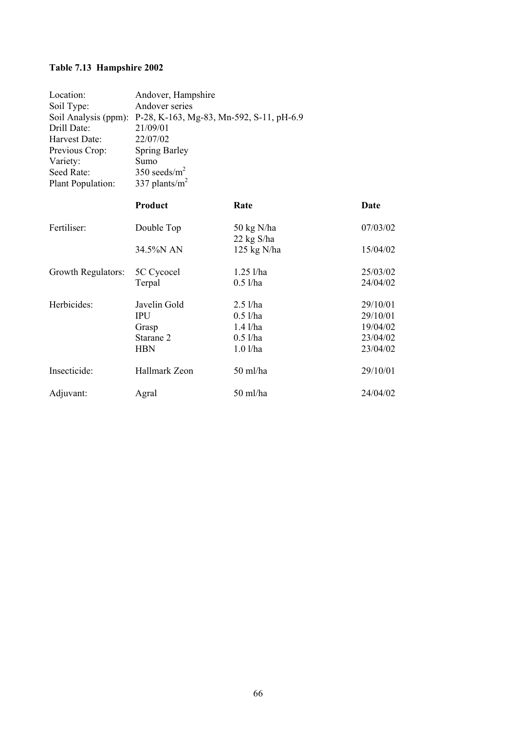# **Table 7.13 Hampshire 2002**

| Location:            | Andover, Hampshire                       |                            |             |  |
|----------------------|------------------------------------------|----------------------------|-------------|--|
| Soil Type:           | Andover series                           |                            |             |  |
| Soil Analysis (ppm): | P-28, K-163, Mg-83, Mn-592, S-11, pH-6.9 |                            |             |  |
| Drill Date:          | 21/09/01                                 |                            |             |  |
| Harvest Date:        | 22/07/02                                 |                            |             |  |
| Previous Crop:       | <b>Spring Barley</b>                     |                            |             |  |
| Variety:             | Sumo                                     |                            |             |  |
| Seed Rate:           | 350 seeds/ $m2$                          |                            |             |  |
| Plant Population:    | 337 plants/ $m^2$                        |                            |             |  |
|                      | Product                                  | Rate                       | <b>Date</b> |  |
| Fertiliser:          | Double Top                               | 50 kg N/ha<br>$22$ kg S/ha | 07/03/02    |  |
|                      | 34.5%N AN                                | $125$ kg N/ha              | 15/04/02    |  |
| Growth Regulators:   | 5C Cycocel                               | $1.25$ l/ha                | 25/03/02    |  |
|                      | Terpal                                   | $0.5$ l/ha                 | 24/04/02    |  |
| Herbicides:          | Javelin Gold                             | $2.5$ l/ha                 | 29/10/01    |  |
|                      | <b>IPU</b>                               | $0.5$ l/ha                 | 29/10/01    |  |
|                      | Grasp                                    | $1.4$ l/ha                 | 19/04/02    |  |
|                      | Starane 2                                | $0.5$ l/ha                 | 23/04/02    |  |
|                      | <b>HBN</b>                               | $1.0$ l/ha                 | 23/04/02    |  |
| Insecticide:         | Hallmark Zeon                            | 50 ml/ha                   | 29/10/01    |  |
| Adjuvant:            | Agral                                    | 50 ml/ha                   | 24/04/02    |  |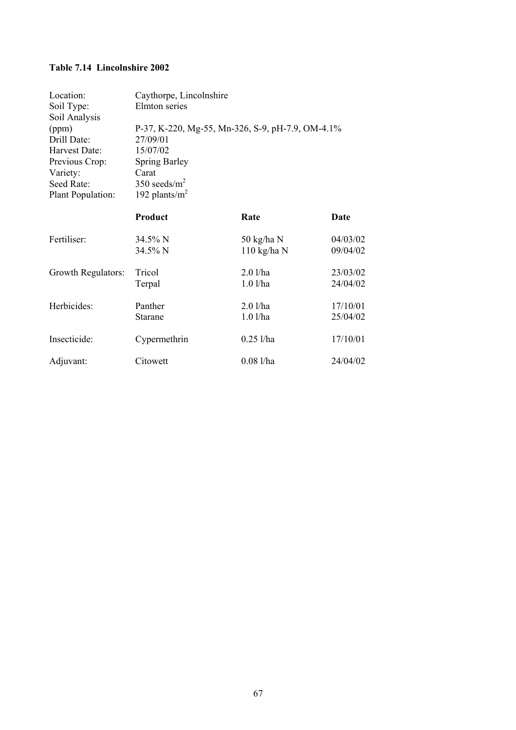### **Table 7.14 Lincolnshire 2002**

| Location:<br>Soil Type:<br>Soil Analysis | Caythorpe, Lincolnshire<br>Elmton series         |               |          |
|------------------------------------------|--------------------------------------------------|---------------|----------|
| (ppm)                                    | P-37, K-220, Mg-55, Mn-326, S-9, pH-7.9, OM-4.1% |               |          |
| Drill Date:                              | 27/09/01                                         |               |          |
| Harvest Date:                            | 15/07/02                                         |               |          |
| Previous Crop:                           | <b>Spring Barley</b>                             |               |          |
| Variety:                                 | Carat                                            |               |          |
| Seed Rate:                               | 350 seeds/ $m2$                                  |               |          |
| Plant Population:                        | 192 plants/ $m2$                                 |               |          |
|                                          | Product                                          | Rate          | Date     |
| Fertiliser:                              | 34.5% N                                          | 50 kg/ha N    | 04/03/02 |
|                                          | 34.5% N                                          | $110$ kg/ha N | 09/04/02 |
| Growth Regulators:                       | Tricol                                           | $2.0$ l/ha    | 23/03/02 |
|                                          | Terpal                                           | $1.0$ l/ha    | 24/04/02 |
| Herbicides:                              | Panther                                          | $2.0$ l/ha    | 17/10/01 |
|                                          | Starane                                          | $1.0$ l/ha    | 25/04/02 |
| Insecticide:                             | Cypermethrin                                     | $0.25$ l/ha   | 17/10/01 |
| Adjuvant:                                | Citowett                                         | 0.081/ha      | 24/04/02 |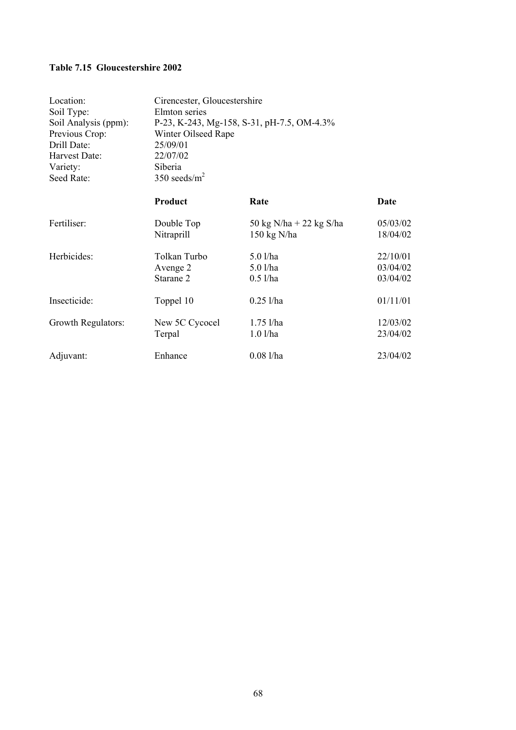### **Table 7.15 Gloucestershire 2002**

| Location:            | Cirencester, Gloucestershire               |                         |             |
|----------------------|--------------------------------------------|-------------------------|-------------|
| Soil Type:           | Elmton series                              |                         |             |
| Soil Analysis (ppm): | P-23, K-243, Mg-158, S-31, pH-7.5, OM-4.3% |                         |             |
| Previous Crop:       | Winter Oilseed Rape                        |                         |             |
| Drill Date:          | 25/09/01                                   |                         |             |
| Harvest Date:        | 22/07/02                                   |                         |             |
| Variety:             | Siberia                                    |                         |             |
| Seed Rate:           | 350 seeds/ $m2$                            |                         |             |
|                      | Product                                    | Rate                    | <b>Date</b> |
| Fertiliser:          | Double Top                                 | 50 kg N/ha + 22 kg S/ha | 05/03/02    |
|                      | Nitraprill                                 | $150 \text{ kg}$ N/ha   | 18/04/02    |
| Herbicides:          | Tolkan Turbo                               | 5.0 l/ha                | 22/10/01    |
|                      | Avenge 2                                   | $5.0$ l/ha              | 03/04/02    |
|                      | Starane 2                                  | $0.5$ l/ha              | 03/04/02    |
| Insecticide:         | Toppel 10                                  | $0.25$ l/ha             | 01/11/01    |
| Growth Regulators:   | New 5C Cycocel                             | $1.75$ l/ha             | 12/03/02    |
|                      | Terpal                                     | $1.0$ l/ha              | 23/04/02    |
| Adjuvant:            | Enhance                                    | $0.08$ l/ha             | 23/04/02    |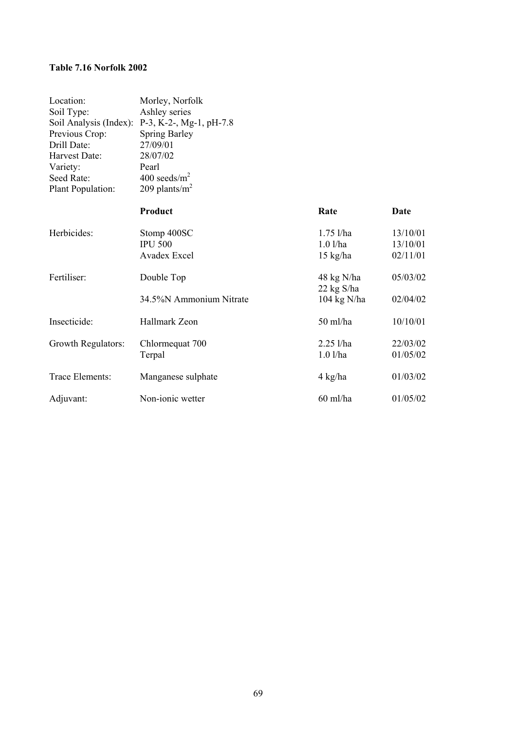### **Table 7.16 Norfolk 2002**

| Location:<br>Soil Type:<br>Soil Analysis (Index):<br>Previous Crop:<br>Drill Date:<br>Harvest Date:<br>Variety:<br>Seed Rate:<br>Plant Population: | Morley, Norfolk<br>Ashley series<br>$P-3$ , K-2-, Mg-1, pH-7.8<br><b>Spring Barley</b><br>27/09/01<br>28/07/02<br>Pearl<br>400 seeds/ $m2$<br>209 plants/ $m2$ |                                                 |                                  |
|----------------------------------------------------------------------------------------------------------------------------------------------------|----------------------------------------------------------------------------------------------------------------------------------------------------------------|-------------------------------------------------|----------------------------------|
|                                                                                                                                                    | Product                                                                                                                                                        | Rate                                            | Date                             |
| Herbicides:                                                                                                                                        | Stomp 400SC<br><b>IPU 500</b><br><b>Avadex Excel</b>                                                                                                           | $1.75$ l/ha<br>$1.0$ l/ha<br>$15 \text{ kg/ha}$ | 13/10/01<br>13/10/01<br>02/11/01 |
| Fertiliser:                                                                                                                                        | Double Top                                                                                                                                                     | 48 kg N/ha<br>22 kg S/ha                        | 05/03/02                         |
|                                                                                                                                                    | 34.5%N Ammonium Nitrate                                                                                                                                        | $104 \text{ kg N/ha}$                           | 02/04/02                         |
| Insecticide:                                                                                                                                       | Hallmark Zeon                                                                                                                                                  | 50 ml/ha                                        | 10/10/01                         |
| Growth Regulators:                                                                                                                                 | Chlormequat 700<br>Terpal                                                                                                                                      | $2.25$ l/ha<br>$1.0$ l/ha                       | 22/03/02<br>01/05/02             |
| Trace Elements:                                                                                                                                    | Manganese sulphate                                                                                                                                             | 4 kg/ha                                         | 01/03/02                         |
| Adjuvant:                                                                                                                                          | Non-ionic wetter                                                                                                                                               | $60$ ml/ha                                      | 01/05/02                         |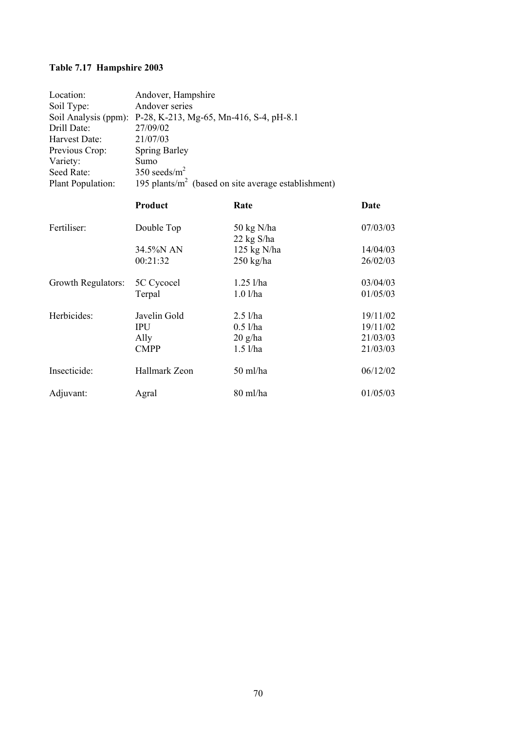# **Table 7.17 Hampshire 2003**

| Location:            | Andover, Hampshire                                      |              |          |  |
|----------------------|---------------------------------------------------------|--------------|----------|--|
| Soil Type:           | Andover series                                          |              |          |  |
| Soil Analysis (ppm): | P-28, K-213, Mg-65, Mn-416, S-4, pH-8.1                 |              |          |  |
| Drill Date:          | 27/09/02                                                |              |          |  |
| Harvest Date:        | 21/07/03                                                |              |          |  |
| Previous Crop:       | <b>Spring Barley</b>                                    |              |          |  |
| Variety:             | Sumo                                                    |              |          |  |
| Seed Rate:           | 350 seeds/ $m2$                                         |              |          |  |
| Plant Population:    | 195 plants/ $m^2$ (based on site average establishment) |              |          |  |
|                      | Product                                                 | Rate         | Date     |  |
| Fertiliser:          | Double Top                                              | 50 kg N/ha   | 07/03/03 |  |
|                      |                                                         | $22$ kg S/ha |          |  |
|                      | 34.5%N AN                                               | 125 kg N/ha  | 14/04/03 |  |
|                      | 00:21:32                                                | 250 kg/ha    | 26/02/03 |  |
| Growth Regulators:   | 5C Cycocel                                              | $1.25$ l/ha  | 03/04/03 |  |
|                      | Terpal                                                  | $1.0$ l/ha   | 01/05/03 |  |
| Herbicides:          | Javelin Gold                                            | $2.5$ l/ha   | 19/11/02 |  |
|                      | <b>IPU</b>                                              | $0.5$ l/ha   | 19/11/02 |  |
|                      | Ally                                                    | $20$ g/ha    | 21/03/03 |  |
|                      | <b>CMPP</b>                                             | $1.5$ l/ha   | 21/03/03 |  |
| Insecticide:         | Hallmark Zeon                                           | 50 ml/ha     | 06/12/02 |  |
| Adjuvant:            | Agral                                                   | 80 ml/ha     | 01/05/03 |  |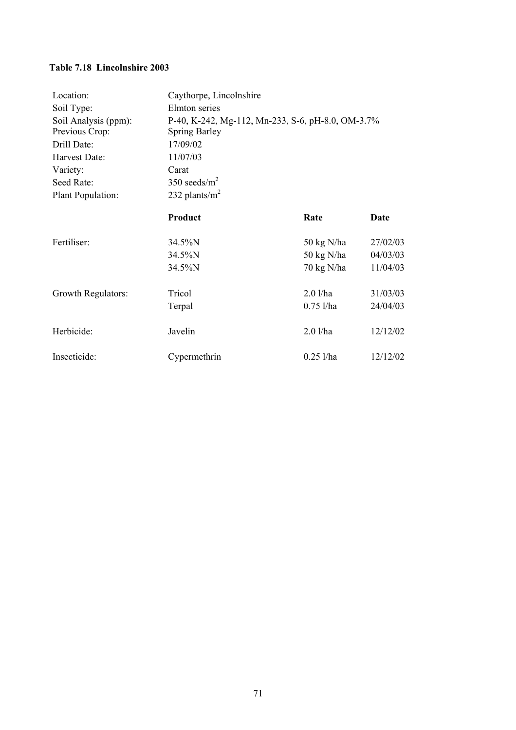# **Table 7.18 Lincolnshire 2003**

| Location:            | Caythorpe, Lincolnshire                           |                      |          |
|----------------------|---------------------------------------------------|----------------------|----------|
| Soil Type:           | Elmton series                                     |                      |          |
| Soil Analysis (ppm): | P-40, K-242, Mg-112, Mn-233, S-6, pH-8.0, OM-3.7% |                      |          |
| Previous Crop:       | <b>Spring Barley</b>                              |                      |          |
| Drill Date:          | 17/09/02                                          |                      |          |
| Harvest Date:        | 11/07/03                                          |                      |          |
| Variety:             | Carat                                             |                      |          |
| Seed Rate:           | 350 seeds/ $m2$                                   |                      |          |
| Plant Population:    | 232 plants/ $m2$                                  |                      |          |
|                      | Product                                           | Rate                 | Date     |
| Fertiliser:          | 34.5%N                                            | 50 kg N/ha           | 27/02/03 |
|                      | 34.5%N                                            | $50 \text{ kg}$ N/ha | 04/03/03 |
|                      | 34.5%N                                            | $70 \text{ kg}$ N/ha | 11/04/03 |
| Growth Regulators:   | Tricol                                            | $2.0$ l/ha           | 31/03/03 |
|                      | Terpal                                            | $0.75$ l/ha          | 24/04/03 |
| Herbicide:           | Javelin                                           | $2.0$ l/ha           | 12/12/02 |
| Insecticide:         | Cypermethrin                                      | $0.25$ l/ha          | 12/12/02 |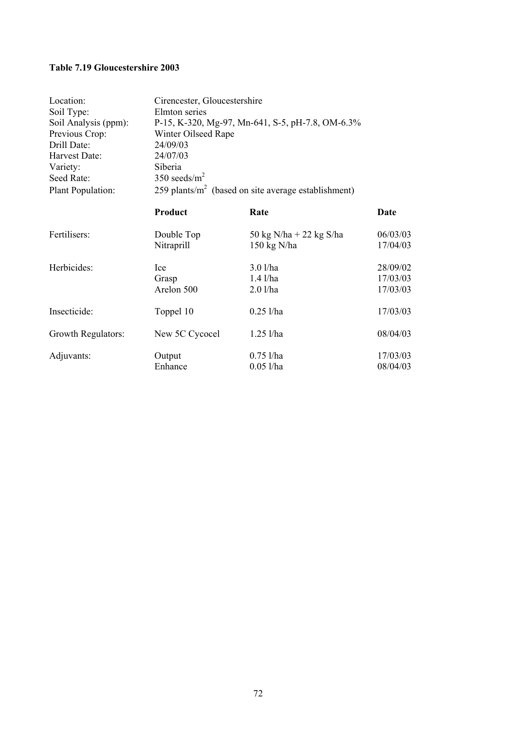## **Table 7.19 Gloucestershire 2003**

| Location:            | Cirencester, Gloucestershire                           |                         |             |
|----------------------|--------------------------------------------------------|-------------------------|-------------|
| Soil Type:           | Elmton series                                          |                         |             |
| Soil Analysis (ppm): | P-15, K-320, Mg-97, Mn-641, S-5, pH-7.8, OM-6.3%       |                         |             |
| Previous Crop:       | Winter Oilseed Rape                                    |                         |             |
| Drill Date:          | 24/09/03                                               |                         |             |
| Harvest Date:        | 24/07/03                                               |                         |             |
| Variety:             | Siberia                                                |                         |             |
| Seed Rate:           | 350 seeds/ $m2$                                        |                         |             |
| Plant Population:    | 259 plants/ $m2$ (based on site average establishment) |                         |             |
|                      | Product                                                | Rate                    | <b>Date</b> |
| Fertilisers:         | Double Top                                             | 50 kg N/ha + 22 kg S/ha | 06/03/03    |
|                      | Nitraprill                                             | $150 \text{ kg}$ N/ha   | 17/04/03    |
| Herbicides:          | Ice                                                    | $3.0$ l/ha              | 28/09/02    |
|                      | Grasp                                                  | $1.4$ $1/ha$            | 17/03/03    |
|                      | Arelon 500                                             | $2.0$ l/ha              | 17/03/03    |
| Insecticide:         | Toppel 10                                              | $0.25$ l/ha             | 17/03/03    |
| Growth Regulators:   | New 5C Cycocel                                         | $1.25$ l/ha             | 08/04/03    |
| Adjuvants:           | Output                                                 | $0.75$ l/ha             | 17/03/03    |
|                      | Enhance                                                | $0.05$ l/ha             | 08/04/03    |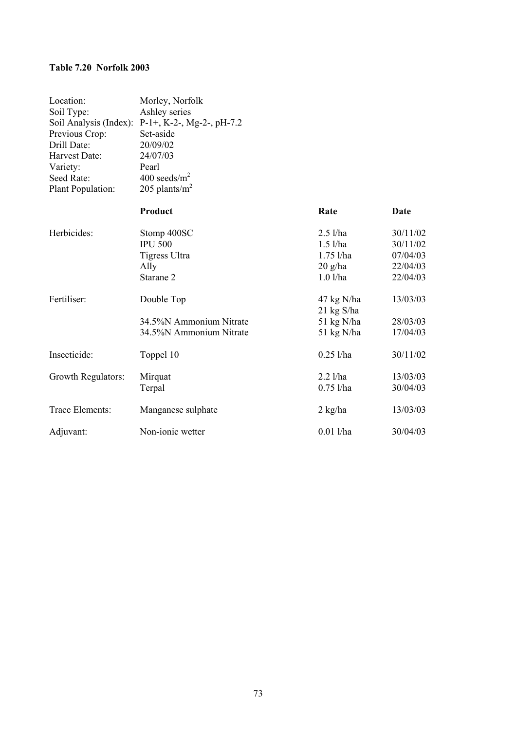#### **Table 7.20 Norfolk 2003**

| Location:<br>Soil Type:<br>Soil Analysis (Index):<br>Previous Crop:<br>Drill Date:<br>Harvest Date:<br>Variety:<br>Seed Rate:<br>Plant Population: | Morley, Norfolk<br>Ashley series<br>$P-1+$ , K-2-, Mg-2-, pH-7.2<br>Set-aside<br>20/09/02<br>24/07/03<br>Pearl<br>400 seeds/ $m^2$<br>205 plants/ $m2$ |                                                                    |                                                          |
|----------------------------------------------------------------------------------------------------------------------------------------------------|--------------------------------------------------------------------------------------------------------------------------------------------------------|--------------------------------------------------------------------|----------------------------------------------------------|
|                                                                                                                                                    | Product                                                                                                                                                | Rate                                                               | Date                                                     |
| Herbicides:                                                                                                                                        | Stomp 400SC<br><b>IPU 500</b><br>Tigress Ultra<br>Ally<br>Starane 2                                                                                    | $2.5$ l/ha<br>$1.5$ l/ha<br>$1.75$ l/ha<br>$20$ g/ha<br>$1.0$ l/ha | 30/11/02<br>30/11/02<br>07/04/03<br>22/04/03<br>22/04/03 |
| Fertiliser:                                                                                                                                        | Double Top<br>34.5%N Ammonium Nitrate<br>34.5%N Ammonium Nitrate                                                                                       | $47$ kg N/ha<br>$21 \text{ kg S/ha}$<br>51 kg N/ha<br>51 kg N/ha   | 13/03/03<br>28/03/03<br>17/04/03                         |
| Insecticide:                                                                                                                                       | Toppel 10                                                                                                                                              | $0.25$ l/ha                                                        | 30/11/02                                                 |
| Growth Regulators:                                                                                                                                 | Mirquat<br>Terpal                                                                                                                                      | $2.2$ l/ha<br>$0.75$ l/ha                                          | 13/03/03<br>30/04/03                                     |
| Trace Elements:                                                                                                                                    | Manganese sulphate                                                                                                                                     | $2$ kg/ha                                                          | 13/03/03                                                 |
| Adjuvant:                                                                                                                                          | Non-ionic wetter                                                                                                                                       | $0.01$ l/ha                                                        | 30/04/03                                                 |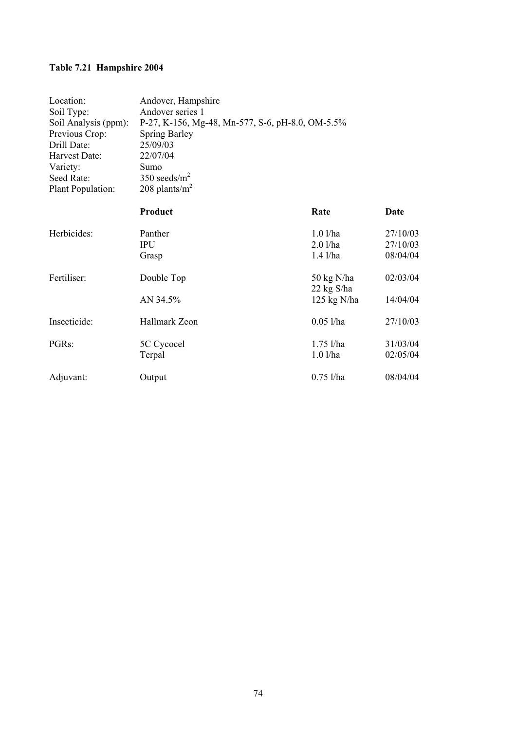# **Table 7.21 Hampshire 2004**

| Location:            | Andover, Hampshire                               |               |          |
|----------------------|--------------------------------------------------|---------------|----------|
| Soil Type:           | Andover series 1                                 |               |          |
| Soil Analysis (ppm): | P-27, K-156, Mg-48, Mn-577, S-6, pH-8.0, OM-5.5% |               |          |
| Previous Crop:       | <b>Spring Barley</b>                             |               |          |
| Drill Date:          | 25/09/03                                         |               |          |
| Harvest Date:        | 22/07/04                                         |               |          |
| Variety:             | Sumo                                             |               |          |
| Seed Rate:           | 350 seeds/ $m2$                                  |               |          |
| Plant Population:    | 208 plants/ $m^2$                                |               |          |
|                      | Product                                          | Rate          | Date     |
| Herbicides:          | Panther                                          | $1.0$ l/ha    | 27/10/03 |
|                      | <b>IPU</b>                                       | $2.0$ l/ha    | 27/10/03 |
|                      | Grasp                                            | $1.4$ $1/ha$  | 08/04/04 |
| Fertiliser:          | Double Top                                       | 50 kg N/ha    | 02/03/04 |
|                      |                                                  | $22$ kg S/ha  |          |
|                      | AN 34.5%                                         | $125$ kg N/ha | 14/04/04 |
| Insecticide:         | Hallmark Zeon                                    | $0.05$ l/ha   | 27/10/03 |
| PGRs:                | 5C Cycocel                                       | $1.75$ l/ha   | 31/03/04 |
|                      | Terpal                                           | $1.0$ l/ha    | 02/05/04 |
| Adjuvant:            | Output                                           | $0.75$ l/ha   | 08/04/04 |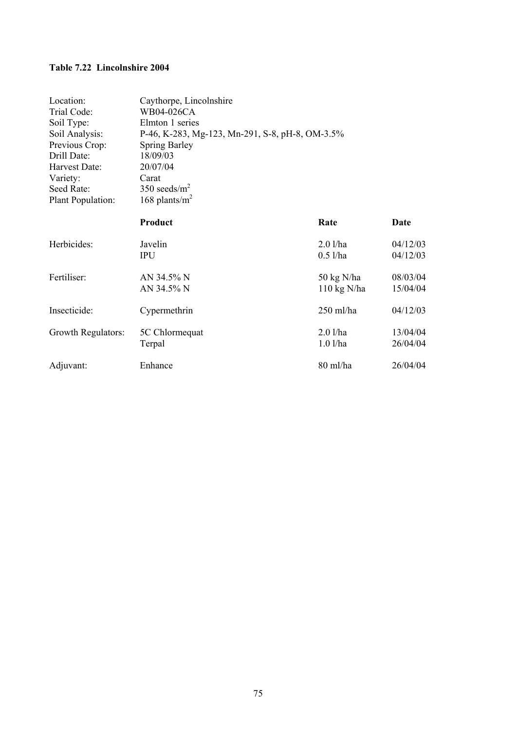# **Table 7.22 Lincolnshire 2004**

| Location:          | Caythorpe, Lincolnshire                         |                       |          |  |
|--------------------|-------------------------------------------------|-----------------------|----------|--|
| Trial Code:        | WB04-026CA                                      |                       |          |  |
| Soil Type:         | Elmton 1 series                                 |                       |          |  |
| Soil Analysis:     | P-46, K-283, Mg-123, Mn-291, S-8, pH-8, OM-3.5% |                       |          |  |
| Previous Crop:     | <b>Spring Barley</b>                            |                       |          |  |
| Drill Date:        | 18/09/03                                        |                       |          |  |
| Harvest Date:      | 20/07/04                                        |                       |          |  |
| Variety:           | Carat                                           |                       |          |  |
| Seed Rate:         | 350 seeds/ $m2$                                 |                       |          |  |
| Plant Population:  | 168 plants/ $m2$                                |                       |          |  |
|                    | Product                                         | Rate                  | Date     |  |
| Herbicides:        | Javelin                                         | $2.0$ l/ha            | 04/12/03 |  |
|                    | <b>IPU</b>                                      | $0.5$ l/ha            | 04/12/03 |  |
| Fertiliser:        | AN 34.5% N                                      | $50 \text{ kg N/ha}$  | 08/03/04 |  |
|                    | AN 34.5% N                                      | $110 \text{ kg}$ N/ha | 15/04/04 |  |
| Insecticide:       | Cypermethrin                                    | $250$ ml/ha           | 04/12/03 |  |
|                    |                                                 |                       |          |  |
| Growth Regulators: | 5C Chlormequat                                  | $2.0$ l/ha            | 13/04/04 |  |
|                    | Terpal                                          | $1.0$ l/ha            | 26/04/04 |  |
| Adjuvant:          | Enhance                                         | 80 ml/ha              | 26/04/04 |  |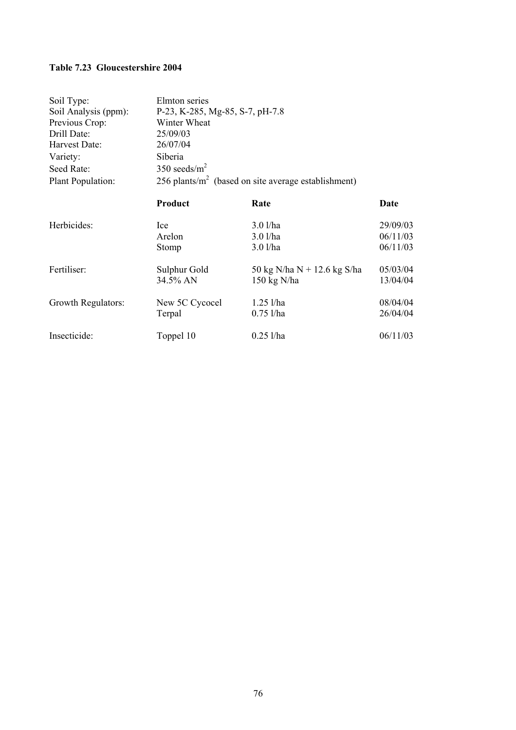# **Table 7.23 Gloucestershire 2004**

| 350 seeds/ $m2$ |  |  |
|-----------------|--|--|
|                 |  |  |
| Date            |  |  |
| 29/09/03        |  |  |
| 06/11/03        |  |  |
| 06/11/03        |  |  |
| 05/03/04        |  |  |
| 13/04/04        |  |  |
| 08/04/04        |  |  |
| 26/04/04        |  |  |
| 06/11/03        |  |  |
|                 |  |  |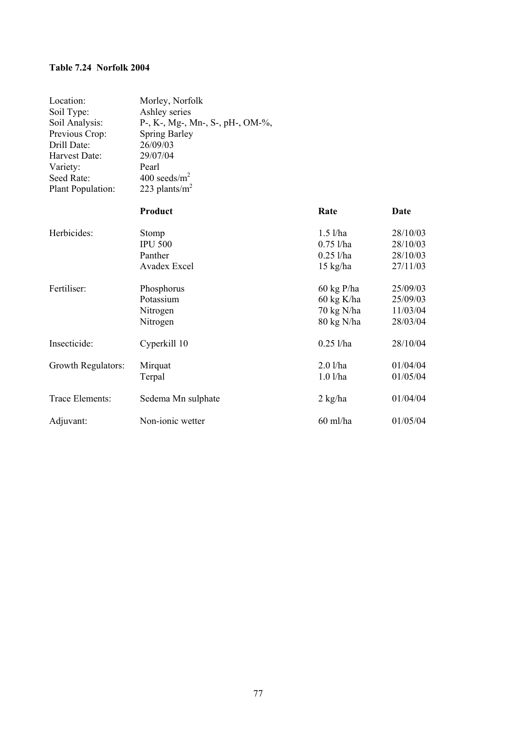### **Table 7.24 Norfolk 2004**

| Location:<br>Soil Type:<br>Soil Analysis:<br>Previous Crop:<br>Drill Date:<br>Harvest Date:<br>Variety:<br>Seed Rate:<br>Plant Population: | Morley, Norfolk<br>Ashley series<br>P-, K-, Mg-, Mn-, S-, pH-, OM-%,<br><b>Spring Barley</b><br>26/09/03<br>29/07/04<br>Pearl<br>400 seeds/ $m^2$<br>223 plants/ $m2$ |                                                                |                                              |
|--------------------------------------------------------------------------------------------------------------------------------------------|-----------------------------------------------------------------------------------------------------------------------------------------------------------------------|----------------------------------------------------------------|----------------------------------------------|
|                                                                                                                                            | Product                                                                                                                                                               | Rate                                                           | <b>Date</b>                                  |
| Herbicides:                                                                                                                                | Stomp<br><b>IPU 500</b><br>Panther<br><b>Avadex Excel</b>                                                                                                             | $1.5$ l/ha<br>$0.75$ l/ha<br>$0.25$ l/ha<br>$15 \text{ kg/ha}$ | 28/10/03<br>28/10/03<br>28/10/03<br>27/11/03 |
| Fertiliser:                                                                                                                                | Phosphorus<br>Potassium<br>Nitrogen<br>Nitrogen                                                                                                                       | $60 \text{ kg}$ P/ha<br>60 kg K/ha<br>70 kg N/ha<br>80 kg N/ha | 25/09/03<br>25/09/03<br>11/03/04<br>28/03/04 |
| Insecticide:                                                                                                                               | Cyperkill 10                                                                                                                                                          | $0.25$ l/ha                                                    | 28/10/04                                     |
| Growth Regulators:                                                                                                                         | Mirquat<br>Terpal                                                                                                                                                     | $2.0$ l/ha<br>$1.0$ l/ha                                       | 01/04/04<br>01/05/04                         |
| Trace Elements:                                                                                                                            | Sedema Mn sulphate                                                                                                                                                    | $2 \text{ kg/ha}$                                              | 01/04/04                                     |
| Adjuvant:                                                                                                                                  | Non-ionic wetter                                                                                                                                                      | $60$ ml/ha                                                     | 01/05/04                                     |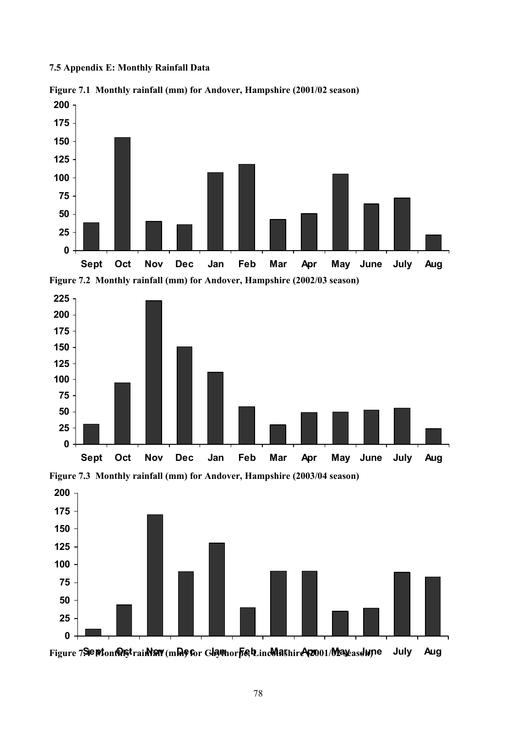**7.5 Appendix E: Monthly Rainfall Data** 



**Figure 7.1 Monthly rainfall (mm) for Andover, Hampshire (2001/02 season)** 









Figure 7**Sept**on@6\$trainN9W(mbl9&or Glamhorfie, LincMashire (2001/Mayeasdupe July Aug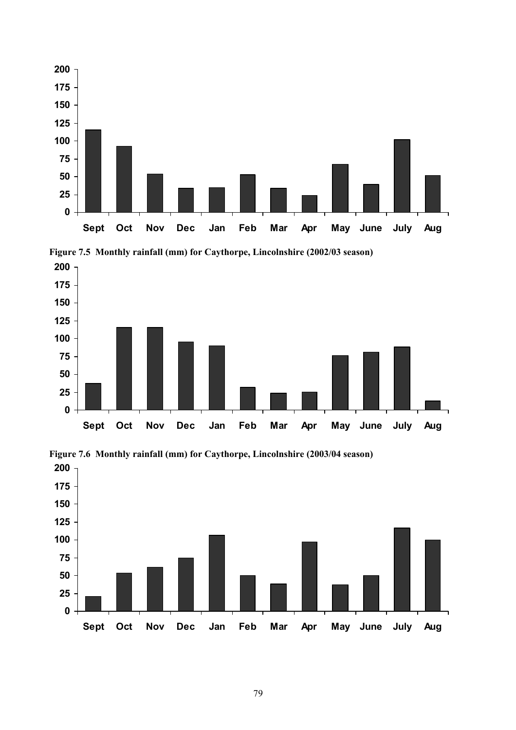



**Figure 7.5 Monthly rainfall (mm) for Caythorpe, Lincolnshire (2002/03 season)** 



**Figure 7.6 Monthly rainfall (mm) for Caythorpe, Lincolnshire (2003/04 season)**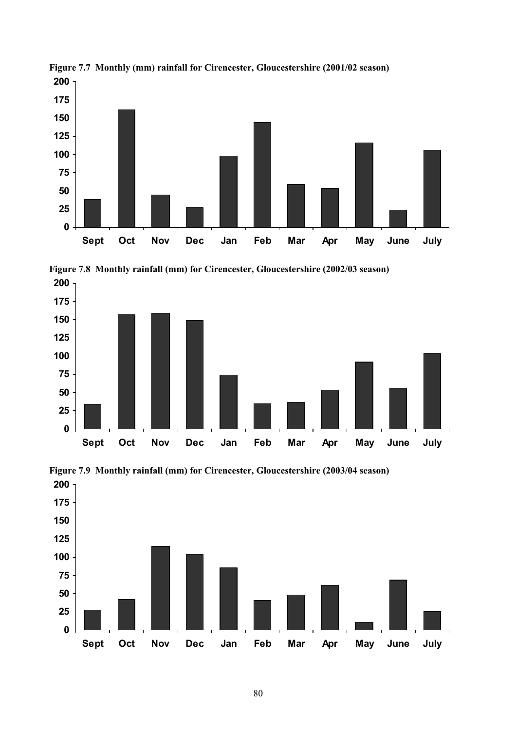

**Figure 7.7 Monthly (mm) rainfall for Cirencester, Gloucestershire (2001/02 season)** 







**Figure 7.9 Monthly rainfall (mm) for Cirencester, Gloucestershire (2003/04 season)**